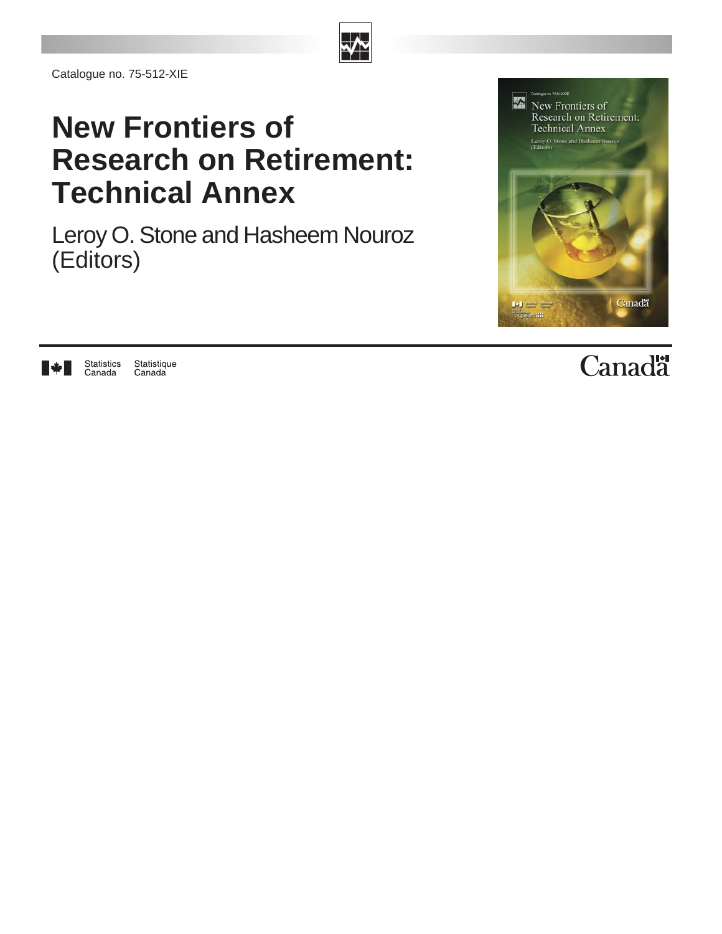

Catalogue no. 75-512-XIE

Statistics<br>Canada

H÷H

Statistique

Canada

# **New Frontiers of Research on Retirement: Technical Annex**

(Editors) Leroy O. Stone and Hasheem Nouroz



# Canadä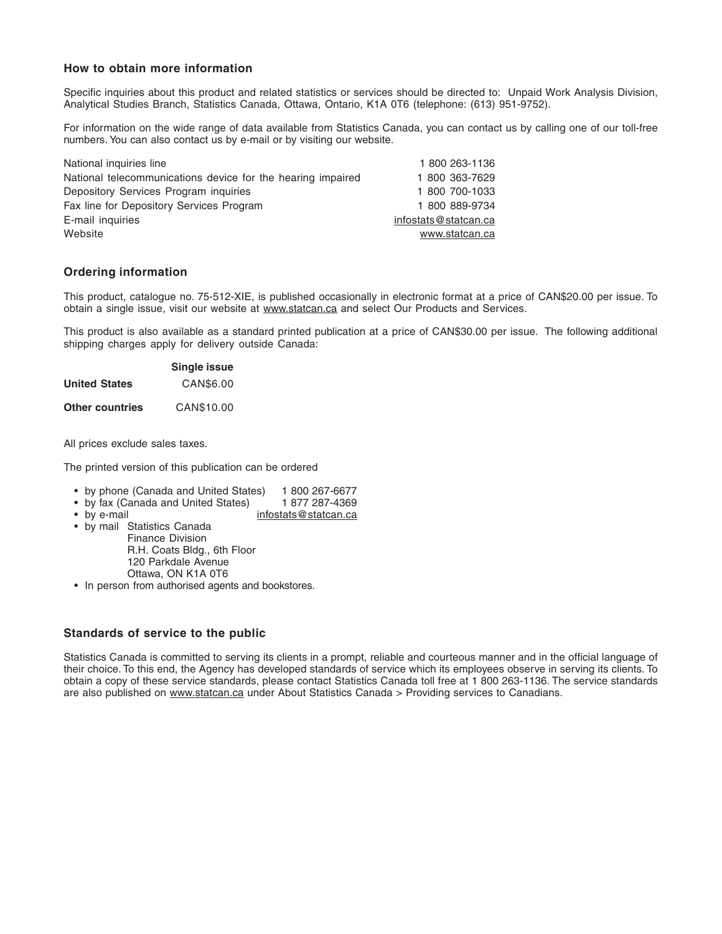#### **How to obtain more information**

Specific inquiries about this product and related statistics or services should be directed to: Unpaid Work Analysis Division, Analytical Studies Branch, Statistics Canada, Ottawa, Ontario, K1A 0T6 (telephone: (613) 951-9752).

For information on the wide range of data available from Statistics Canada, you can contact us by calling one of our toll-free numbers. You can also contact us by e-mail or by visiting our website.

| National inquiries line                                     | 1800 263-1136        |
|-------------------------------------------------------------|----------------------|
| National telecommunications device for the hearing impaired | 1 800 363-7629       |
| Depository Services Program inquiries                       | 1 800 700-1033       |
| Fax line for Depository Services Program                    | 1 800 889-9734       |
| E-mail inquiries                                            | infostats@statcan.ca |
| Website                                                     | www.statcan.ca       |

#### **Ordering information**

This product, catalogue no. 75-512-XIE, is published occasionally in electronic format at a price of CAN\$20.00 per issue. To obtain a single issue, visit our website at www.statcan.ca and select Our Products and Services.

This product is also available as a standard printed publication at a price of CAN\$30.00 per issue. The following additional shipping charges apply for delivery outside Canada:

|                      | Single issue |
|----------------------|--------------|
| <b>United States</b> | CAN\$6.00    |
| Other countries      | CAN\$10.00   |

All prices exclude sales taxes.

The printed version of this publication can be ordered

- 
- by phone (Canada and United States) 1 800 267-6677<br>• by fax (Canada and United States) 1 877 287-4369 • by fax (Canada and United States)<br>• by e-mail
- infostats@statcan.ca
- by mail Statistics Canada Finance Division R.H. Coats Bldg., 6th Floor 120 Parkdale Avenue Ottawa, ON K1A 0T6
- In person from authorised agents and bookstores.

#### **Standards of service to the public**

Statistics Canada is committed to serving its clients in a prompt, reliable and courteous manner and in the official language of their choice. To this end, the Agency has developed standards of service which its employees observe in serving its clients. To obtain a copy of these service standards, please contact Statistics Canada toll free at 1 800 263-1136. The service standards are also published on www.statcan.ca under About Statistics Canada > Providing services to Canadians.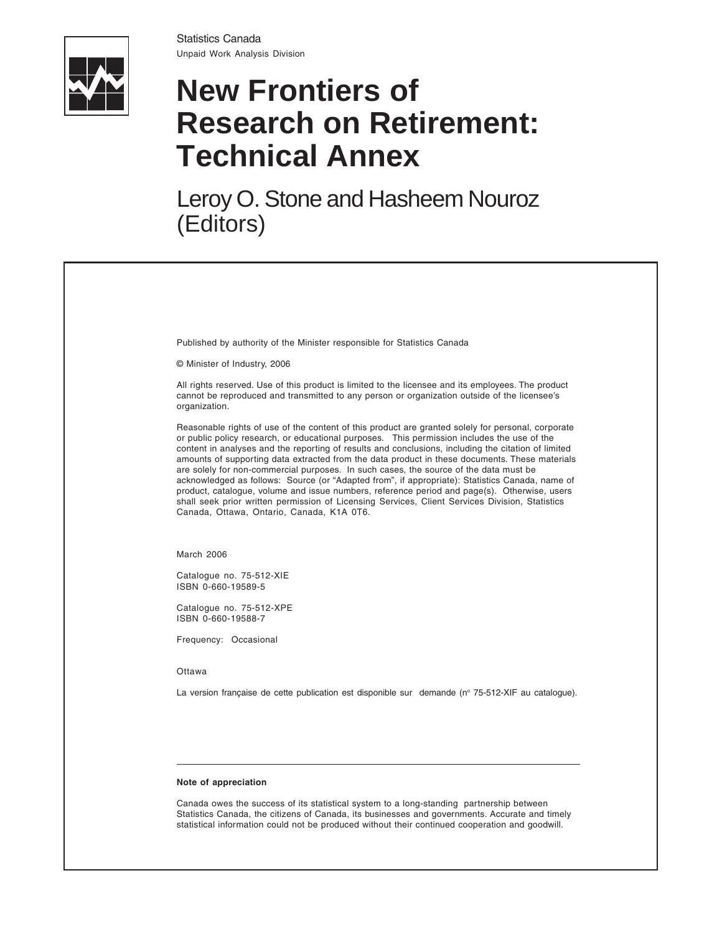Statistics Canada Unpaid Work Analysis Division



# **New Frontiers of Research on Retirement: Technical Annex**

(Editors) Leroy O. Stone and Hasheem Nouroz

Published by authority of the Minister responsible for Statistics Canada

© Minister of Industry, 2006

All rights reserved. Use of this product is limited to the licensee and its employees. The product cannot be reproduced and transmitted to any person or organization outside of the licensee's organization.

Reasonable rights of use of the content of this product are granted solely for personal, corporate or public policy research, or educational purposes. This permission includes the use of the content in analyses and the reporting of results and conclusions, including the citation of limited amounts of supporting data extracted from the data product in these documents. These materials are solely for non-commercial purposes. In such cases, the source of the data must be acknowledged as follows: Source (or "Adapted from", if appropriate): Statistics Canada, name of product, catalogue, volume and issue numbers, reference period and page(s). Otherwise, users shall seek prior written permission of Licensing Services, Client Services Division, Statistics Canada, Ottawa, Ontario, Canada, K1A 0T6.

March 2006

Catalogue no. 75-512-XIE ISBN 0-660-19589-5

Catalogue no. 75-512-XPE ISBN 0-660-19588-7

Frequency: Occasional

**Ottawa** 

La version française de cette publication est disponible sur demande (nº 75-512-XIF au catalogue).

#### **Note of appreciation**

Canada owes the success of its statistical system to a long-standing partnership between Statistics Canada, the citizens of Canada, its businesses and governments. Accurate and timely statistical information could not be produced without their continued cooperation and goodwill.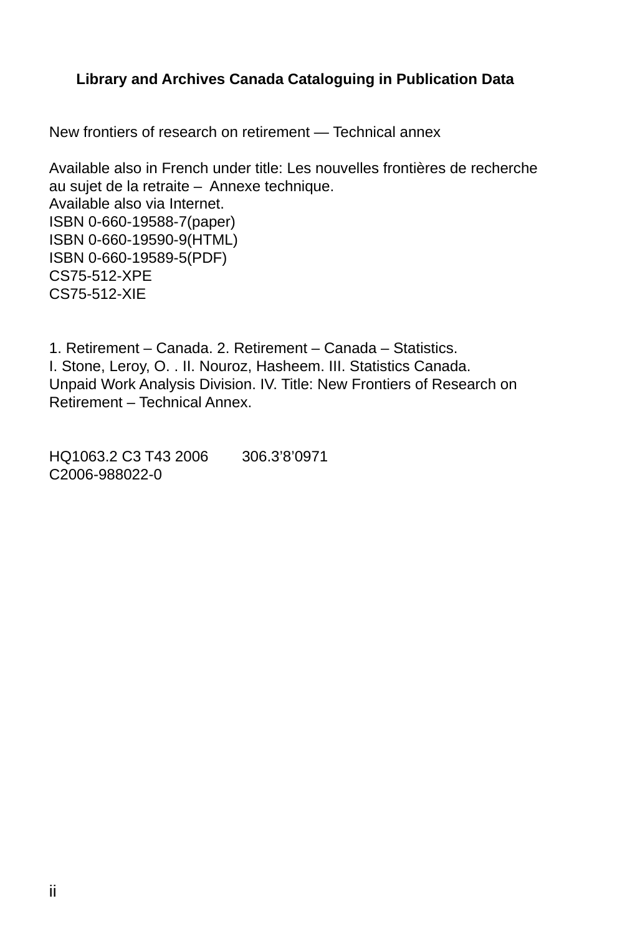#### **Library and Archives Canada Cataloguing in Publication Data**

New frontiers of research on retirement — Technical annex

Available also in French under title: Les nouvelles frontières de recherche au sujet de la retraite – Annexe technique. Available also via Internet. ISBN 0-660-19588-7(paper) ISBN 0-660-19590-9(HTML) ISBN 0-660-19589-5(PDF) CS75-512-XPE CS75-512-XIE

1. Retirement – Canada. 2. Retirement – Canada – Statistics. I. Stone, Leroy, O. . II. Nouroz, Hasheem. III. Statistics Canada. Unpaid Work Analysis Division. IV. Title: New Frontiers of Research on Retirement – Technical Annex.

HQ1063.2 C3 T43 2006 306.3'8'0971 C2006-988022-0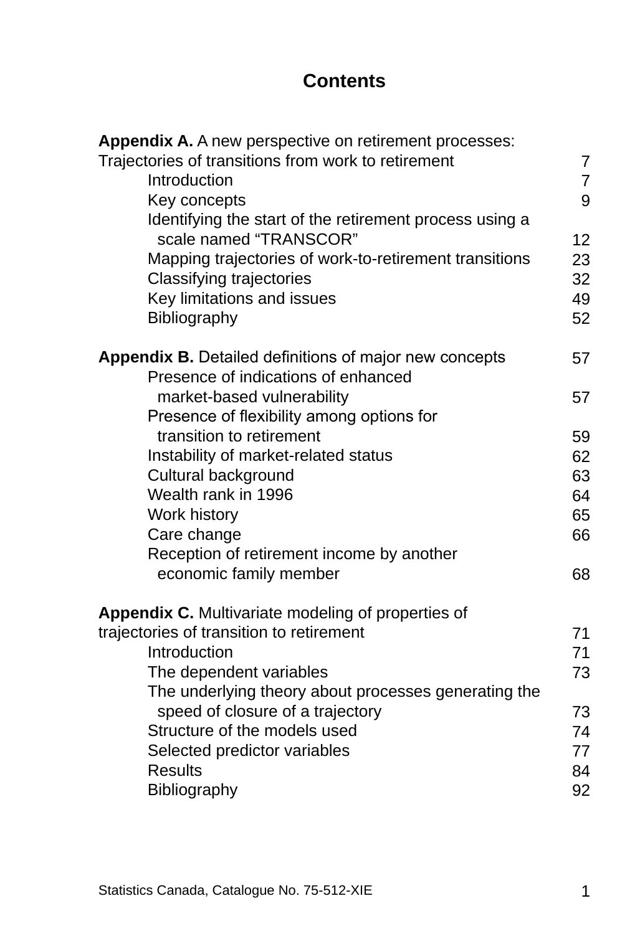## **Contents**

| Appendix A. A new perspective on retirement processes:  |                |
|---------------------------------------------------------|----------------|
| Trajectories of transitions from work to retirement     | $\overline{7}$ |
| Introduction                                            | $\overline{7}$ |
| Key concepts                                            | 9              |
| Identifying the start of the retirement process using a |                |
| scale named "TRANSCOR"                                  | 12             |
| Mapping trajectories of work-to-retirement transitions  | 23             |
| <b>Classifying trajectories</b>                         | 32             |
| Key limitations and issues                              | 49             |
| Bibliography                                            | 52             |
| Appendix B. Detailed definitions of major new concepts  | 57             |
| Presence of indications of enhanced                     |                |
| market-based vulnerability                              | 57             |
| Presence of flexibility among options for               |                |
| transition to retirement                                | 59             |
| Instability of market-related status                    | 62             |
| Cultural background                                     | 63             |
| Wealth rank in 1996                                     | 64             |
| Work history                                            | 65             |
| Care change                                             | 66             |
| Reception of retirement income by another               |                |
| economic family member                                  | 68             |
| Appendix C. Multivariate modeling of properties of      |                |
| trajectories of transition to retirement                | 71             |
| Introduction                                            | 71             |
| The dependent variables                                 | 73             |
| The underlying theory about processes generating the    |                |
| speed of closure of a trajectory                        | 73             |
| Structure of the models used                            | 74             |
| Selected predictor variables                            | 77             |
| <b>Results</b>                                          | 84             |
| <b>Bibliography</b>                                     | 92             |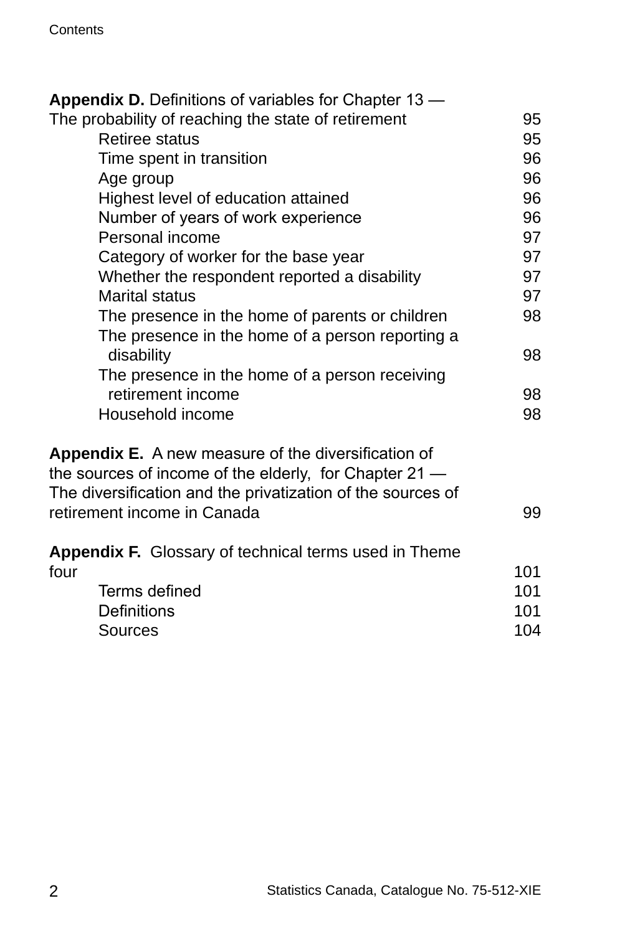| <b>Appendix D.</b> Definitions of variables for Chapter 13 –                                                                                                                                                |     |
|-------------------------------------------------------------------------------------------------------------------------------------------------------------------------------------------------------------|-----|
| The probability of reaching the state of retirement                                                                                                                                                         | 95  |
| <b>Retiree status</b>                                                                                                                                                                                       | 95  |
| Time spent in transition                                                                                                                                                                                    | 96  |
| Age group                                                                                                                                                                                                   | 96  |
| Highest level of education attained                                                                                                                                                                         | 96  |
| Number of years of work experience                                                                                                                                                                          | 96  |
| Personal income                                                                                                                                                                                             | 97  |
| Category of worker for the base year                                                                                                                                                                        | 97  |
| Whether the respondent reported a disability                                                                                                                                                                | 97  |
| <b>Marital status</b>                                                                                                                                                                                       | 97  |
| The presence in the home of parents or children                                                                                                                                                             | 98  |
| The presence in the home of a person reporting a                                                                                                                                                            |     |
| disability                                                                                                                                                                                                  | 98  |
| The presence in the home of a person receiving                                                                                                                                                              |     |
| retirement income                                                                                                                                                                                           | 98  |
| Household income                                                                                                                                                                                            | 98  |
| Appendix E. A new measure of the diversification of<br>the sources of income of the elderly, for Chapter 21 —<br>The diversification and the privatization of the sources of<br>retirement income in Canada | 99  |
| <b>Appendix F.</b> Glossary of technical terms used in Theme                                                                                                                                                |     |
| four                                                                                                                                                                                                        | 101 |
| Terms defined                                                                                                                                                                                               | 101 |
| <b>Definitions</b>                                                                                                                                                                                          | 101 |
| Sources                                                                                                                                                                                                     | 104 |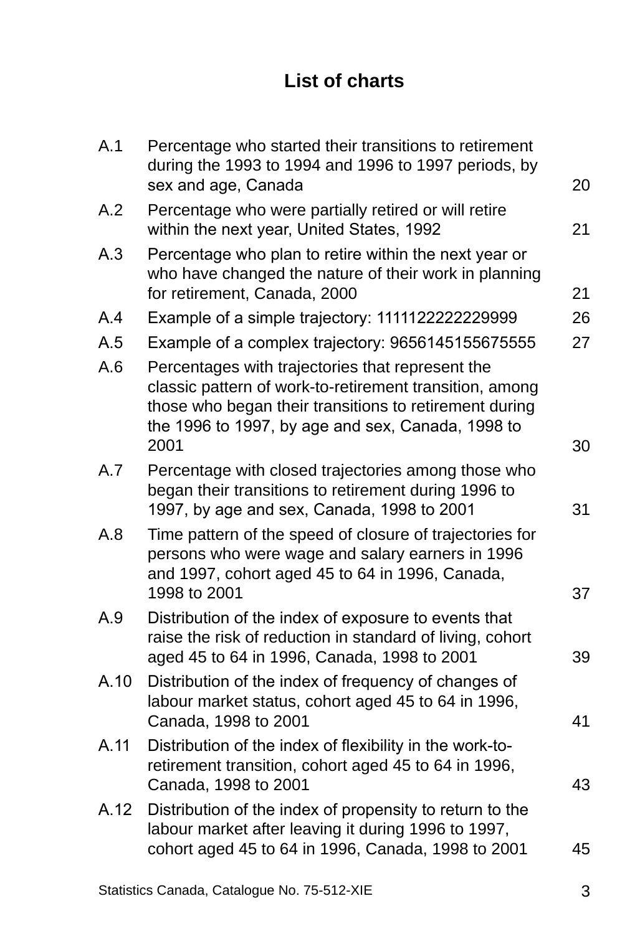## **List of charts**

| Percentage who started their transitions to retirement<br>during the 1993 to 1994 and 1996 to 1997 periods, by<br>sex and age, Canada                                                                                              | 20 |
|------------------------------------------------------------------------------------------------------------------------------------------------------------------------------------------------------------------------------------|----|
| Percentage who were partially retired or will retire<br>within the next year, United States, 1992                                                                                                                                  | 21 |
| Percentage who plan to retire within the next year or<br>who have changed the nature of their work in planning<br>for retirement, Canada, 2000                                                                                     | 21 |
| Example of a simple trajectory: 1111122222229999                                                                                                                                                                                   | 26 |
| Example of a complex trajectory: 9656145155675555                                                                                                                                                                                  | 27 |
| Percentages with trajectories that represent the<br>classic pattern of work-to-retirement transition, among<br>those who began their transitions to retirement during<br>the 1996 to 1997, by age and sex, Canada, 1998 to<br>2001 | 30 |
| Percentage with closed trajectories among those who<br>began their transitions to retirement during 1996 to<br>1997, by age and sex, Canada, 1998 to 2001                                                                          | 31 |
| Time pattern of the speed of closure of trajectories for<br>persons who were wage and salary earners in 1996<br>and 1997, cohort aged 45 to 64 in 1996, Canada,<br>1998 to 2001                                                    | 37 |
| Distribution of the index of exposure to events that<br>raise the risk of reduction in standard of living, cohort<br>aged 45 to 64 in 1996, Canada, 1998 to 2001                                                                   | 39 |
| Distribution of the index of frequency of changes of<br>labour market status, cohort aged 45 to 64 in 1996,<br>Canada, 1998 to 2001                                                                                                | 41 |
| Distribution of the index of flexibility in the work-to-<br>retirement transition, cohort aged 45 to 64 in 1996,<br>Canada, 1998 to 2001                                                                                           | 43 |
| Distribution of the index of propensity to return to the<br>labour market after leaving it during 1996 to 1997,<br>cohort aged 45 to 64 in 1996, Canada, 1998 to 2001                                                              | 45 |
|                                                                                                                                                                                                                                    |    |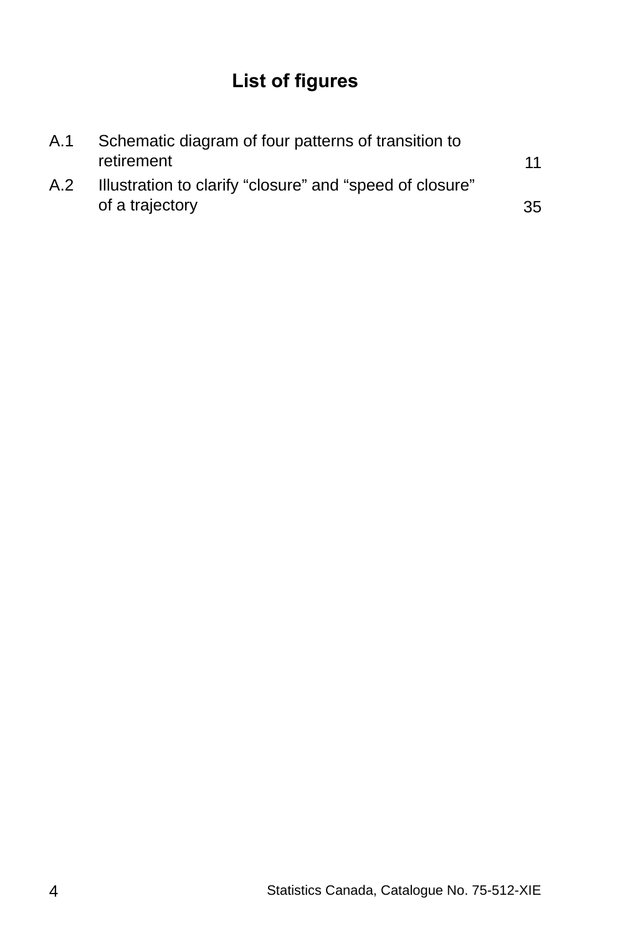# **List of figures**

| A.1 | Schematic diagram of four patterns of transition to                         |    |
|-----|-----------------------------------------------------------------------------|----|
|     | retirement                                                                  | 11 |
| A.2 | Illustration to clarify "closure" and "speed of closure"<br>of a trajectory | 35 |
|     |                                                                             |    |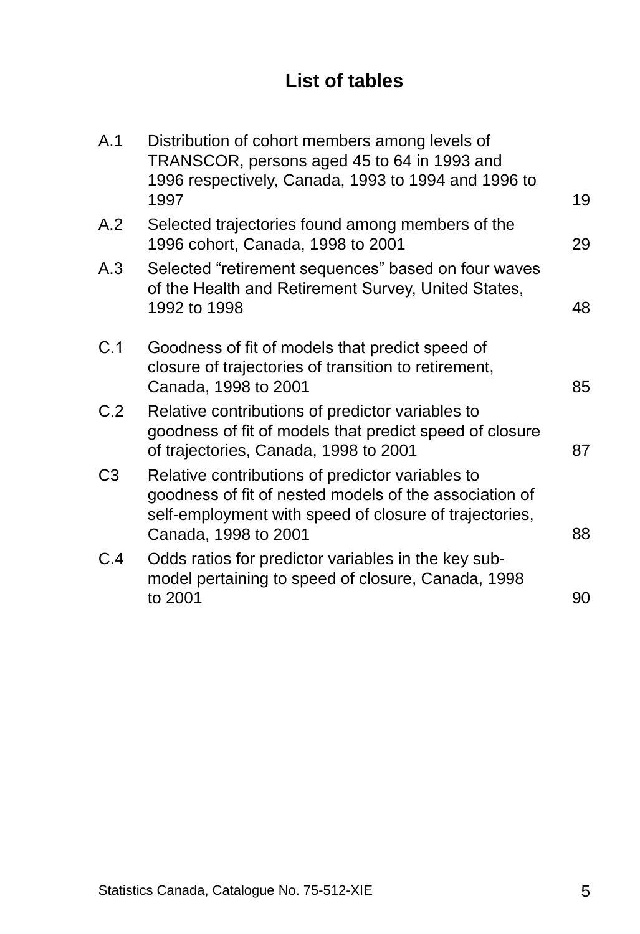## **List of tables**

| A.1            | Distribution of cohort members among levels of<br>TRANSCOR, persons aged 45 to 64 in 1993 and<br>1996 respectively, Canada, 1993 to 1994 and 1996 to<br>1997                                 | 19 |
|----------------|----------------------------------------------------------------------------------------------------------------------------------------------------------------------------------------------|----|
| A.2            | Selected trajectories found among members of the<br>1996 cohort, Canada, 1998 to 2001                                                                                                        | 29 |
| A.3            | Selected "retirement sequences" based on four waves<br>of the Health and Retirement Survey, United States,<br>1992 to 1998                                                                   | 48 |
| C.1            | Goodness of fit of models that predict speed of<br>closure of trajectories of transition to retirement,<br>Canada, 1998 to 2001                                                              | 85 |
| C.2            | Relative contributions of predictor variables to<br>goodness of fit of models that predict speed of closure<br>of trajectories, Canada, 1998 to 2001                                         | 87 |
| C <sub>3</sub> | Relative contributions of predictor variables to<br>goodness of fit of nested models of the association of<br>self-employment with speed of closure of trajectories,<br>Canada, 1998 to 2001 | 88 |
| C.4            | Odds ratios for predictor variables in the key sub-<br>model pertaining to speed of closure, Canada, 1998<br>to 2001                                                                         | 90 |
|                |                                                                                                                                                                                              |    |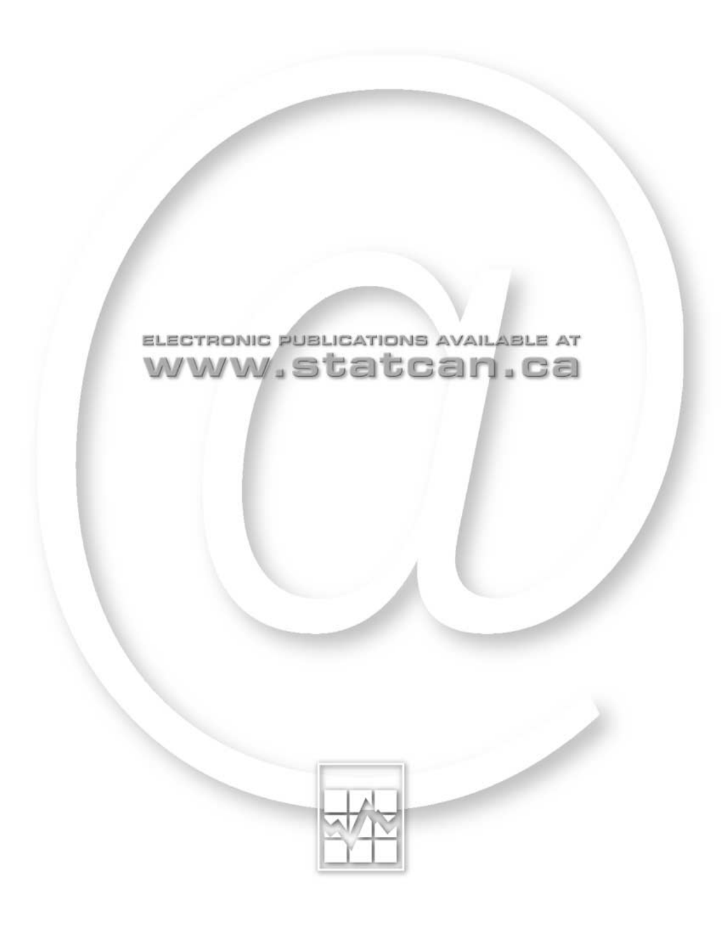

# ELECTRONIC PUBLICATIONS AVAILABLE AT www.statcan.ca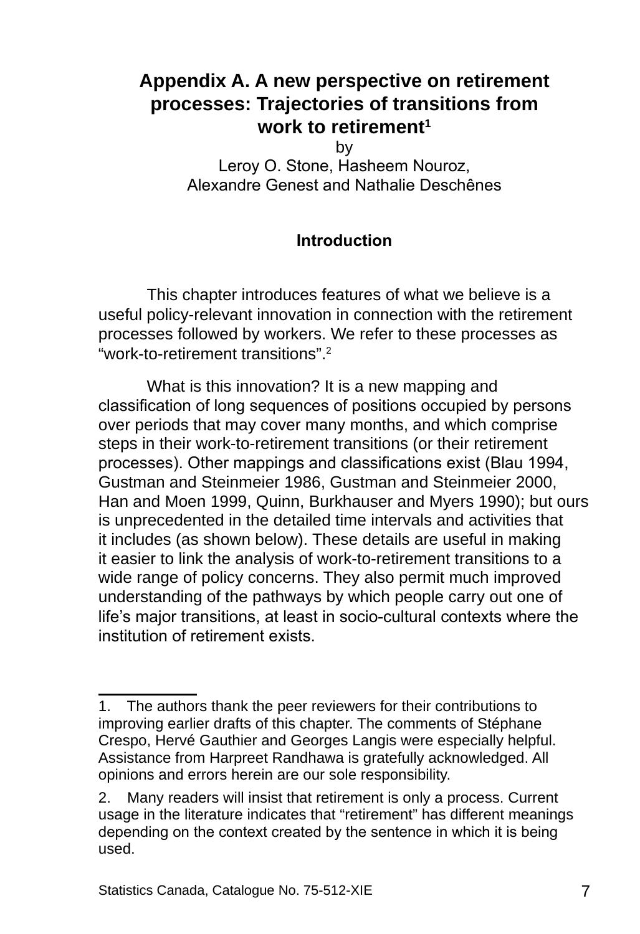## <span id="page-10-0"></span>**Appendix A. A new perspective on retirement processes: Trajectories of transitions from work to retirement**

by

Leroy O. Stone, Hasheem Nouroz, Alexandre Genest and Nathalie Deschênes

#### **Introduction**

This chapter introduces features of what we believe is a useful policy-relevant innovation in connection with the retirement processes followed by workers. We refer to these processes as "work-to-retirement transitions".2

What is this innovation? It is a new mapping and classification of long sequences of positions occupied by persons over periods that may cover many months, and which comprise steps in their work-to-retirement transitions (or their retirement processes). Other mappings and classifications exist (Blau 1994, Gustman and Steinmeier 1986, Gustman and Steinmeier 2000, Han and Moen 1999, Quinn, Burkhauser and Myers 1990); but ours is unprecedented in the detailed time intervals and activities that it includes (as shown below). These details are useful in making it easier to link the analysis of work-to-retirement transitions to a wide range of policy concerns. They also permit much improved understanding of the pathways by which people carry out one of life's major transitions, at least in socio-cultural contexts where the institution of retirement exists.

<sup>.</sup> The authors thank the peer reviewers for their contributions to improving earlier drafts of this chapter. The comments of Stéphane Crespo, Hervé Gauthier and Georges Langis were especially helpful. Assistance from Harpreet Randhawa is gratefully acknowledged. All opinions and errors herein are our sole responsibility.

<sup>2.</sup> Many readers will insist that retirement is only a process. Current usage in the literature indicates that "retirement" has different meanings depending on the context created by the sentence in which it is being used.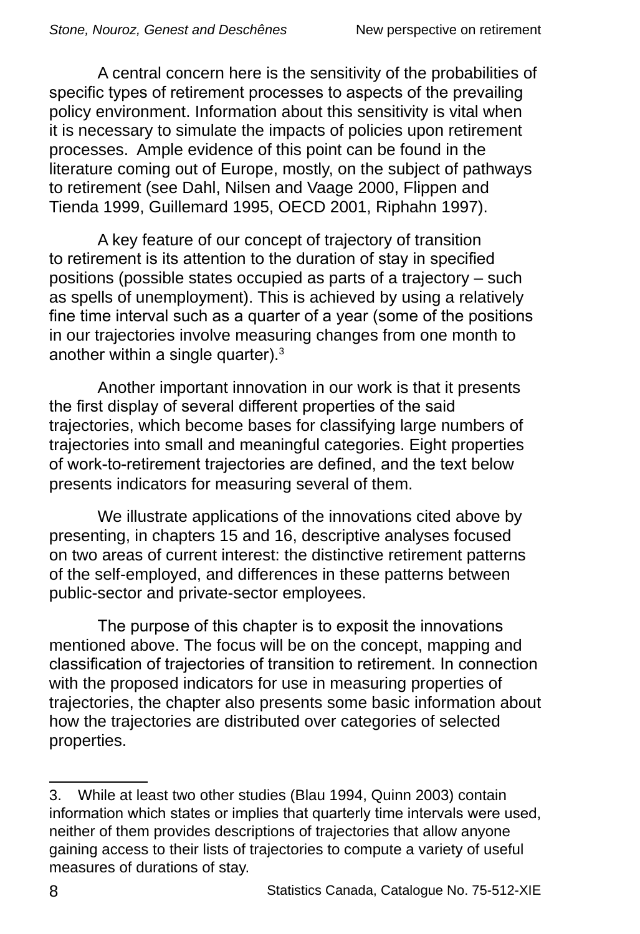A central concern here is the sensitivity of the probabilities of specific types of retirement processes to aspects of the prevailing policy environment. Information about this sensitivity is vital when it is necessary to simulate the impacts of policies upon retirement processes. Ample evidence of this point can be found in the literature coming out of Europe, mostly, on the subject of pathways to retirement (see Dahl, Nilsen and Vaage 2000, Flippen and Tienda 1999, Guillemard 1995, OECD 2001, Riphahn 1997).

A key feature of our concept of trajectory of transition to retirement is its attention to the duration of stay in specified positions (possible states occupied as parts of a trajectory – such as spells of unemployment). This is achieved by using a relatively fine time interval such as a quarter of a year (some of the positions in our trajectories involve measuring changes from one month to another within a single quarter).<sup>3</sup>

Another important innovation in our work is that it presents the first display of several different properties of the said trajectories, which become bases for classifying large numbers of trajectories into small and meaningful categories. Eight properties of work-to-retirement trajectories are defined, and the text below presents indicators for measuring several of them.

We illustrate applications of the innovations cited above by presenting, in chapters 15 and 16, descriptive analyses focused on two areas of current interest: the distinctive retirement patterns of the self-employed, and differences in these patterns between public-sector and private-sector employees.

The purpose of this chapter is to exposit the innovations mentioned above. The focus will be on the concept, mapping and classification of trajectories of transition to retirement. In connection with the proposed indicators for use in measuring properties of trajectories, the chapter also presents some basic information about how the trajectories are distributed over categories of selected properties.

<sup>3.</sup> While at least two other studies (Blau 1994, Quinn 2003) contain information which states or implies that quarterly time intervals were used, neither of them provides descriptions of trajectories that allow anyone gaining access to their lists of trajectories to compute a variety of useful measures of durations of stay.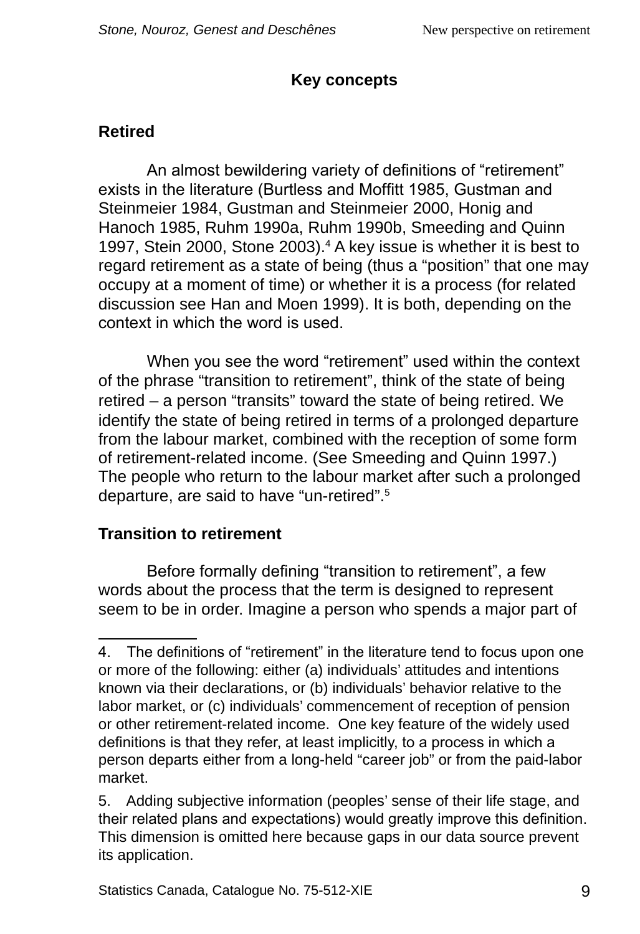### **Key concepts**

### <span id="page-12-0"></span>**Retired**

An almost bewildering variety of definitions of "retirement" exists in the literature (Burtless and Moffitt 1985, Gustman and Steinmeier 1984, Gustman and Steinmeier 2000, Honig and Hanoch 1985, Ruhm 1990a, Ruhm 1990b, Smeeding and Quinn 1997, Stein 2000, Stone 2003).<sup>4</sup> A key issue is whether it is best to regard retirement as a state of being (thus a "position" that one may occupy at a moment of time) or whether it is a process (for related discussion see Han and Moen 1999). It is both, depending on the context in which the word is used.

When you see the word "retirement" used within the context of the phrase "transition to retirement", think of the state of being retired – a person "transits" toward the state of being retired. We identify the state of being retired in terms of a prolonged departure from the labour market, combined with the reception of some form of retirement-related income. (See Smeeding and Quinn 1997.) The people who return to the labour market after such a prolonged departure, are said to have "un-retired". 5

### **Transition to retirement**

Before formally defining "transition to retirement", a few words about the process that the term is designed to represent seem to be in order. Imagine a person who spends a major part of

<sup>.</sup> The definitions of "retirement" in the literature tend to focus upon one or more of the following: either (a) individuals' attitudes and intentions known via their declarations, or (b) individuals' behavior relative to the labor market, or (c) individuals' commencement of reception of pension or other retirement-related income. One key feature of the widely used definitions is that they refer, at least implicitly, to a process in which a person departs either from a long-held "career job" or from the paid-labor market.

<sup>5.</sup> Adding subjective information (peoples' sense of their life stage, and their related plans and expectations) would greatly improve this definition. This dimension is omitted here because gaps in our data source prevent its application.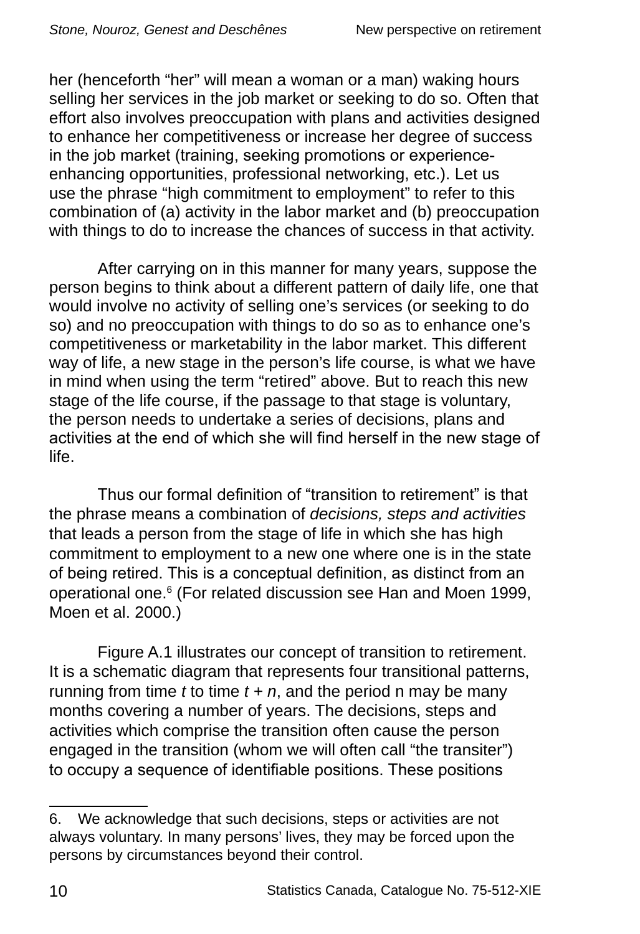her (henceforth "her" will mean a woman or a man) waking hours selling her services in the job market or seeking to do so. Often that effort also involves preoccupation with plans and activities designed to enhance her competitiveness or increase her degree of success in the job market (training, seeking promotions or experienceenhancing opportunities, professional networking, etc.). Let us use the phrase "high commitment to employment" to refer to this combination of (a) activity in the labor market and (b) preoccupation with things to do to increase the chances of success in that activity.

After carrying on in this manner for many years, suppose the person begins to think about a different pattern of daily life, one that would involve no activity of selling one's services (or seeking to do so) and no preoccupation with things to do so as to enhance one's competitiveness or marketability in the labor market. This different way of life, a new stage in the person's life course, is what we have in mind when using the term "retired" above. But to reach this new stage of the life course, if the passage to that stage is voluntary, the person needs to undertake a series of decisions, plans and activities at the end of which she will find herself in the new stage of life.

Thus our formal definition of "transition to retirement" is that the phrase means a combination of *decisions, steps and activities* that leads a person from the stage of life in which she has high commitment to employment to a new one where one is in the state of being retired. This is a conceptual definition, as distinct from an operational one.6 (For related discussion see Han and Moen 1999, Moen et al. 2000.)

Figure A.1 illustrates our concept of transition to retirement. It is a schematic diagram that represents four transitional patterns, running from time  $t$  to time  $t + n$ , and the period n may be many months covering a number of years. The decisions, steps and activities which comprise the transition often cause the person engaged in the transition (whom we will often call "the transiter") to occupy a sequence of identifiable positions. These positions

<sup>6.</sup> We acknowledge that such decisions, steps or activities are not always voluntary. In many persons' lives, they may be forced upon the persons by circumstances beyond their control.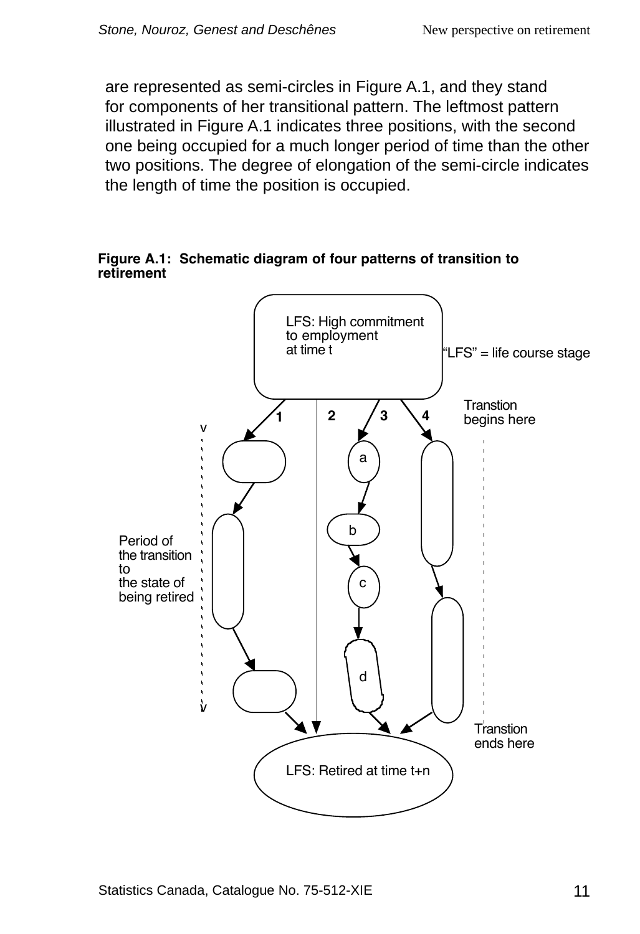<span id="page-14-0"></span>are represented as semi-circles in Figure A.1, and they stand for components of her transitional pattern. The leftmost pattern illustrated in Figure A.1 indicates three positions, with the second one being occupied for a much longer period of time than the other two positions. The degree of elongation of the semi-circle indicates the length of time the position is occupied.

**Figure A.1: Schematic diagram of four patterns of transition to retirement**

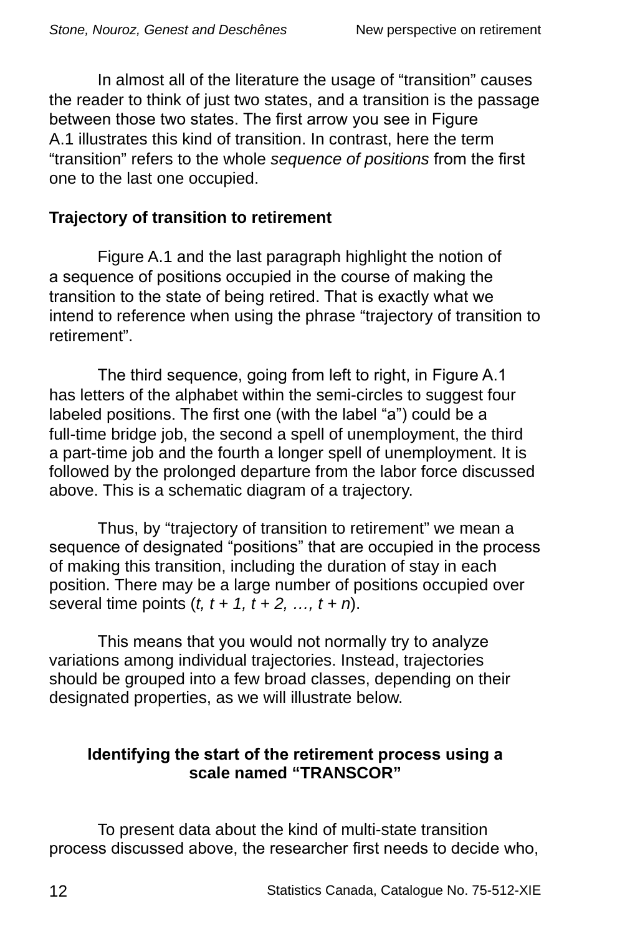<span id="page-15-0"></span>In almost all of the literature the usage of "transition" causes the reader to think of just two states, and a transition is the passage between those two states. The first arrow you see in Figure A.1 illustrates this kind of transition. In contrast, here the term "transition" refers to the whole *sequence of positions* from the first one to the last one occupied.

#### **Trajectory of transition to retirement**

Figure A.1 and the last paragraph highlight the notion of a sequence of positions occupied in the course of making the transition to the state of being retired. That is exactly what we intend to reference when using the phrase "trajectory of transition to retirement".

The third sequence, going from left to right, in Figure A.1 has letters of the alphabet within the semi-circles to suggest four labeled positions. The first one (with the label "a") could be a full-time bridge job, the second a spell of unemployment, the third a part-time job and the fourth a longer spell of unemployment. It is followed by the prolonged departure from the labor force discussed above. This is a schematic diagram of a trajectory.

Thus, by "trajectory of transition to retirement" we mean a sequence of designated "positions" that are occupied in the process of making this transition, including the duration of stay in each position. There may be a large number of positions occupied over several time points (*t, t + 1, t + 2, …, t + n*).

This means that you would not normally try to analyze variations among individual trajectories. Instead, trajectories should be grouped into a few broad classes, depending on their designated properties, as we will illustrate below.

#### **Identifying the start of the retirement process using a scale named "TRANSCOR"**

To present data about the kind of multi-state transition process discussed above, the researcher first needs to decide who,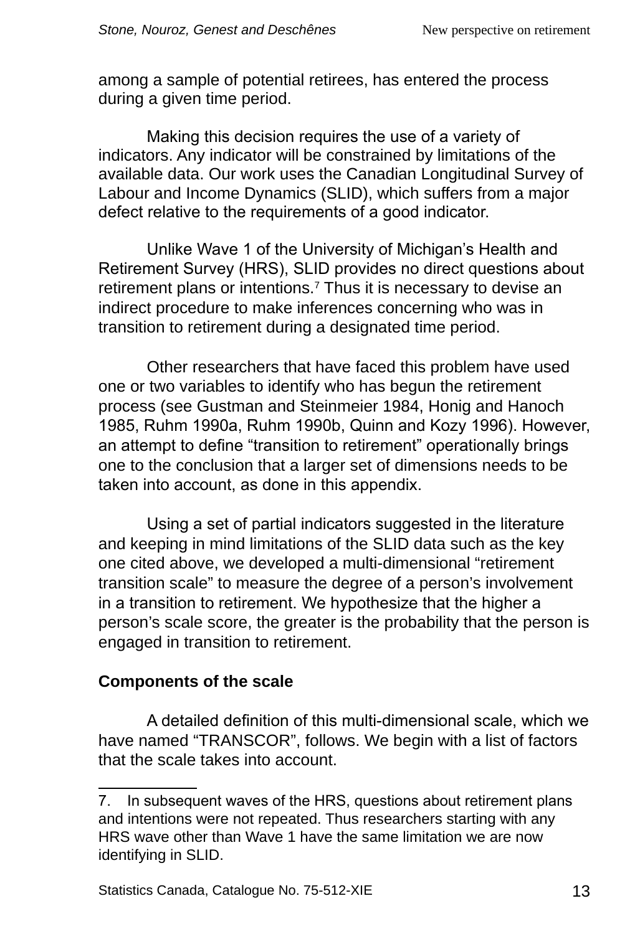among a sample of potential retirees, has entered the process during a given time period.

Making this decision requires the use of a variety of indicators. Any indicator will be constrained by limitations of the available data. Our work uses the Canadian Longitudinal Survey of Labour and Income Dynamics (SLID), which suffers from a major defect relative to the requirements of a good indicator.

Unlike Wave 1 of the University of Michigan's Health and Retirement Survey (HRS), SLID provides no direct questions about retirement plans or intentions.<sup>7</sup> Thus it is necessary to devise an indirect procedure to make inferences concerning who was in transition to retirement during a designated time period.

Other researchers that have faced this problem have used one or two variables to identify who has begun the retirement process (see Gustman and Steinmeier 1984, Honig and Hanoch 1985, Ruhm 1990a, Ruhm 1990b, Quinn and Kozy 1996). However, an attempt to define "transition to retirement" operationally brings one to the conclusion that a larger set of dimensions needs to be taken into account, as done in this appendix.

Using a set of partial indicators suggested in the literature and keeping in mind limitations of the SLID data such as the key one cited above, we developed a multi-dimensional "retirement transition scale" to measure the degree of a person's involvement in a transition to retirement. We hypothesize that the higher a person's scale score, the greater is the probability that the person is engaged in transition to retirement.

#### **Components of the scale**

A detailed definition of this multi-dimensional scale, which we have named "TRANSCOR", follows. We begin with a list of factors that the scale takes into account.

<sup>.</sup> In subsequent waves of the HRS, questions about retirement plans and intentions were not repeated. Thus researchers starting with any HRS wave other than Wave 1 have the same limitation we are now identifying in SLID.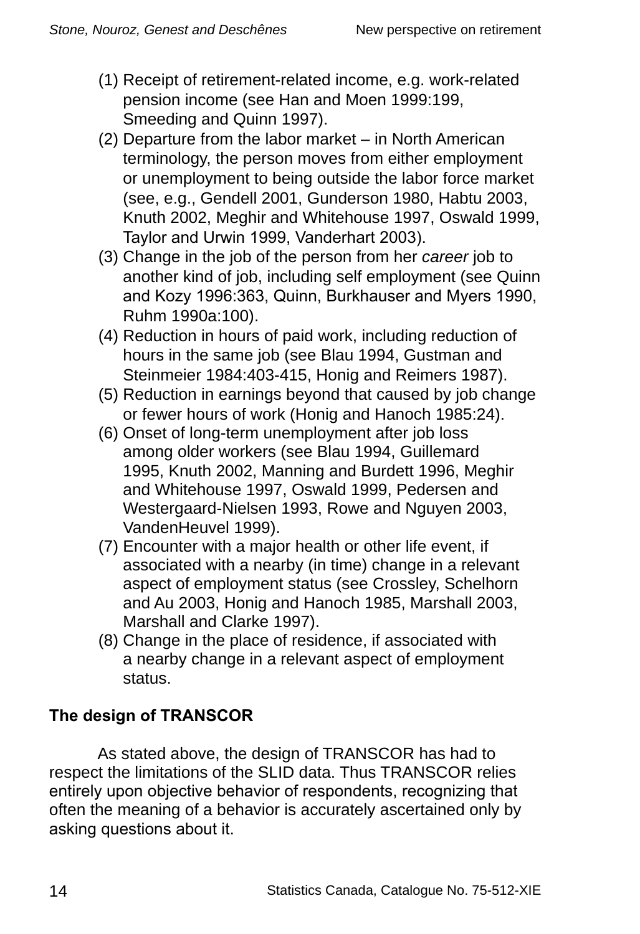- (1) Receipt of retirement-related income, e.g. work-related pension income (see Han and Moen 1999:199, Smeeding and Quinn 1997).
- (2) Departure from the labor market in North American terminology, the person moves from either employment or unemployment to being outside the labor force market (see, e.g., Gendell 2001, Gunderson 1980, Habtu 2003, Knuth 2002, Meghir and Whitehouse 1997, Oswald 1999, Taylor and Urwin 1999, Vanderhart 2003).
- (3) Change in the job of the person from her *career* job to another kind of job, including self employment (see Quinn and Kozy 1996:363, Quinn, Burkhauser and Myers 1990, Ruhm 1990a:100).
- (4) Reduction in hours of paid work, including reduction of hours in the same job (see Blau 1994, Gustman and Steinmeier 1984:403-415, Honig and Reimers 1987).
- (5) Reduction in earnings beyond that caused by job change or fewer hours of work (Honig and Hanoch 1985:24).
- (6) Onset of long-term unemployment after job loss among older workers (see Blau 1994, Guillemard 1995, Knuth 2002, Manning and Burdett 1996, Meghir and Whitehouse 1997, Oswald 1999, Pedersen and Westergaard-Nielsen 1993, Rowe and Nguyen 2003, VandenHeuvel 1999).
- (7) Encounter with a major health or other life event, if associated with a nearby (in time) change in a relevant aspect of employment status (see Crossley, Schelhorn and Au 2003, Honig and Hanoch 1985, Marshall 2003, Marshall and Clarke 1997).
- (8) Change in the place of residence, if associated with a nearby change in a relevant aspect of employment status.

### **The design of TRANSCOR**

As stated above, the design of TRANSCOR has had to respect the limitations of the SLID data. Thus TRANSCOR relies entirely upon objective behavior of respondents, recognizing that often the meaning of a behavior is accurately ascertained only by asking questions about it.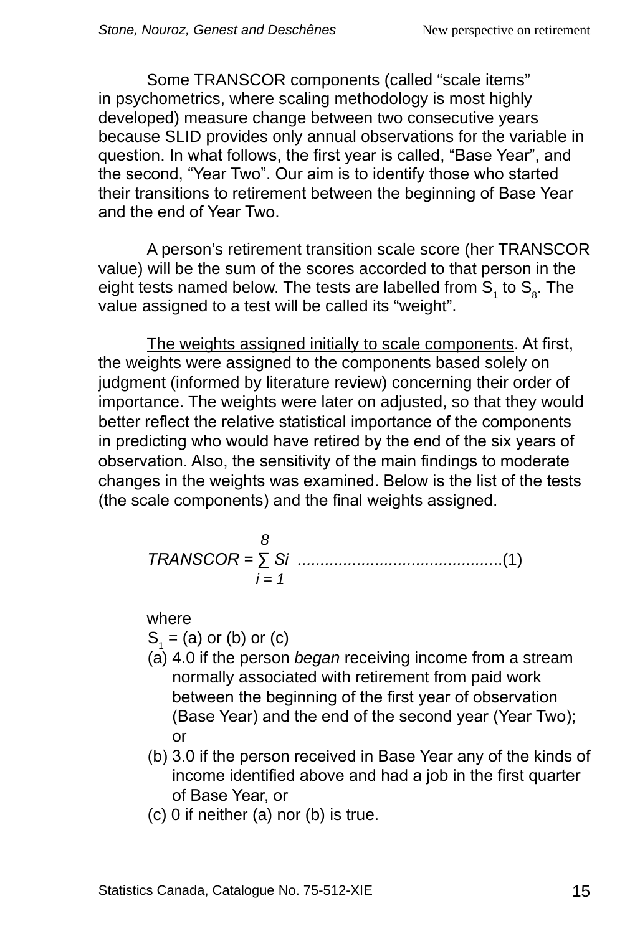Some TRANSCOR components (called "scale items" in psychometrics, where scaling methodology is most highly developed) measure change between two consecutive years because SLID provides only annual observations for the variable in question. In what follows, the first year is called, "Base Year", and the second, "Year Two". Our aim is to identify those who started their transitions to retirement between the beginning of Base Year and the end of Year Two.

A person's retirement transition scale score (her TRANSCOR value) will be the sum of the scores accorded to that person in the eight tests named below. The tests are labelled from  $\mathsf{S}_{_{1}}$  to  $\mathsf{S}_{_{8}}$ . The value assigned to a test will be called its "weight".

The weights assigned initially to scale components. At first, the weights were assigned to the components based solely on judgment (informed by literature review) concerning their order of importance. The weights were later on adjusted, so that they would better reflect the relative statistical importance of the components in predicting who would have retired by the end of the six years of observation. Also, the sensitivity of the main findings to moderate changes in the weights was examined. Below is the list of the tests (the scale components) and the final weights assigned.

$$
TRANSCOR = \sum_{i=1}^{8} Si
$$

where

 $S_1$  = (a) or (b) or (c)

- (a) 4.0 if the person *began* receiving income from a stream normally associated with retirement from paid work between the beginning of the first year of observation (Base Year) and the end of the second year (Year Two); or
- (b) 3.0 if the person received in Base Year any of the kinds of income identified above and had a job in the first quarter of Base Year, or
- (c) 0 if neither (a) nor (b) is true.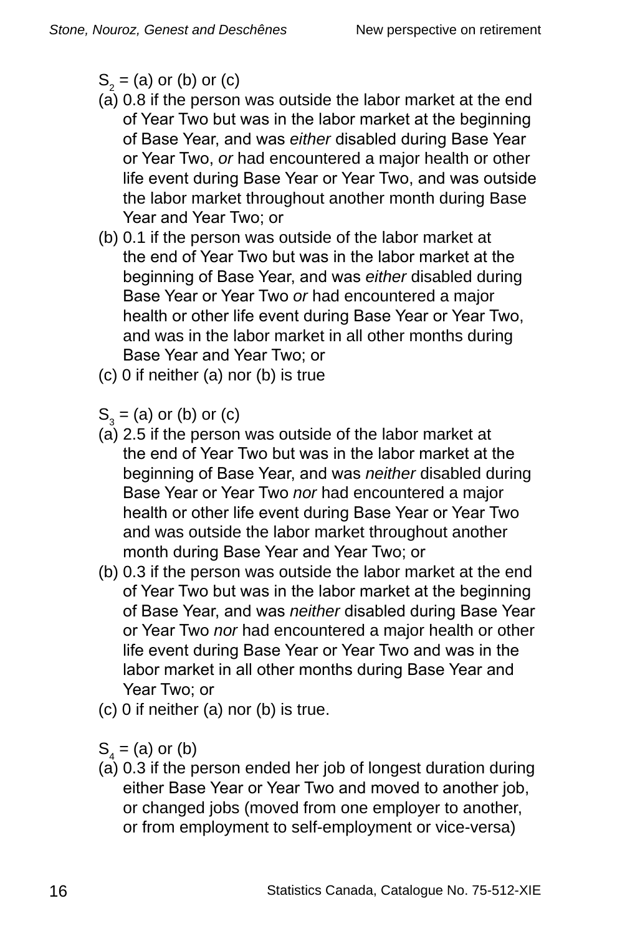$S_2$  = (a) or (b) or (c)

- (a) 0.8 if the person was outside the labor market at the end of Year Two but was in the labor market at the beginning of Base Year, and was *either* disabled during Base Year or Year Two, *or* had encountered a major health or other life event during Base Year or Year Two, and was outside the labor market throughout another month during Base Year and Year Two; or
- (b) 0.1 if the person was outside of the labor market at the end of Year Two but was in the labor market at the beginning of Base Year, and was *either* disabled during Base Year or Year Two *or* had encountered a major health or other life event during Base Year or Year Two, and was in the labor market in all other months during Base Year and Year Two; or
- (c) 0 if neither (a) nor (b) is true
- $S_3$  = (a) or (b) or (c)
- (a) 2.5 if the person was outside of the labor market at the end of Year Two but was in the labor market at the beginning of Base Year, and was *neither* disabled during Base Year or Year Two *nor* had encountered a major health or other life event during Base Year or Year Two and was outside the labor market throughout another month during Base Year and Year Two; or
- (b) 0.3 if the person was outside the labor market at the end of Year Two but was in the labor market at the beginning of Base Year, and was *neither* disabled during Base Year or Year Two *nor* had encountered a major health or other life event during Base Year or Year Two and was in the labor market in all other months during Base Year and Year Two; or
- (c) 0 if neither (a) nor (b) is true.

 $S_4$  = (a) or (b)

(a) 0.3 if the person ended her job of longest duration during either Base Year or Year Two and moved to another job, or changed jobs (moved from one employer to another, or from employment to self-employment or vice-versa)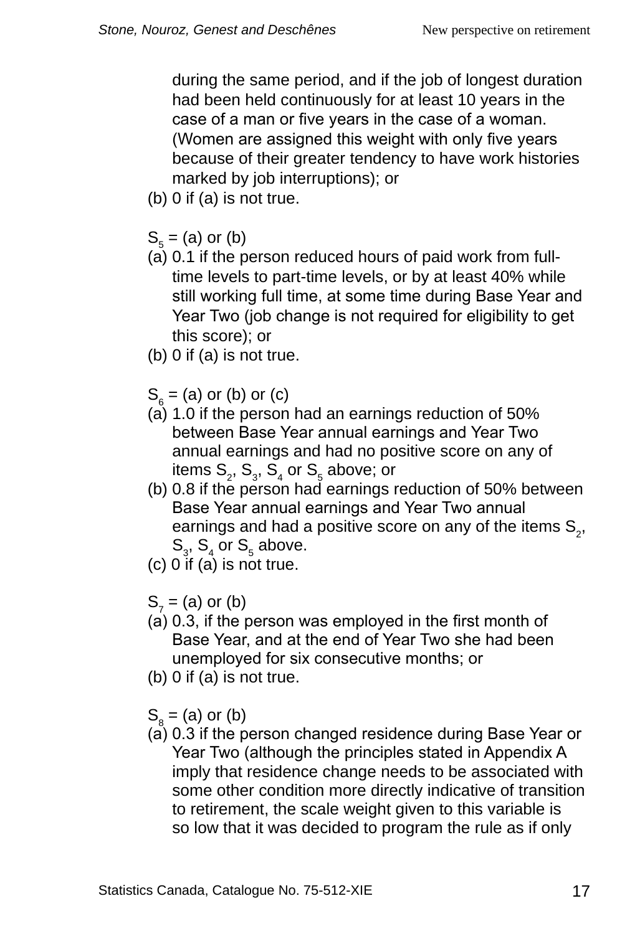during the same period, and if the job of longest duration had been held continuously for at least 10 years in the case of a man or five years in the case of a woman. (Women are assigned this weight with only five years because of their greater tendency to have work histories marked by job interruptions); or

- $(b)$  0 if  $(a)$  is not true.
- $S_5^2$  = (a) or (b)
- (a) 0.1 if the person reduced hours of paid work from fulltime levels to part-time levels, or by at least 40% while still working full time, at some time during Base Year and Year Two (job change is not required for eligibility to get this score); or
- (b) 0 if (a) is not true.
- $S_6$  = (a) or (b) or (c)
- (a) 1.0 if the person had an earnings reduction of 50% between Base Year annual earnings and Year Two annual earnings and had no positive score on any of items  $\mathsf{S}_2^{},\,\mathsf{S}_3^{},\,\mathsf{S}_4^{}$  or  $\mathsf{S}_5^{}$  above; or
- (b) 0.8 if the person had earnings reduction of 50% between Base Year annual earnings and Year Two annual earnings and had a positive score on any of the items  $S_{2}$ ,  $\mathsf{S}_{3}$ ,  $\mathsf{S}_{4}$  or  $\mathsf{S}_{5}$  above.
- (c) 0 if (a) is not true.
- $S_7$  = (a) or (b)
- (a) 0.3, if the person was employed in the first month of Base Year, and at the end of Year Two she had been unemployed for six consecutive months; or
- $(b)$  0 if  $(a)$  is not true.
- $S_8^2$  = (a) or (b)
- (a) 0.3 if the person changed residence during Base Year or Year Two (although the principles stated in Appendix A imply that residence change needs to be associated with some other condition more directly indicative of transition to retirement, the scale weight given to this variable is so low that it was decided to program the rule as if only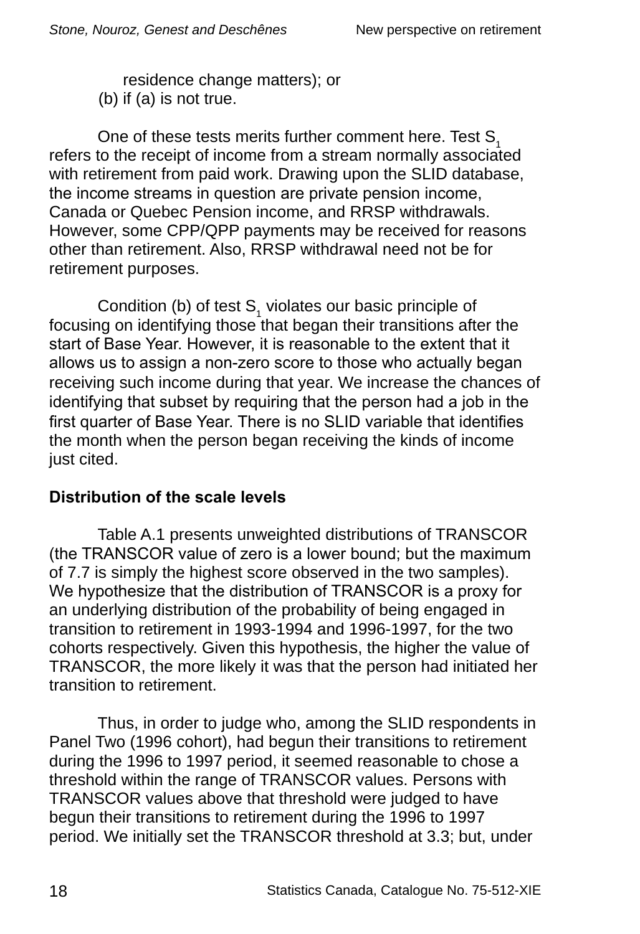residence change matters); or (b) if (a) is not true.

One of these tests merits further comment here. Test  $S<sub>1</sub>$ refers to the receipt of income from a stream normally associated with retirement from paid work. Drawing upon the SLID database, the income streams in question are private pension income, Canada or Quebec Pension income, and RRSP withdrawals. However, some CPP/QPP payments may be received for reasons other than retirement. Also, RRSP withdrawal need not be for retirement purposes.

Condition (b) of test  $S_1$  violates our basic principle of focusing on identifying those that began their transitions after the start of Base Year. However, it is reasonable to the extent that it allows us to assign a non-zero score to those who actually began receiving such income during that year. We increase the chances of identifying that subset by requiring that the person had a job in the first quarter of Base Year. There is no SLID variable that identifies the month when the person began receiving the kinds of income just cited.

### **Distribution of the scale levels**

Table A.1 presents unweighted distributions of TRANSCOR (the TRANSCOR value of zero is a lower bound; but the maximum of 7.7 is simply the highest score observed in the two samples). We hypothesize that the distribution of TRANSCOR is a proxy for an underlying distribution of the probability of being engaged in transition to retirement in 1993-1994 and 1996-1997, for the two cohorts respectively. Given this hypothesis, the higher the value of TRANSCOR, the more likely it was that the person had initiated her transition to retirement.

Thus, in order to judge who, among the SLID respondents in Panel Two (1996 cohort), had begun their transitions to retirement during the 1996 to 1997 period, it seemed reasonable to chose a threshold within the range of TRANSCOR values. Persons with TRANSCOR values above that threshold were judged to have begun their transitions to retirement during the 1996 to 1997 period. We initially set the TRANSCOR threshold at 3.3; but, under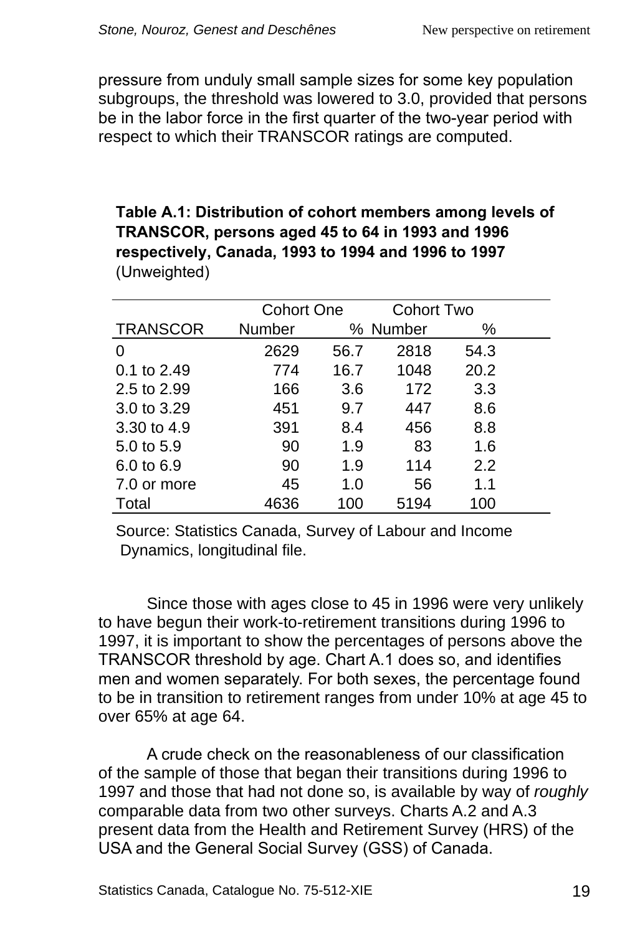<span id="page-22-0"></span>pressure from unduly small sample sizes for some key population subgroups, the threshold was lowered to 3.0, provided that persons be in the labor force in the first quarter of the two-year period with respect to which their TRANSCOR ratings are computed.

#### **Table A.1: Distribution of cohort members among levels of TRANSCOR, persons aged 45 to 64 in 1993 and 1996 respectively, Canada, 199 to 1994 and 1996 to 1997** (Unweighted)

|                 |        | <b>Cohort One</b> |          | <b>Cohort Two</b> |  |
|-----------------|--------|-------------------|----------|-------------------|--|
| <b>TRANSCOR</b> | Number |                   | % Number | ℅                 |  |
| 0               | 2629   | 56.7              | 2818     | 54.3              |  |
| 0.1 to 2.49     | 774    | 16.7              | 1048     | 20.2              |  |
| 2.5 to 2.99     | 166    | 3.6               | 172      | 3.3               |  |
| 3.0 to 3.29     | 451    | 9.7               | 447      | 8.6               |  |
| 3.30 to 4.9     | 391    | 8.4               | 456      | 8.8               |  |
| 5.0 to 5.9      | 90     | 1.9               | 83       | 1.6               |  |
| 6.0 to 6.9      | 90     | 1.9               | 114      | 2.2               |  |
| 7.0 or more     | 45     | 1.0               | 56       | 1.1               |  |
| Total           | 4636   | 100               | 5194     | 100               |  |

Source: Statistics Canada, Survey of Labour and Income Dynamics, longitudinal file.

Since those with ages close to 45 in 1996 were very unlikely to have begun their work-to-retirement transitions during 1996 to 1997, it is important to show the percentages of persons above the TRANSCOR threshold by age. Chart A.1 does so, and identifies men and women separately. For both sexes, the percentage found to be in transition to retirement ranges from under 10% at age 45 to over 65% at age 64.

A crude check on the reasonableness of our classification of the sample of those that began their transitions during 1996 to 1997 and those that had not done so, is available by way of *roughly* comparable data from two other surveys. Charts A.2 and A.3 present data from the Health and Retirement Survey (HRS) of the USA and the General Social Survey (GSS) of Canada.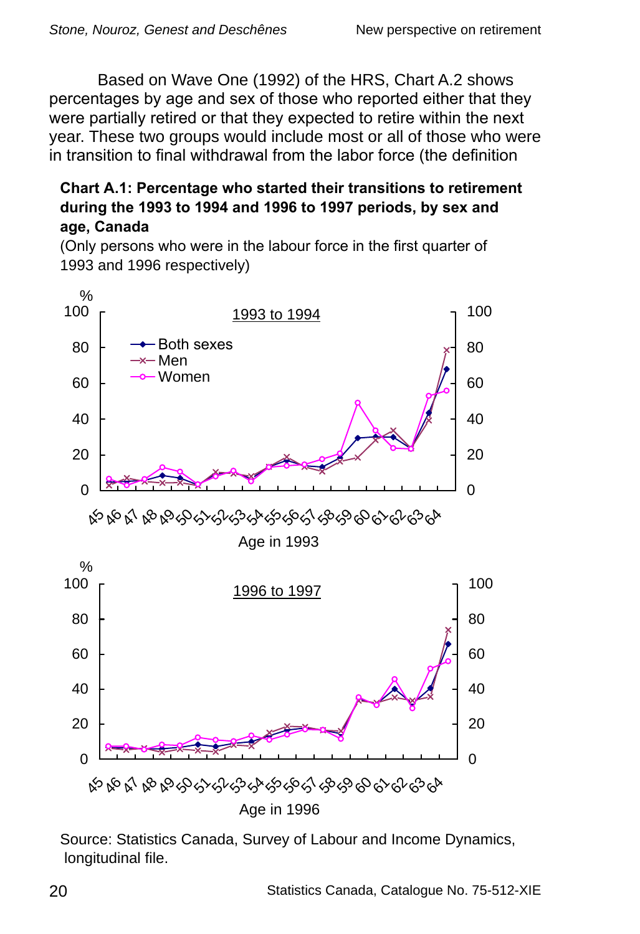<span id="page-23-0"></span>Based on Wave One (1992) of the HRS, Chart A.2 shows percentages by age and sex of those who reported either that they were partially retired or that they expected to retire within the next year. These two groups would include most or all of those who were in transition to final withdrawal from the labor force (the definition

#### **Chart A.1: Percentage who started their transitions to retirement during the 199 to 1994 and 1996 to 1997 periods, by sex and age, Canada**

(Only persons who were in the labour force in the first quarter of 1993 and 1996 respectively)



Source: Statistics Canada, Survey of Labour and Income Dynamics, longitudinal file.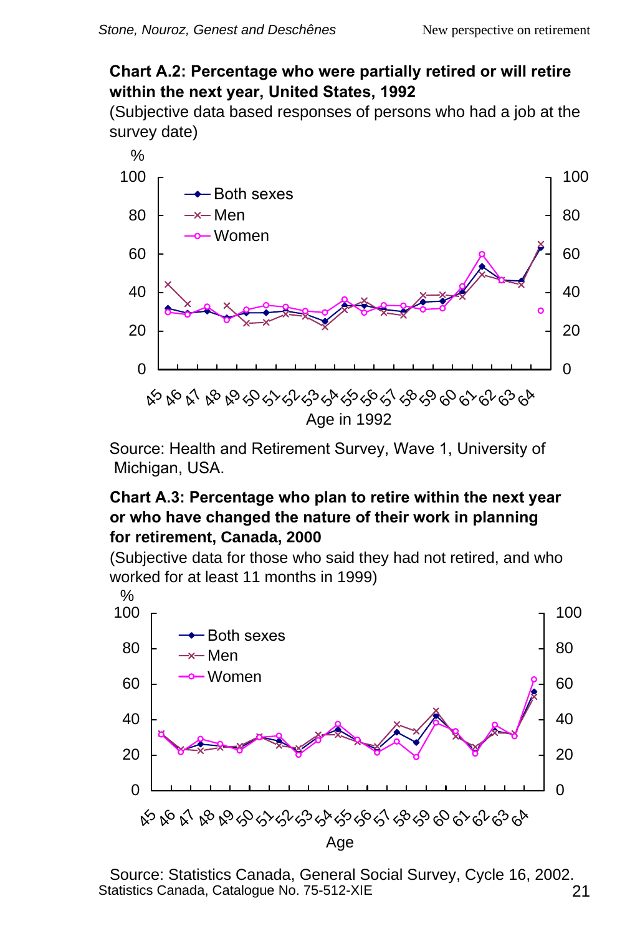#### <span id="page-24-0"></span>**Chart A.2: Percentage who were partially retired or will retire within the next year, United States, 1992**

(Subjective data based responses of persons who had a job at the survey date)



Source: Health and Retirement Survey, Wave 1, University of Michigan, USA.

#### **Chart A.3: Percentage who plan to retire within the next year or who have changed the nature of their work in planning for retirement, Canada, 2000**

(Subjective data for those who said they had not retired, and who worked for at least 11 months in 1999)



Statistics Canada, Catalogue No. 75-512-XIE 21 Source: Statistics Canada, General Social Survey, Cycle 16, 2002.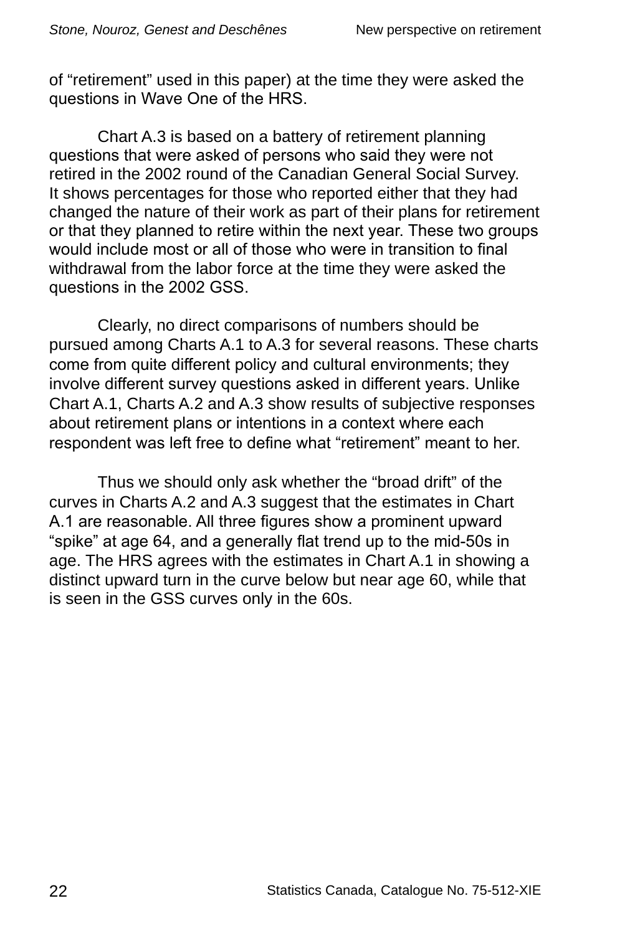of "retirement" used in this paper) at the time they were asked the questions in Wave One of the HRS.

Chart A.3 is based on a battery of retirement planning questions that were asked of persons who said they were not retired in the 2002 round of the Canadian General Social Survey. It shows percentages for those who reported either that they had changed the nature of their work as part of their plans for retirement or that they planned to retire within the next year. These two groups would include most or all of those who were in transition to final withdrawal from the labor force at the time they were asked the questions in the 2002 GSS.

Clearly, no direct comparisons of numbers should be pursued among Charts A.1 to A.3 for several reasons. These charts come from quite different policy and cultural environments; they involve different survey questions asked in different years. Unlike Chart A.1, Charts A.2 and A.3 show results of subjective responses about retirement plans or intentions in a context where each respondent was left free to define what "retirement" meant to her.

Thus we should only ask whether the "broad drift" of the curves in Charts A.2 and A.3 suggest that the estimates in Chart A.1 are reasonable. All three figures show a prominent upward "spike" at age 64, and a generally flat trend up to the mid-50s in age. The HRS agrees with the estimates in Chart A.1 in showing a distinct upward turn in the curve below but near age 60, while that is seen in the GSS curves only in the 60s.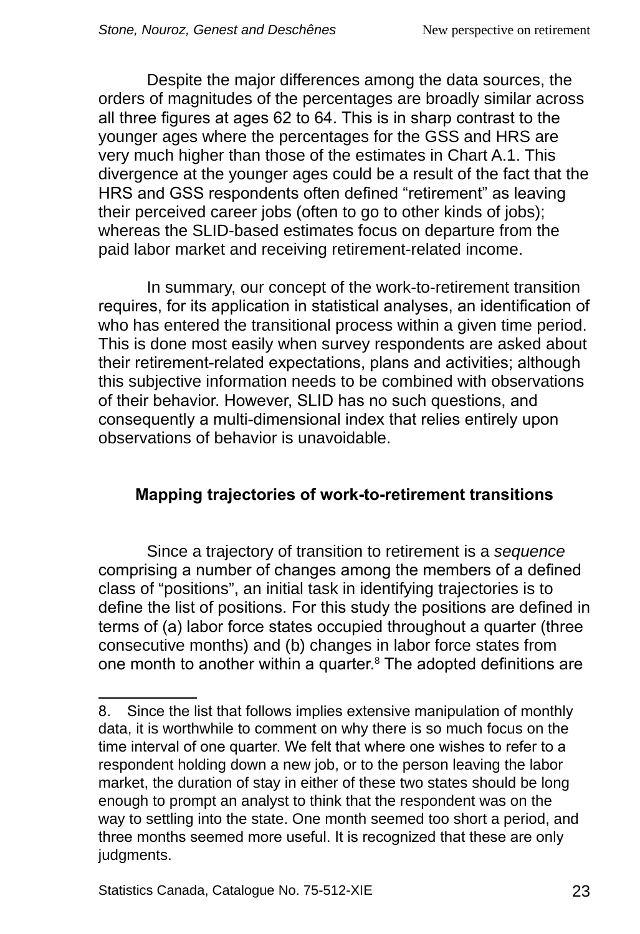<span id="page-26-0"></span>Despite the major differences among the data sources, the orders of magnitudes of the percentages are broadly similar across all three figures at ages 62 to 64. This is in sharp contrast to the younger ages where the percentages for the GSS and HRS are very much higher than those of the estimates in Chart A.1. This divergence at the younger ages could be a result of the fact that the HRS and GSS respondents often defined "retirement" as leaving their perceived career jobs (often to go to other kinds of jobs); whereas the SLID-based estimates focus on departure from the paid labor market and receiving retirement-related income.

In summary, our concept of the work-to-retirement transition requires, for its application in statistical analyses, an identification of who has entered the transitional process within a given time period. This is done most easily when survey respondents are asked about their retirement-related expectations, plans and activities; although this subjective information needs to be combined with observations of their behavior. However, SLID has no such questions, and consequently a multi-dimensional index that relies entirely upon observations of behavior is unavoidable.

#### **Mapping trajectories of work-to-retirement transitions**

Since a trajectory of transition to retirement is a *sequence* comprising a number of changes among the members of a defined class of "positions", an initial task in identifying trajectories is to define the list of positions. For this study the positions are defined in terms of (a) labor force states occupied throughout a quarter (three consecutive months) and (b) changes in labor force states from one month to another within a quarter. $8$  The adopted definitions are

<sup>.</sup> Since the list that follows implies extensive manipulation of monthly data, it is worthwhile to comment on why there is so much focus on the time interval of one quarter. We felt that where one wishes to refer to a respondent holding down a new job, or to the person leaving the labor market, the duration of stay in either of these two states should be long enough to prompt an analyst to think that the respondent was on the way to settling into the state. One month seemed too short a period, and three months seemed more useful. It is recognized that these are only judgments.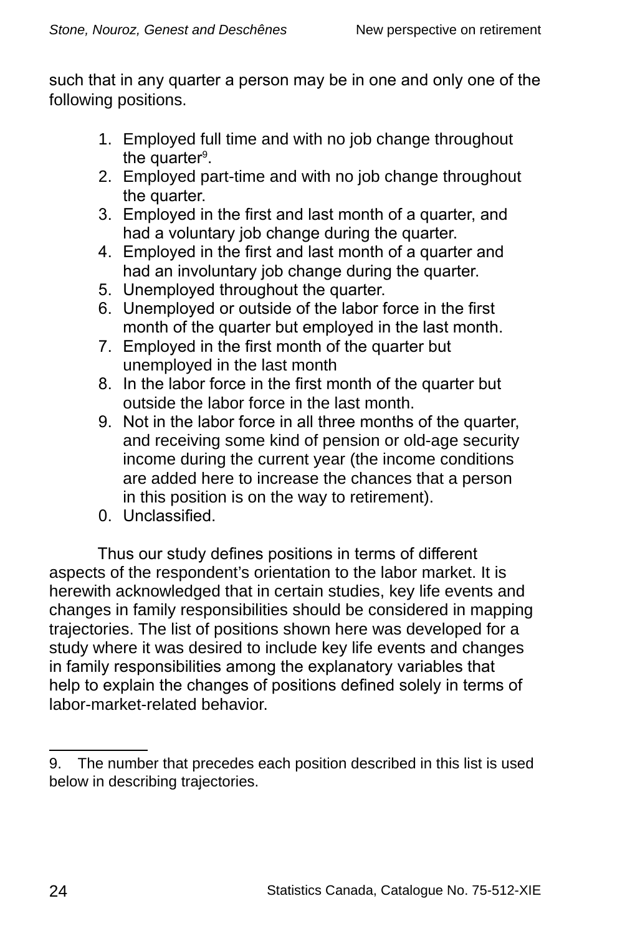such that in any quarter a person may be in one and only one of the following positions.

- 1. Employed full time and with no job change throughout the quarter<sup>9</sup>.
- 2. Employed part-time and with no job change throughout the quarter.
- 3. Employed in the first and last month of a quarter, and had a voluntary job change during the quarter.
- 4. Employed in the first and last month of a quarter and had an involuntary job change during the quarter.
- 5. Unemployed throughout the quarter.
- 6. Unemployed or outside of the labor force in the first month of the quarter but employed in the last month.
- 7. Employed in the first month of the quarter but unemployed in the last month
- 8. In the labor force in the first month of the quarter but outside the labor force in the last month.
- 9. Not in the labor force in all three months of the quarter, and receiving some kind of pension or old-age security income during the current year (the income conditions are added here to increase the chances that a person in this position is on the way to retirement).
- 0. Unclassified.

Thus our study defines positions in terms of different aspects of the respondent's orientation to the labor market. It is herewith acknowledged that in certain studies, key life events and changes in family responsibilities should be considered in mapping trajectories. The list of positions shown here was developed for a study where it was desired to include key life events and changes in family responsibilities among the explanatory variables that help to explain the changes of positions defined solely in terms of labor-market-related behavior.

<sup>9.</sup> The number that precedes each position described in this list is used below in describing trajectories.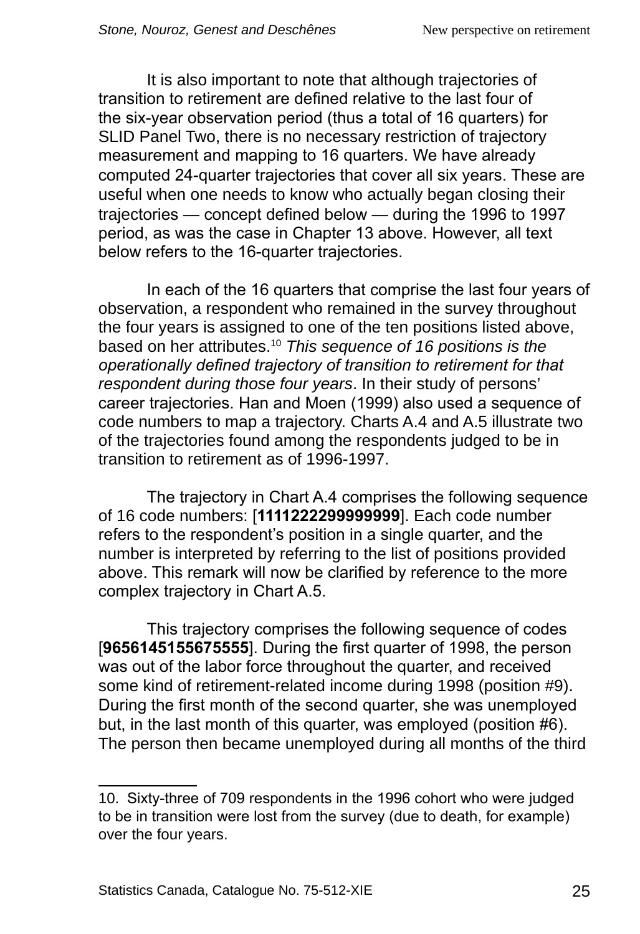It is also important to note that although trajectories of transition to retirement are defined relative to the last four of the six‑year observation period (thus a total of 16 quarters) for SLID Panel Two, there is no necessary restriction of trajectory measurement and mapping to 16 quarters. We have already computed 24-quarter trajectories that cover all six years. These are useful when one needs to know who actually began closing their trajectories — concept defined below — during the 1996 to 1997 period, as was the case in Chapter 13 above. However, all text below refers to the 16-quarter trajectories.

In each of the 16 quarters that comprise the last four years of observation, a respondent who remained in the survey throughout the four years is assigned to one of the ten positions listed above, based on her attributes.10 *This sequence of 16 positions is the operationally defined trajectory of transition to retirement for that respondent during those four years*. In their study of persons' career trajectories. Han and Moen (1999) also used a sequence of code numbers to map a trajectory. Charts A.4 and A.5 illustrate two of the trajectories found among the respondents judged to be in transition to retirement as of 1996-1997.

The trajectory in Chart A.4 comprises the following sequence of 16 code numbers: [**1111222299999999**]. Each code number refers to the respondent's position in a single quarter, and the number is interpreted by referring to the list of positions provided above. This remark will now be clarified by reference to the more complex trajectory in Chart A.5.

This trajectory comprises the following sequence of codes [**9656145155675555**]. During the first quarter of 1998, the person was out of the labor force throughout the quarter, and received some kind of retirement-related income during 1998 (position #9). During the first month of the second quarter, she was unemployed but, in the last month of this quarter, was employed (position #6). The person then became unemployed during all months of the third

<sup>10.</sup> Sixty-three of 709 respondents in the 1996 cohort who were judged to be in transition were lost from the survey (due to death, for example) over the four years.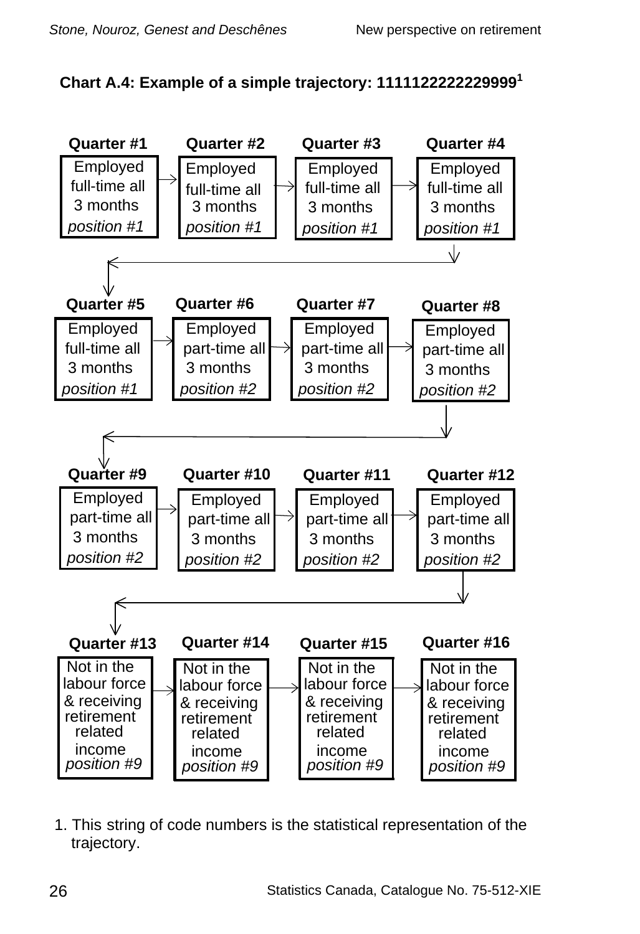<span id="page-29-0"></span>



1. This string of code numbers is the statistical representation of the trajectory.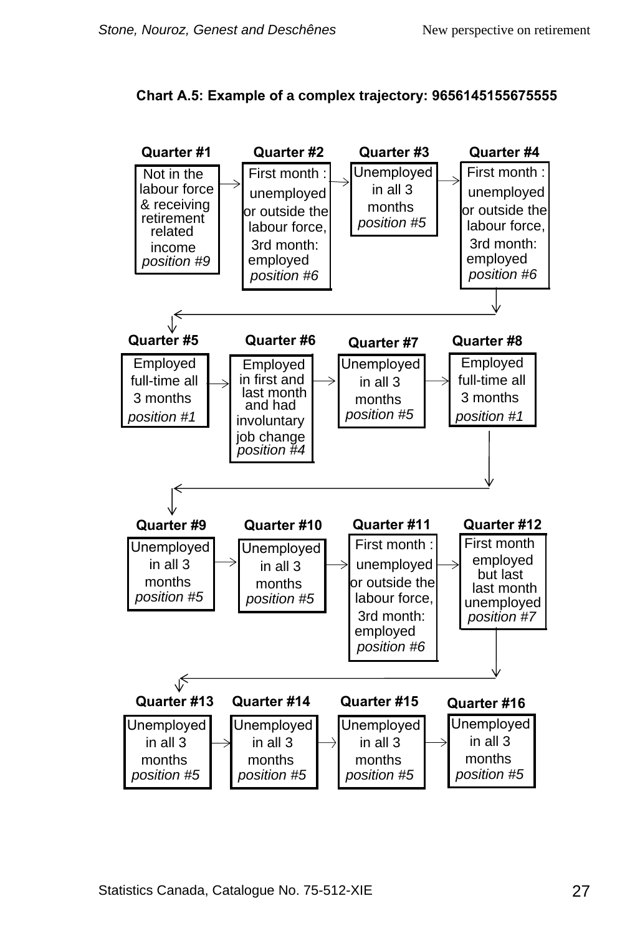<span id="page-30-0"></span>

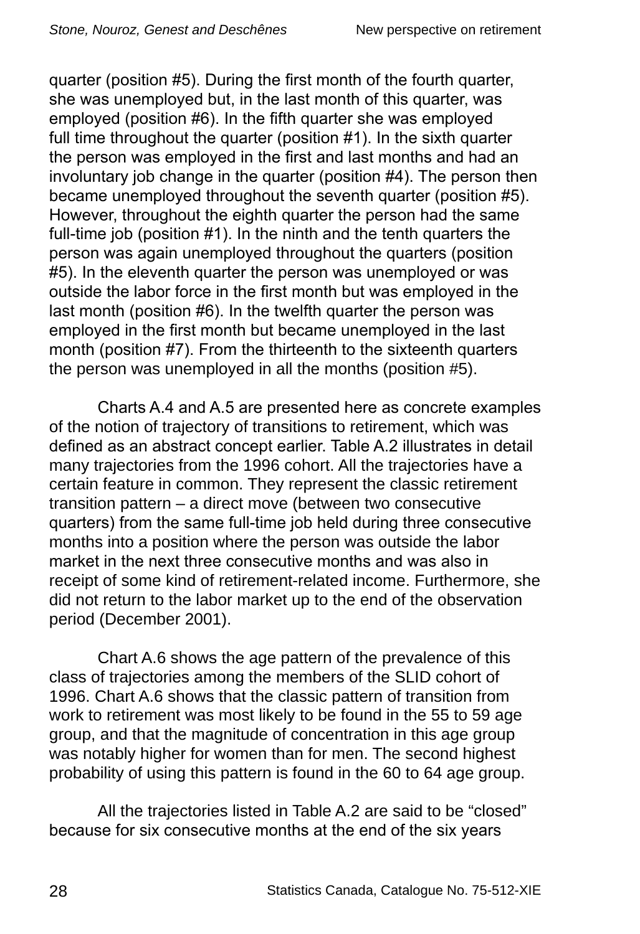quarter (position #5). During the first month of the fourth quarter, she was unemployed but, in the last month of this quarter, was employed (position #6). In the fifth quarter she was employed full time throughout the quarter (position #1). In the sixth quarter the person was employed in the first and last months and had an involuntary job change in the quarter (position #4). The person then became unemployed throughout the seventh quarter (position #5). However, throughout the eighth quarter the person had the same full-time job (position #1). In the ninth and the tenth quarters the person was again unemployed throughout the quarters (position #5). In the eleventh quarter the person was unemployed or was outside the labor force in the first month but was employed in the last month (position #6). In the twelfth quarter the person was employed in the first month but became unemployed in the last month (position #7). From the thirteenth to the sixteenth quarters the person was unemployed in all the months (position #5).

Charts A.4 and A.5 are presented here as concrete examples of the notion of trajectory of transitions to retirement, which was defined as an abstract concept earlier. Table A.2 illustrates in detail many trajectories from the 1996 cohort. All the trajectories have a certain feature in common. They represent the classic retirement transition pattern – a direct move (between two consecutive quarters) from the same full-time job held during three consecutive months into a position where the person was outside the labor market in the next three consecutive months and was also in receipt of some kind of retirement-related income. Furthermore, she did not return to the labor market up to the end of the observation period (December 2001).

Chart A.6 shows the age pattern of the prevalence of this class of trajectories among the members of the SLID cohort of 1996. Chart A.6 shows that the classic pattern of transition from work to retirement was most likely to be found in the 55 to 59 age group, and that the magnitude of concentration in this age group was notably higher for women than for men. The second highest probability of using this pattern is found in the 60 to 64 age group.

All the trajectories listed in Table A.2 are said to be "closed" because for six consecutive months at the end of the six years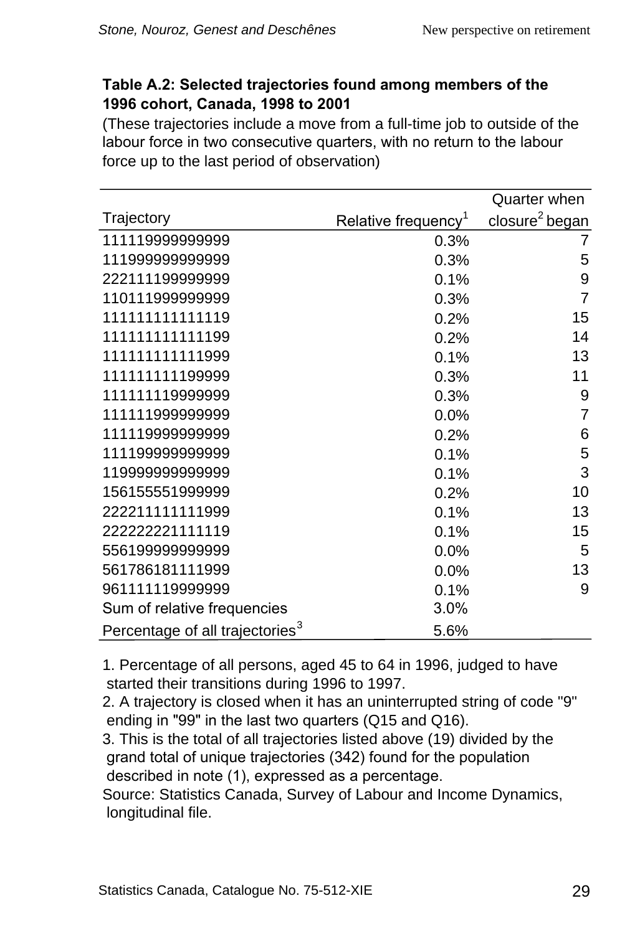#### <span id="page-32-0"></span>**Table A.2: Selected trajectories found among members of the 1996 cohort, Canada, 1998 to 2001**

(These trajectories include a move from a full-time job to outside of the labour force in two consecutive quarters, with no return to the labour force up to the last period of observation)

|                                             |                                 | Quarter when               |
|---------------------------------------------|---------------------------------|----------------------------|
| Trajectory                                  | Relative frequency <sup>1</sup> | closure <sup>2</sup> began |
| 111119999999999                             | 0.3%                            | 7                          |
| 111999999999999                             | 0.3%                            | 5                          |
| 222111199999999                             | 0.1%                            | 9                          |
| 110111999999999                             | 0.3%                            | $\overline{7}$             |
| 111111111111119                             | 0.2%                            | 15                         |
| 111111111111199                             | 0.2%                            | 14                         |
| 111111111111999                             | 0.1%                            | 13                         |
| 111111111199999                             | 0.3%                            | 11                         |
| 111111119999999                             | 0.3%                            | 9                          |
| 111111999999999                             | 0.0%                            | 7                          |
| 111119999999999                             | 0.2%                            | 6                          |
| 111199999999999                             | 0.1%                            | 5                          |
| 11999999999999                              | 0.1%                            | 3                          |
| 156155551999999                             | 0.2%                            | 10                         |
| 222211111111999                             | 0.1%                            | 13                         |
| 222222221111119                             | 0.1%                            | 15                         |
| 55619999999999                              | 0.0%                            | 5                          |
| 561786181111999                             | 0.0%                            | 13                         |
| 961111119999999                             | 0.1%                            | 9                          |
| Sum of relative frequencies                 | 3.0%                            |                            |
| Percentage of all trajectories <sup>3</sup> | 5.6%                            |                            |

1. Percentage of all persons, aged 45 to 64 in 1996, judged to have started their transitions during 1996 to 1997.

2. A trajectory is closed when it has an uninterrupted string of code "9" ending in "99" in the last two quarters  $(Q15 \text{ and } Q16)$ .

3. This is the total of all trajectories listed above (19) divided by the grand total of unique trajectories (342) found for the population described in note (1), expressed as a percentage.

Source: Statistics Canada, Survey of Labour and Income Dynamics, longitudinal file.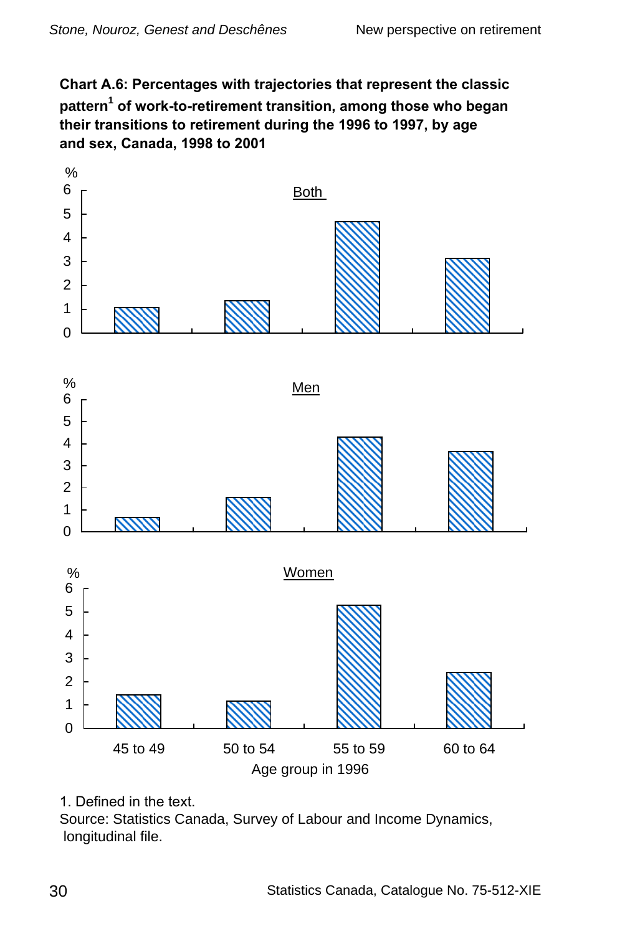<span id="page-33-0"></span>**Chart A.6: Percentages with trajectories that represent the classic pattern of work-to-retirement transition, among those who began their transitions to retirement during the 1996 to 1997, by age and sex, Canada, 1998 to 2001**



<sup>1.</sup> Defined in the text.

Source: Statistics Canada, Survey of Labour and Income Dynamics, longitudinal file.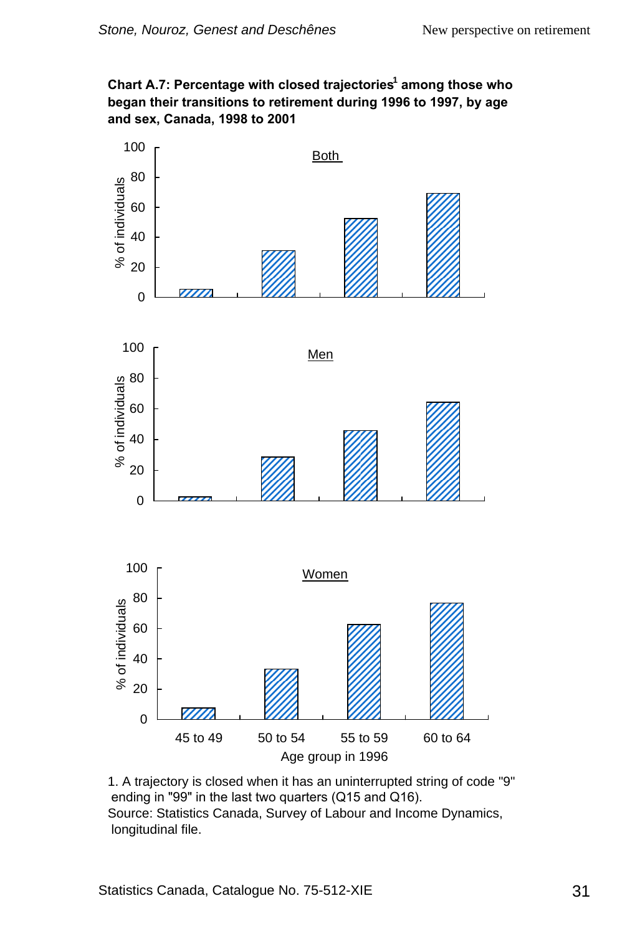#### <span id="page-34-0"></span>**Chart A.7: Percentage with closed trajectories among those who began their transitions to retirement during 1996 to 1997, by age and sex, Canada, 1998 to 2001**



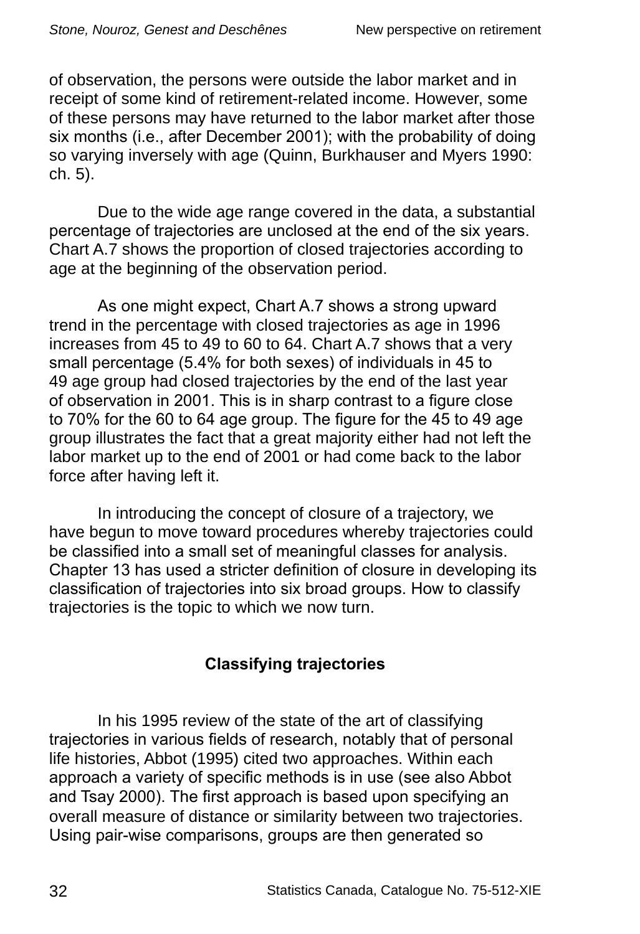<span id="page-35-0"></span>of observation, the persons were outside the labor market and in receipt of some kind of retirement-related income. However, some of these persons may have returned to the labor market after those six months (i.e., after December 2001); with the probability of doing so varying inversely with age (Quinn, Burkhauser and Myers 1990: ch. 5).

Due to the wide age range covered in the data, a substantial percentage of trajectories are unclosed at the end of the six years. Chart A.7 shows the proportion of closed trajectories according to age at the beginning of the observation period.

As one might expect, Chart A.7 shows a strong upward trend in the percentage with closed trajectories as age in 1996 increases from 45 to 49 to 60 to 64. Chart A.7 shows that a very small percentage (5.4% for both sexes) of individuals in 45 to 49 age group had closed trajectories by the end of the last year of observation in 2001. This is in sharp contrast to a figure close to 70% for the 60 to 64 age group. The figure for the 45 to 49 age group illustrates the fact that a great majority either had not left the labor market up to the end of 2001 or had come back to the labor force after having left it.

In introducing the concept of closure of a trajectory, we have begun to move toward procedures whereby trajectories could be classified into a small set of meaningful classes for analysis. Chapter 13 has used a stricter definition of closure in developing its classification of trajectories into six broad groups. How to classify trajectories is the topic to which we now turn.

### **Classifying trajectories**

In his 1995 review of the state of the art of classifying trajectories in various fields of research, notably that of personal life histories, Abbot (1995) cited two approaches. Within each approach a variety of specific methods is in use (see also Abbot and Tsay 2000). The first approach is based upon specifying an overall measure of distance or similarity between two trajectories. Using pair-wise comparisons, groups are then generated so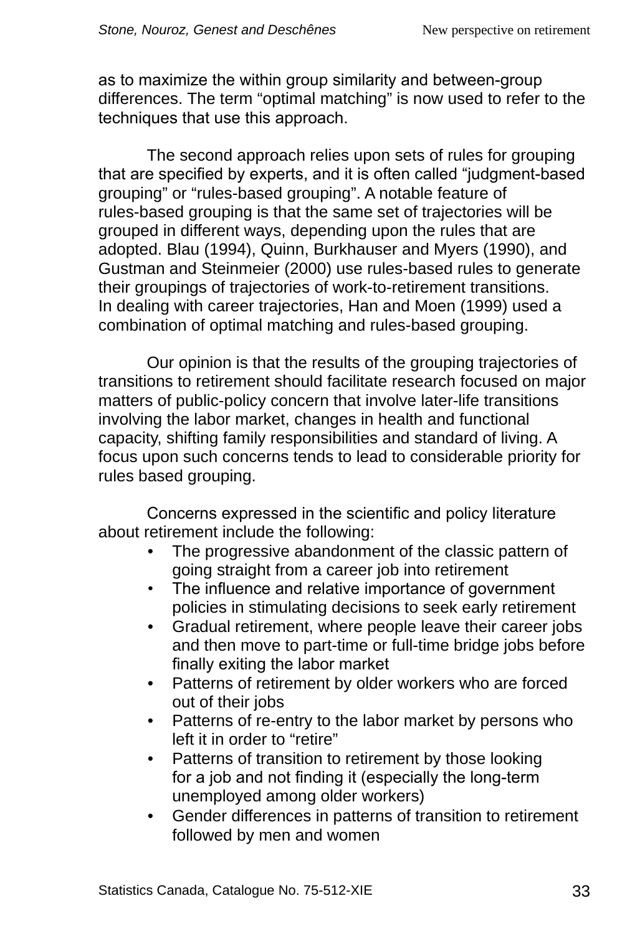as to maximize the within group similarity and between-group differences. The term "optimal matching" is now used to refer to the techniques that use this approach.

The second approach relies upon sets of rules for grouping that are specified by experts, and it is often called "judgment‑based grouping" or "rules-based grouping". A notable feature of rules-based grouping is that the same set of trajectories will be grouped in different ways, depending upon the rules that are adopted. Blau (1994), Quinn, Burkhauser and Myers (1990), and Gustman and Steinmeier (2000) use rules-based rules to generate their groupings of trajectories of work-to-retirement transitions. In dealing with career trajectories, Han and Moen (1999) used a combination of optimal matching and rules-based grouping.

Our opinion is that the results of the grouping trajectories of transitions to retirement should facilitate research focused on major matters of public-policy concern that involve later-life transitions involving the labor market, changes in health and functional capacity, shifting family responsibilities and standard of living. A focus upon such concerns tends to lead to considerable priority for rules based grouping.

Concerns expressed in the scientific and policy literature about retirement include the following:

- The progressive abandonment of the classic pattern of going straight from a career job into retirement
- The influence and relative importance of government policies in stimulating decisions to seek early retirement
- Gradual retirement, where people leave their career jobs and then move to part-time or full-time bridge jobs before finally exiting the labor market
- Patterns of retirement by older workers who are forced out of their jobs
- Patterns of re-entry to the labor market by persons who left it in order to "retire"
- Patterns of transition to retirement by those looking for a job and not finding it (especially the long-term unemployed among older workers)
- Gender differences in patterns of transition to retirement followed by men and women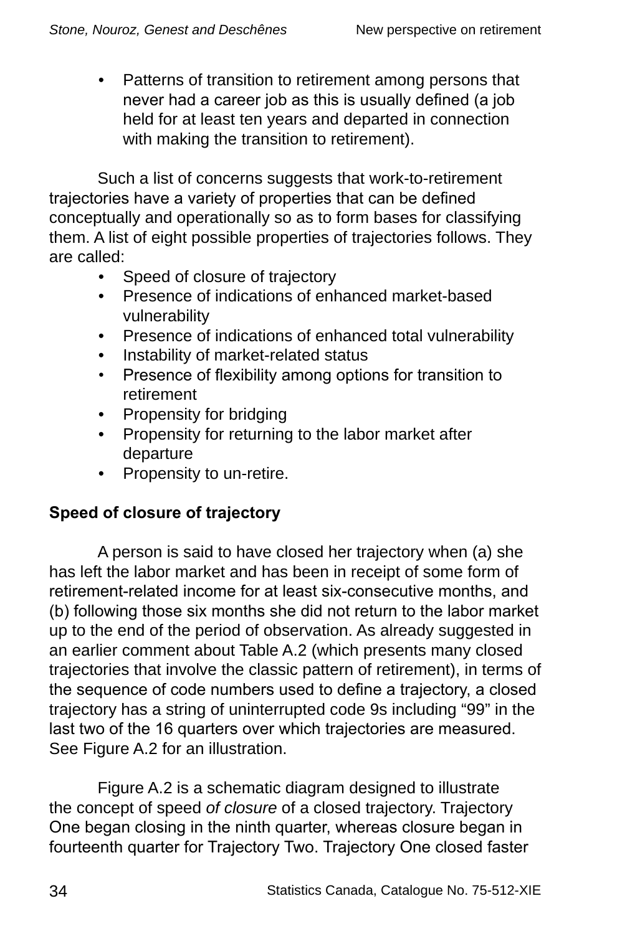• Patterns of transition to retirement among persons that never had a career job as this is usually defined (a job held for at least ten years and departed in connection with making the transition to retirement).

Such a list of concerns suggests that work-to-retirement trajectories have a variety of properties that can be defined conceptually and operationally so as to form bases for classifying them. A list of eight possible properties of trajectories follows. They are called:

- Speed of closure of trajectory
- Presence of indications of enhanced market-based vulnerability
- Presence of indications of enhanced total vulnerability
- Instability of market-related status
- Presence of flexibility among options for transition to retirement
- Propensity for bridging
- Propensity for returning to the labor market after departure
- Propensity to un-retire.

# **Speed of closure of trajectory**

A person is said to have closed her trajectory when (a) she has left the labor market and has been in receipt of some form of retirement-related income for at least six-consecutive months, and (b) following those six months she did not return to the labor market up to the end of the period of observation. As already suggested in an earlier comment about Table A.2 (which presents many closed trajectories that involve the classic pattern of retirement), in terms of the sequence of code numbers used to define a trajectory, a closed trajectory has a string of uninterrupted code 9s including "99" in the last two of the 16 quarters over which trajectories are measured. See Figure A.2 for an illustration.

Figure A.2 is a schematic diagram designed to illustrate the concept of speed *of closure* of a closed trajectory. Trajectory One began closing in the ninth quarter, whereas closure began in fourteenth quarter for Trajectory Two. Trajectory One closed faster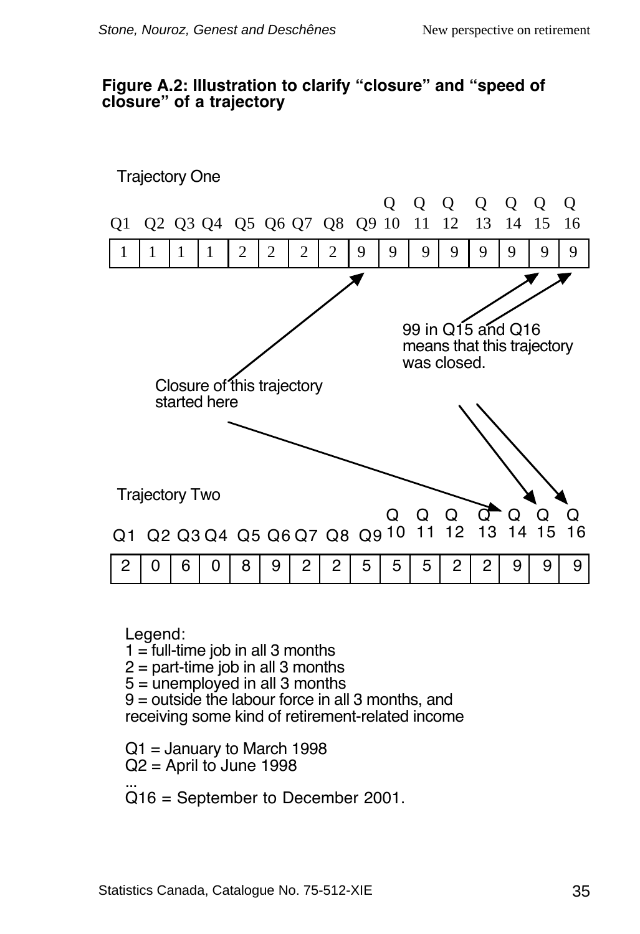#### **Figure A.2: Illustration to clarify "closure" and "speed of closure" of a trajectory**



Legend:

 $1 =$  full-time job in all 3 months

 $2 =$  part-time job in all 3 months

 $5 =$  unemployed in all 3 months

9 = outside the labour force in all 3 months, and receiving some kind of retirement-related income

 $Q1$  = January to March 1998  $Q2$  = April to June 1998

... Q16 = September to December 2001.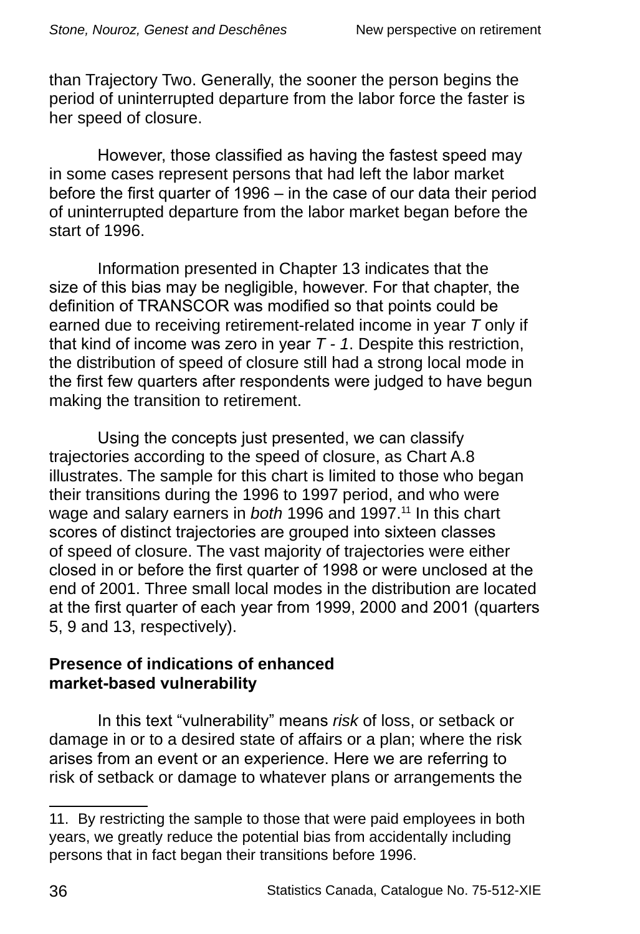than Trajectory Two. Generally, the sooner the person begins the period of uninterrupted departure from the labor force the faster is her speed of closure.

However, those classified as having the fastest speed may in some cases represent persons that had left the labor market before the first quarter of 1996 – in the case of our data their period of uninterrupted departure from the labor market began before the start of 1996.

Information presented in Chapter 13 indicates that the size of this bias may be negligible, however. For that chapter, the definition of TRANSCOR was modified so that points could be earned due to receiving retirement-related income in year *T* only if that kind of income was zero in year *T - 1*. Despite this restriction, the distribution of speed of closure still had a strong local mode in the first few quarters after respondents were judged to have begun making the transition to retirement.

Using the concepts just presented, we can classify trajectories according to the speed of closure, as Chart A.8 illustrates. The sample for this chart is limited to those who began their transitions during the 1996 to 1997 period, and who were wage and salary earners in *both* 1996 and 1997.<sup>11</sup> In this chart scores of distinct trajectories are grouped into sixteen classes of speed of closure. The vast majority of trajectories were either closed in or before the first quarter of 1998 or were unclosed at the end of 2001. Three small local modes in the distribution are located at the first quarter of each year from 1999, 2000 and 2001 (quarters 5, 9 and 13, respectively).

#### **Presence of indications of enhanced market-based vulnerability**

In this text "vulnerability" means *risk* of loss, or setback or damage in or to a desired state of affairs or a plan; where the risk arises from an event or an experience. Here we are referring to risk of setback or damage to whatever plans or arrangements the

<sup>11.</sup> By restricting the sample to those that were paid employees in both years, we greatly reduce the potential bias from accidentally including persons that in fact began their transitions before 1996.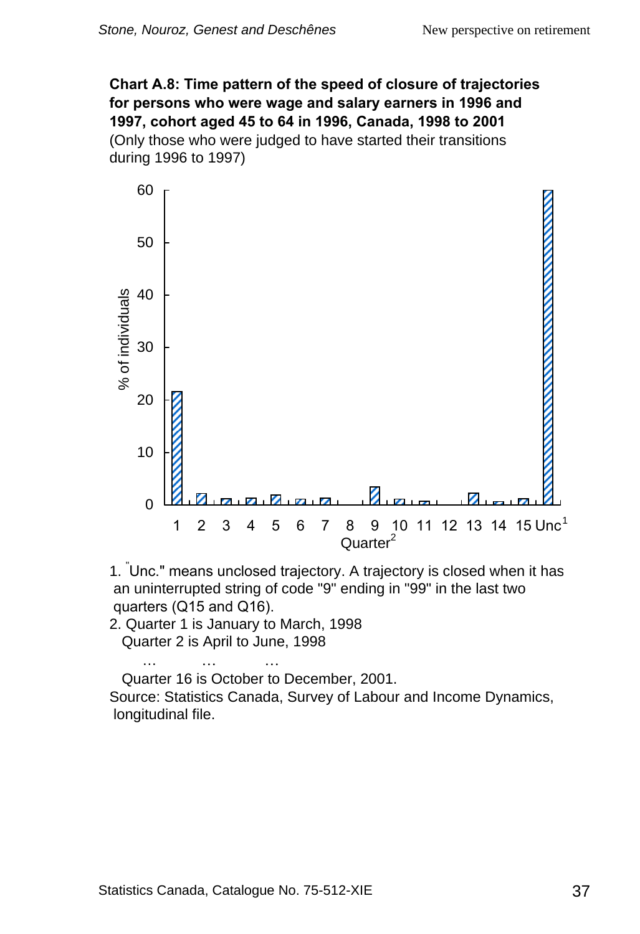**Chart A.8: Time pattern of the speed of closure of trajectories for persons who were wage and salary earners in 1996 and 1997, cohort aged 45 to 64 in 1996, Canada, 1998 to 2001** (Only those who were judged to have started their transitions during 1996 to 1997)



. " Unc." means unclosed trajectory. A trajectory is closed when it has an uninterrupted string of code "9" ending in "99" in the last two quarters (Q15 and Q16).

2. Quarter 1 is January to March, 1998 Quarter 2 is April to June, 1998

Quarter 16 is October to December, 2001. Source: Statistics Canada, Survey of Labour and Income Dynamics,

longitudinal file.

… … …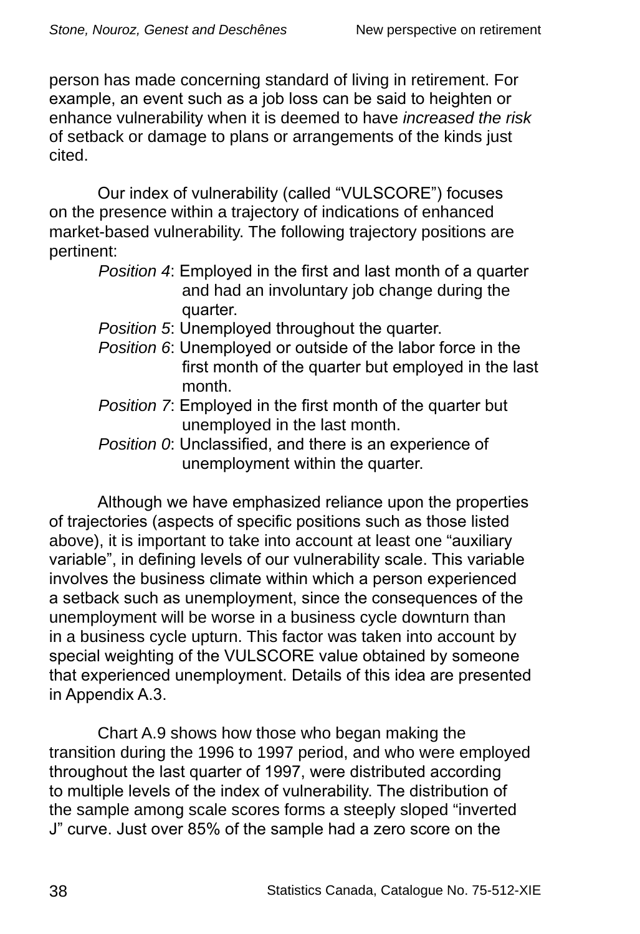person has made concerning standard of living in retirement. For example, an event such as a job loss can be said to heighten or enhance vulnerability when it is deemed to have *increased the risk* of setback or damage to plans or arrangements of the kinds just cited.

Our index of vulnerability (called "VULSCORE") focuses on the presence within a trajectory of indications of enhanced market-based vulnerability. The following trajectory positions are pertinent:

- *Position 5*: Unemployed throughout the quarter.
- *Position 6*: Unemployed or outside of the labor force in the first month of the quarter but employed in the last month.
- *Position 7*: Employed in the first month of the quarter but unemployed in the last month.
- *Position 0*: Unclassified, and there is an experience of unemployment within the quarter.

Although we have emphasized reliance upon the properties of trajectories (aspects of specific positions such as those listed above), it is important to take into account at least one "auxiliary variable", in defining levels of our vulnerability scale. This variable involves the business climate within which a person experienced a setback such as unemployment, since the consequences of the unemployment will be worse in a business cycle downturn than in a business cycle upturn. This factor was taken into account by special weighting of the VULSCORE value obtained by someone that experienced unemployment. Details of this idea are presented in Appendix A.3.

Chart A.9 shows how those who began making the transition during the 1996 to 1997 period, and who were employed throughout the last quarter of 1997, were distributed according to multiple levels of the index of vulnerability. The distribution of the sample among scale scores forms a steeply sloped "inverted J" curve. Just over 85% of the sample had a zero score on the

*Position 4*: Employed in the first and last month of a quarter and had an involuntary job change during the quarter.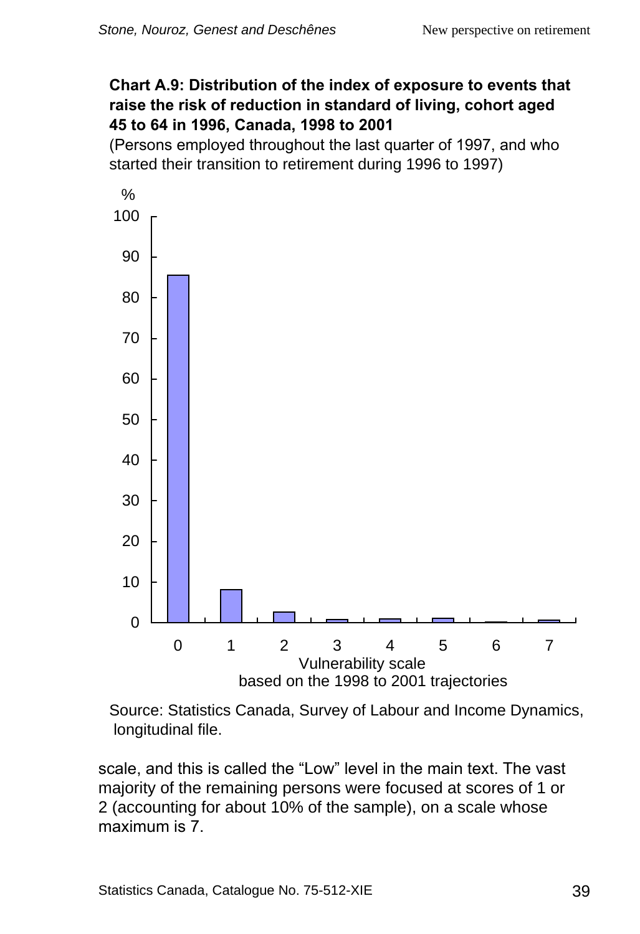### **Chart A.9: Distribution of the index of exposure to events that raise the risk of reduction in standard of living, cohort aged 45 to 64 in 1996, Canada, 1998 to 2001**

(Persons employed throughout the last quarter of 1997, and who started their transition to retirement during 1996 to 1997)



Source: Statistics Canada, Survey of Labour and Income Dynamics, longitudinal file.

scale, and this is called the "Low" level in the main text. The vast majority of the remaining persons were focused at scores of 1 or 2 (accounting for about 10% of the sample), on a scale whose maximum is 7.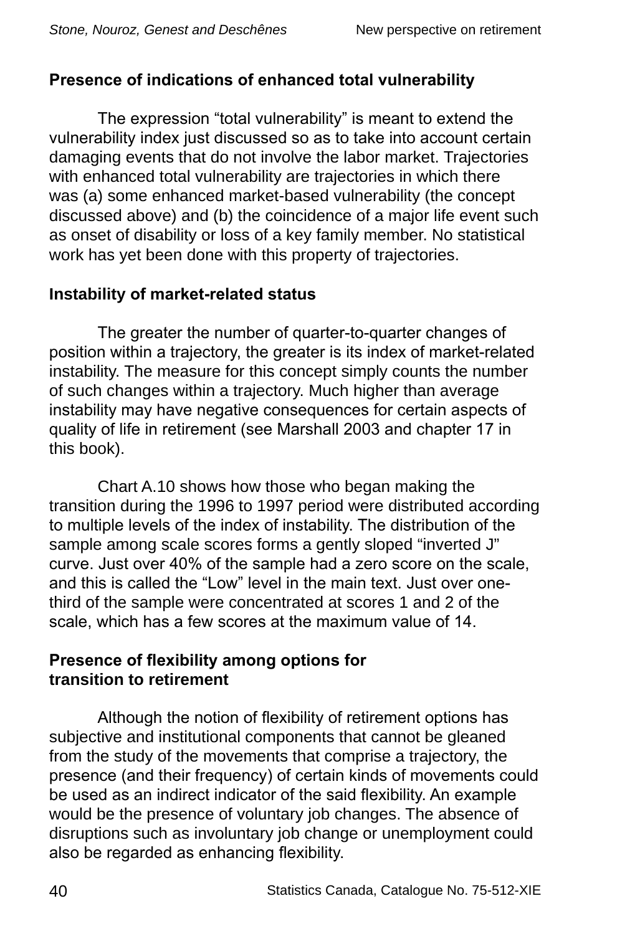# **Presence of indications of enhanced total vulnerability**

The expression "total vulnerability" is meant to extend the vulnerability index just discussed so as to take into account certain damaging events that do not involve the labor market. Trajectories with enhanced total vulnerability are trajectories in which there was (a) some enhanced market-based vulnerability (the concept discussed above) and (b) the coincidence of a major life event such as onset of disability or loss of a key family member. No statistical work has yet been done with this property of trajectories.

### **Instability of market-related status**

The greater the number of quarter-to-quarter changes of position within a trajectory, the greater is its index of market-related instability. The measure for this concept simply counts the number of such changes within a trajectory. Much higher than average instability may have negative consequences for certain aspects of quality of life in retirement (see Marshall 2003 and chapter 17 in this book).

Chart A.10 shows how those who began making the transition during the 1996 to 1997 period were distributed according to multiple levels of the index of instability. The distribution of the sample among scale scores forms a gently sloped "inverted J" curve. Just over 40% of the sample had a zero score on the scale, and this is called the "Low" level in the main text. Just over onethird of the sample were concentrated at scores 1 and 2 of the scale, which has a few scores at the maximum value of 14.

### **Presence of flexibility among options for transition to retirement**

Although the notion of flexibility of retirement options has subjective and institutional components that cannot be gleaned from the study of the movements that comprise a trajectory, the presence (and their frequency) of certain kinds of movements could be used as an indirect indicator of the said flexibility. An example would be the presence of voluntary job changes. The absence of disruptions such as involuntary job change or unemployment could also be regarded as enhancing flexibility.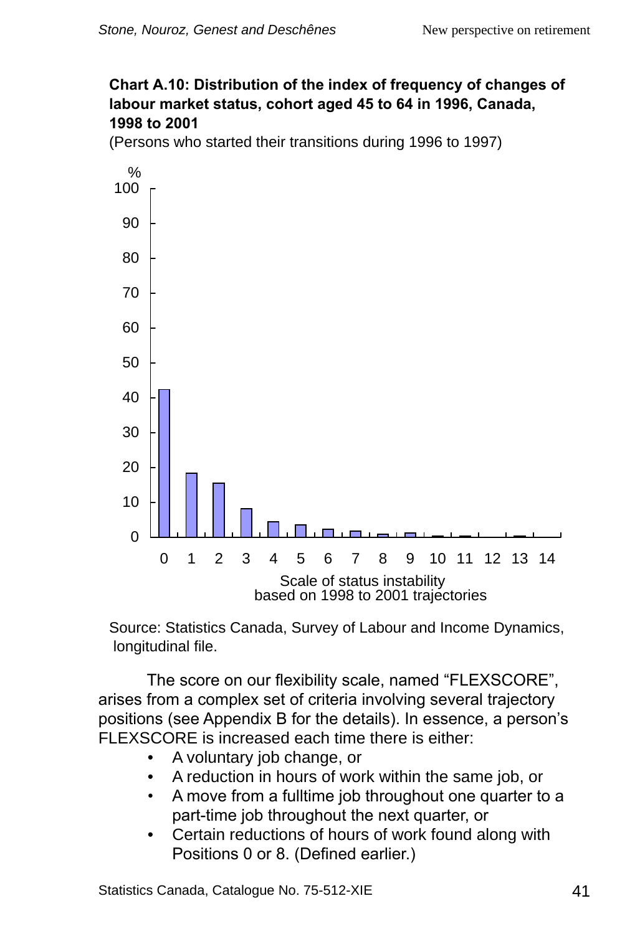#### **Chart A.10: Distribution of the index of frequency of changes of labour market status, cohort aged 45 to 64 in 1996, Canada, 1998 to 2001**

(Persons who started their transitions during 1996 to 1997)



Source: Statistics Canada, Survey of Labour and Income Dynamics, longitudinal file.

The score on our flexibility scale, named "FLEXSCORE", arises from a complex set of criteria involving several trajectory positions (see Appendix B for the details). In essence, a person's FLEXSCORE is increased each time there is either:

- A voluntary job change, or
- A reduction in hours of work within the same job, or
- A move from a fulltime job throughout one quarter to a part-time job throughout the next quarter, or
- Certain reductions of hours of work found along with Positions 0 or 8. (Defined earlier.)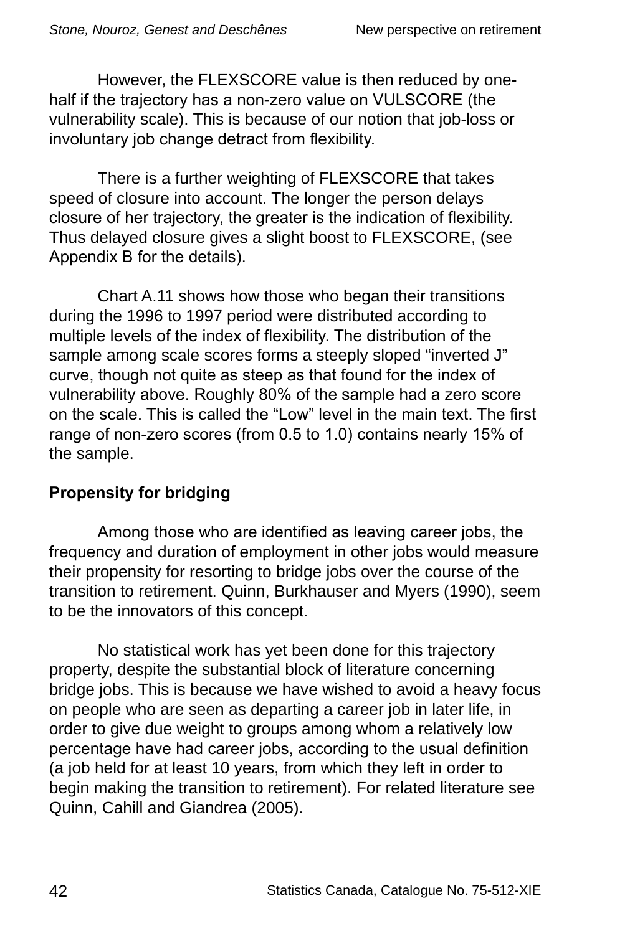However, the FLEXSCORE value is then reduced by onehalf if the trajectory has a non-zero value on VULSCORE (the vulnerability scale). This is because of our notion that job-loss or involuntary job change detract from flexibility.

There is a further weighting of FLEXSCORE that takes speed of closure into account. The longer the person delays closure of her trajectory, the greater is the indication of flexibility. Thus delayed closure gives a slight boost to FLEXSCORE, (see Appendix B for the details).

Chart A.11 shows how those who began their transitions during the 1996 to 1997 period were distributed according to multiple levels of the index of flexibility. The distribution of the sample among scale scores forms a steeply sloped "inverted J" curve, though not quite as steep as that found for the index of vulnerability above. Roughly 80% of the sample had a zero score on the scale. This is called the "Low" level in the main text. The first range of non-zero scores (from 0.5 to 1.0) contains nearly 15% of the sample.

### **Propensity for bridging**

Among those who are identified as leaving career jobs, the frequency and duration of employment in other jobs would measure their propensity for resorting to bridge jobs over the course of the transition to retirement. Quinn, Burkhauser and Myers (1990), seem to be the innovators of this concept.

No statistical work has yet been done for this trajectory property, despite the substantial block of literature concerning bridge jobs. This is because we have wished to avoid a heavy focus on people who are seen as departing a career job in later life, in order to give due weight to groups among whom a relatively low percentage have had career jobs, according to the usual definition (a job held for at least 10 years, from which they left in order to begin making the transition to retirement). For related literature see Quinn, Cahill and Giandrea (2005).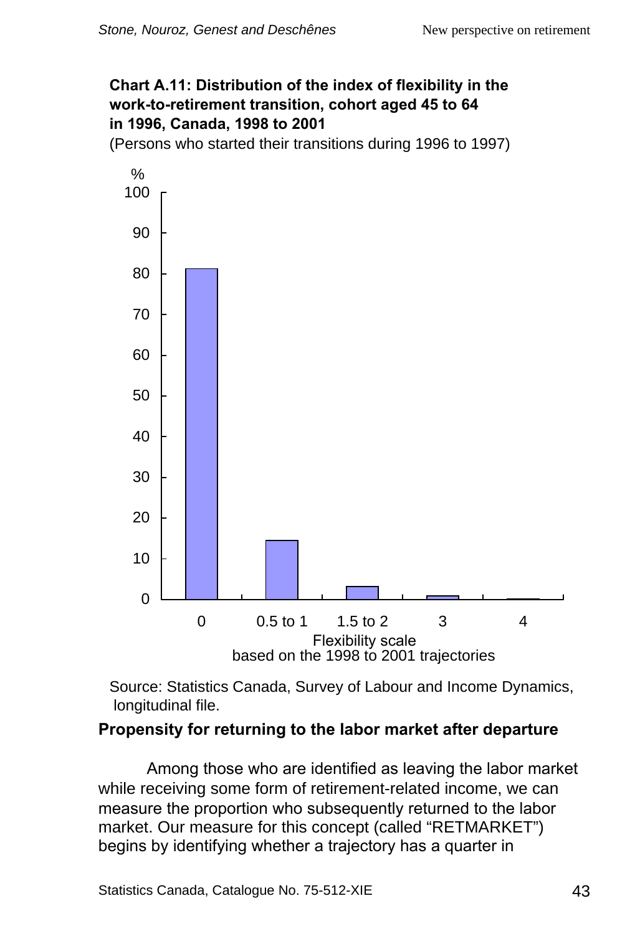### **Chart A.11: Distribution of the index of flexibility in the work-to-retirement transition, cohort aged 45 to 64 in 1996, Canada, 1998 to 2001**

(Persons who started their transitions during 1996 to 1997)



Source: Statistics Canada, Survey of Labour and Income Dynamics, longitudinal file.

# **Propensity for returning to the labor market after departure**

Among those who are identified as leaving the labor market while receiving some form of retirement-related income, we can measure the proportion who subsequently returned to the labor market. Our measure for this concept (called "RETMARKET") begins by identifying whether a trajectory has a quarter in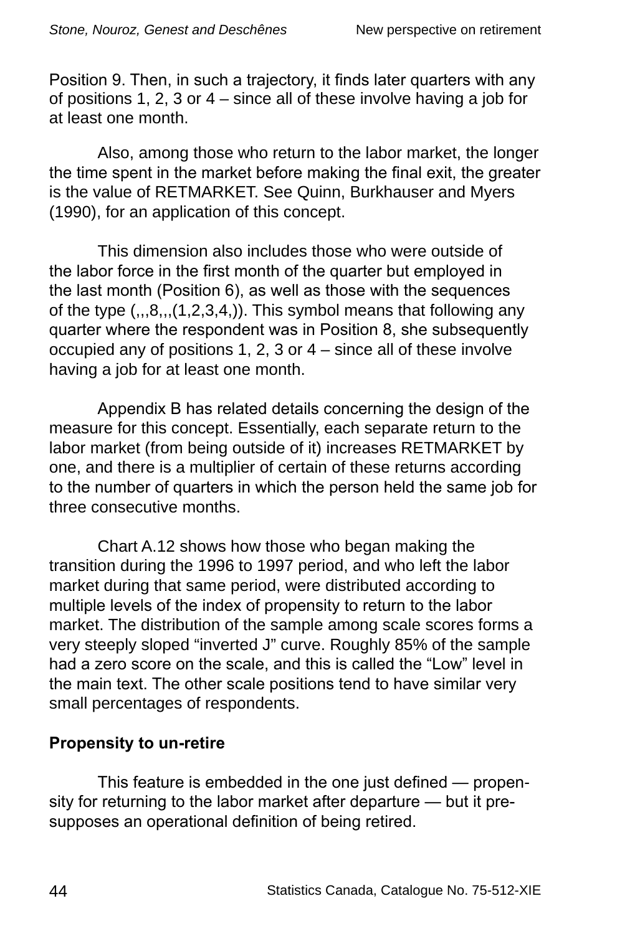Position 9. Then, in such a trajectory, it finds later quarters with any of positions 1, 2, 3 or 4 – since all of these involve having a job for at least one month.

Also, among those who return to the labor market, the longer the time spent in the market before making the final exit, the greater is the value of RETMARKET. See Quinn, Burkhauser and Myers (1990), for an application of this concept.

This dimension also includes those who were outside of the labor force in the first month of the quarter but employed in the last month (Position 6), as well as those with the sequences of the type  $(0.08,0.01,0.2,3.4)$ . This symbol means that following any quarter where the respondent was in Position 8, she subsequently occupied any of positions 1, 2, 3 or 4 – since all of these involve having a job for at least one month.

Appendix B has related details concerning the design of the measure for this concept. Essentially, each separate return to the labor market (from being outside of it) increases RETMARKET by one, and there is a multiplier of certain of these returns according to the number of quarters in which the person held the same job for three consecutive months.

Chart A.12 shows how those who began making the transition during the 1996 to 1997 period, and who left the labor market during that same period, were distributed according to multiple levels of the index of propensity to return to the labor market. The distribution of the sample among scale scores forms a very steeply sloped "inverted J" curve. Roughly 85% of the sample had a zero score on the scale, and this is called the "Low" level in the main text. The other scale positions tend to have similar very small percentages of respondents.

### **Propensity to un-retire**

This feature is embedded in the one just defined — propensity for returning to the labor market after departure — but it presupposes an operational definition of being retired.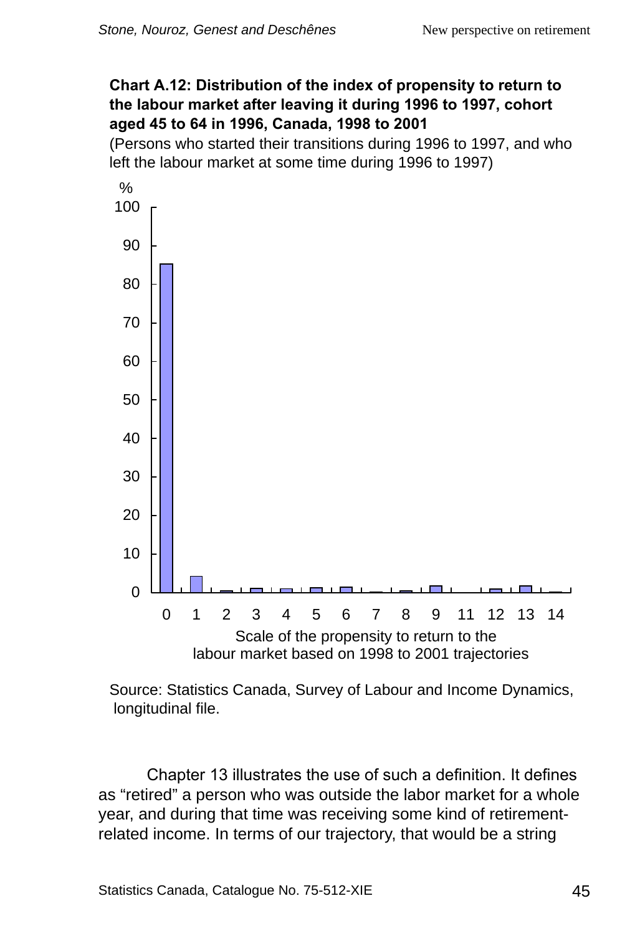#### **Chart A.12: Distribution of the index of propensity to return to the labour market after leaving it during 1996 to 1997, cohort aged 45 to 64 in 1996, Canada, 1998 to 2001**

(Persons who started their transitions during 1996 to 1997, and who left the labour market at some time during 1996 to 1997)



Source: Statistics Canada, Survey of Labour and Income Dynamics, longitudinal file.

Chapter 13 illustrates the use of such a definition. It defines as "retired" a person who was outside the labor market for a whole year, and during that time was receiving some kind of retirementrelated income. In terms of our trajectory, that would be a string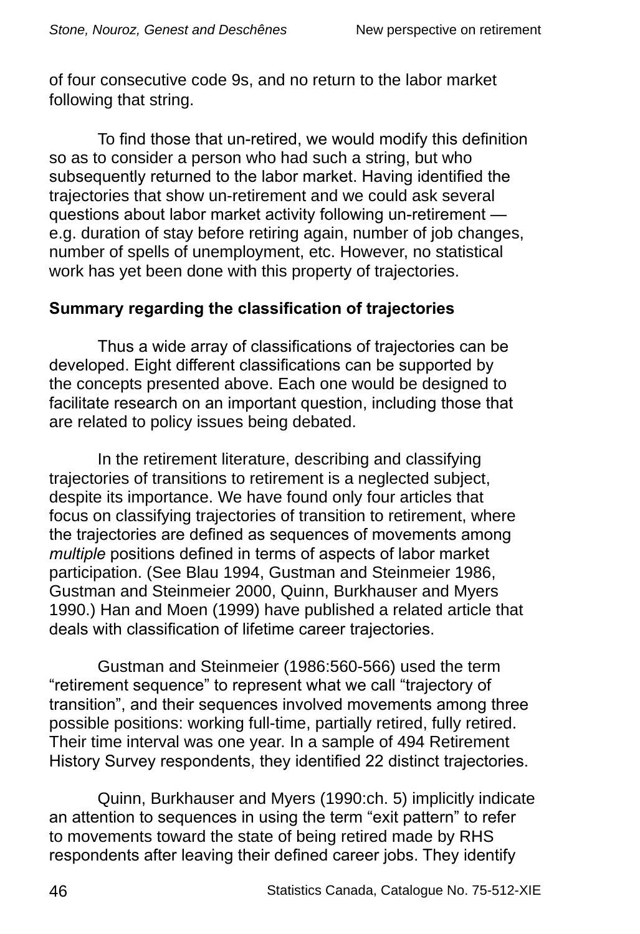of four consecutive code 9s, and no return to the labor market following that string.

To find those that un-retired, we would modify this definition so as to consider a person who had such a string, but who subsequently returned to the labor market. Having identified the trajectories that show un-retirement and we could ask several questions about labor market activity following un-retirement e.g. duration of stay before retiring again, number of job changes, number of spells of unemployment, etc. However, no statistical work has yet been done with this property of trajectories.

### **Summary regarding the classification of trajectories**

Thus a wide array of classifications of trajectories can be developed. Eight different classifications can be supported by the concepts presented above. Each one would be designed to facilitate research on an important question, including those that are related to policy issues being debated.

In the retirement literature, describing and classifying trajectories of transitions to retirement is a neglected subject, despite its importance. We have found only four articles that focus on classifying trajectories of transition to retirement, where the trajectories are defined as sequences of movements among *multiple* positions defined in terms of aspects of labor market participation. (See Blau 1994, Gustman and Steinmeier 1986, Gustman and Steinmeier 2000, Quinn, Burkhauser and Myers 1990.) Han and Moen (1999) have published a related article that deals with classification of lifetime career trajectories.

Gustman and Steinmeier (1986:560-566) used the term "retirement sequence" to represent what we call "trajectory of transition", and their sequences involved movements among three possible positions: working full-time, partially retired, fully retired. Their time interval was one year. In a sample of 494 Retirement History Survey respondents, they identified 22 distinct trajectories.

Quinn, Burkhauser and Myers (1990:ch. 5) implicitly indicate an attention to sequences in using the term "exit pattern" to refer to movements toward the state of being retired made by RHS respondents after leaving their defined career jobs. They identify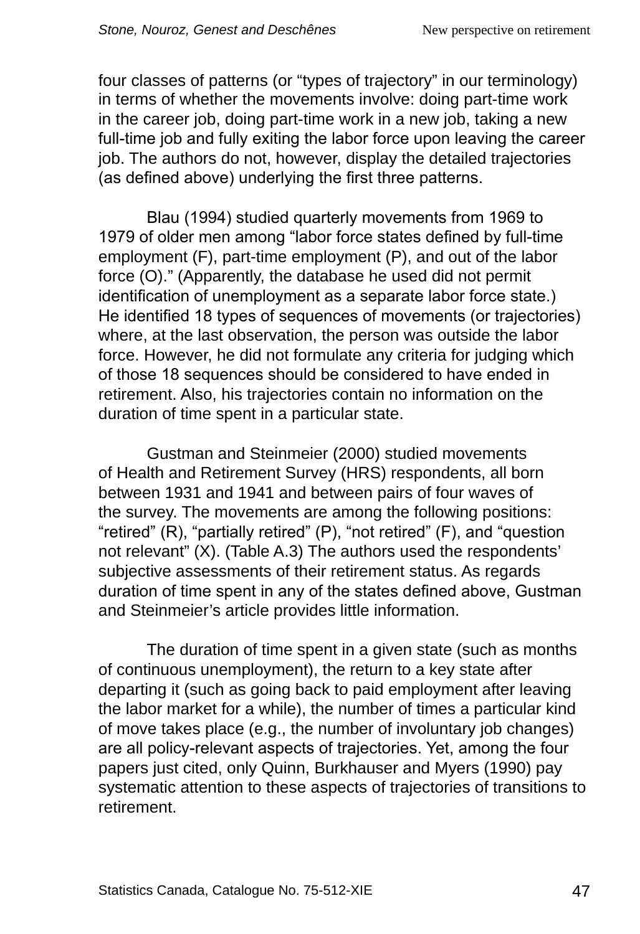four classes of patterns (or "types of trajectory" in our terminology) in terms of whether the movements involve: doing part-time work in the career job, doing part-time work in a new job, taking a new full-time job and fully exiting the labor force upon leaving the career job. The authors do not, however, display the detailed trajectories (as defined above) underlying the first three patterns.

Blau (1994) studied quarterly movements from 1969 to 1979 of older men among "labor force states defined by full-time employment (F), part-time employment (P), and out of the labor force (O)." (Apparently, the database he used did not permit identification of unemployment as a separate labor force state.) He identified 18 types of sequences of movements (or trajectories) where, at the last observation, the person was outside the labor force. However, he did not formulate any criteria for judging which of those 18 sequences should be considered to have ended in retirement. Also, his trajectories contain no information on the duration of time spent in a particular state.

Gustman and Steinmeier (2000) studied movements of Health and Retirement Survey (HRS) respondents, all born between 1931 and 1941 and between pairs of four waves of the survey. The movements are among the following positions: "retired" (R), "partially retired" (P), "not retired" (F), and "question not relevant" (X). (Table A.3) The authors used the respondents' subjective assessments of their retirement status. As regards duration of time spent in any of the states defined above, Gustman and Steinmeier's article provides little information.

The duration of time spent in a given state (such as months of continuous unemployment), the return to a key state after departing it (such as going back to paid employment after leaving the labor market for a while), the number of times a particular kind of move takes place (e.g., the number of involuntary job changes) are all policy-relevant aspects of trajectories. Yet, among the four papers just cited, only Quinn, Burkhauser and Myers (1990) pay systematic attention to these aspects of trajectories of transitions to retirement.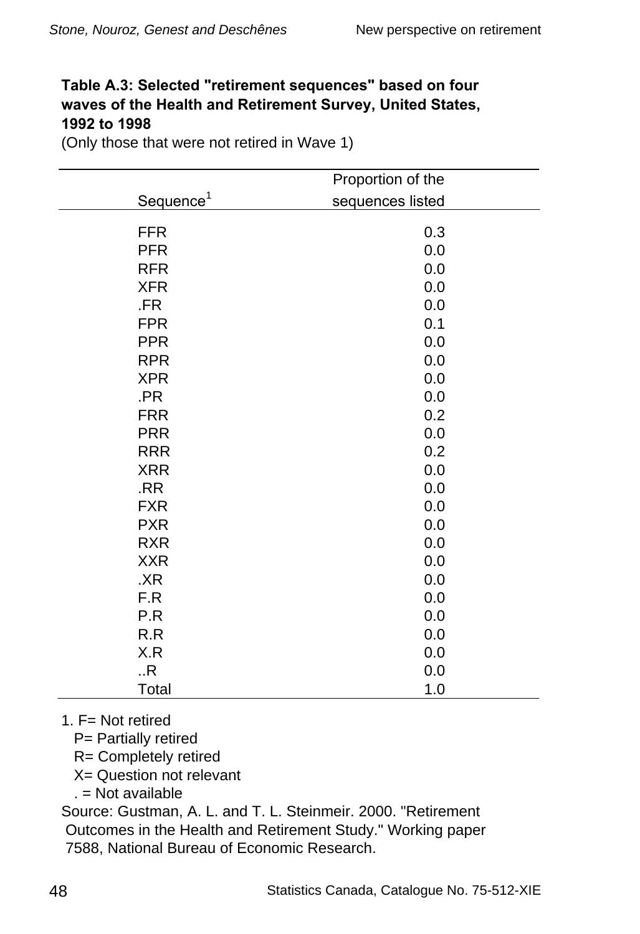#### Table A.3: Selected "retirement sequences" based on four **waves of the Health and Retirement Survey, United States, 1992 to 1998**

(Only those that were not retired in Wave 1)

|                       | Proportion of the |
|-----------------------|-------------------|
| Sequence <sup>1</sup> | sequences listed  |
| <b>FFR</b>            | 0.3               |
| <b>PFR</b>            | 0.0               |
| <b>RFR</b>            | 0.0               |
| <b>XFR</b>            | 0.0               |
| .FR                   | 0.0               |
| <b>FPR</b>            | 0.1               |
| <b>PPR</b>            | 0.0               |
| <b>RPR</b>            | 0.0               |
| <b>XPR</b>            | 0.0               |
| .PR                   | 0.0               |
| <b>FRR</b>            | 0.2               |
| <b>PRR</b>            | 0.0               |
| <b>RRR</b>            | 0.2               |
| <b>XRR</b>            | 0.0               |
| .RR                   | 0.0               |
| <b>FXR</b>            | 0.0               |
| <b>PXR</b>            | 0.0               |
| <b>RXR</b>            | 0.0               |
| <b>XXR</b>            | 0.0               |
| .XR                   | 0.0               |
| F.R                   | 0.0               |
| P.R                   | 0.0               |
| R.R                   | 0.0               |
| X.R                   | 0.0               |
| .R.                   | 0.0               |
| Total                 | 1.0               |

1.  $F = Not$  retired

P= Partially retired

R= Completely retired

X= Question not relevant

. = Not available

Source: Gustman, A. L. and T. L. Steinmeir. 2000. "Retirement Outcomes in the Health and Retirement Study." Working paper 7588, National Bureau of Economic Research.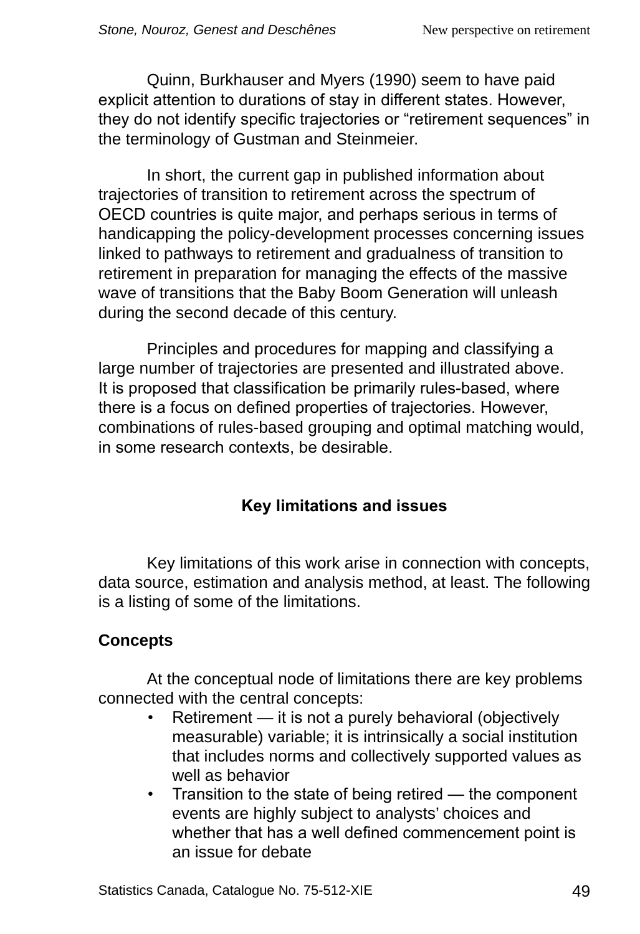Quinn, Burkhauser and Myers (1990) seem to have paid explicit attention to durations of stay in different states. However, they do not identify specific trajectories or "retirement sequences" in the terminology of Gustman and Steinmeier.

In short, the current gap in published information about trajectories of transition to retirement across the spectrum of OECD countries is quite major, and perhaps serious in terms of handicapping the policy-development processes concerning issues linked to pathways to retirement and gradualness of transition to retirement in preparation for managing the effects of the massive wave of transitions that the Baby Boom Generation will unleash during the second decade of this century.

Principles and procedures for mapping and classifying a large number of trajectories are presented and illustrated above. It is proposed that classification be primarily rules-based, where there is a focus on defined properties of trajectories. However, combinations of rules-based grouping and optimal matching would, in some research contexts, be desirable.

# **Key limitations and issues**

Key limitations of this work arise in connection with concepts, data source, estimation and analysis method, at least. The following is a listing of some of the limitations.

# **Concepts**

At the conceptual node of limitations there are key problems connected with the central concepts:

- Retirement it is not a purely behavioral (objectively measurable) variable; it is intrinsically a social institution that includes norms and collectively supported values as well as behavior
- Transition to the state of being retired the component events are highly subject to analysts' choices and whether that has a well defined commencement point is an issue for debate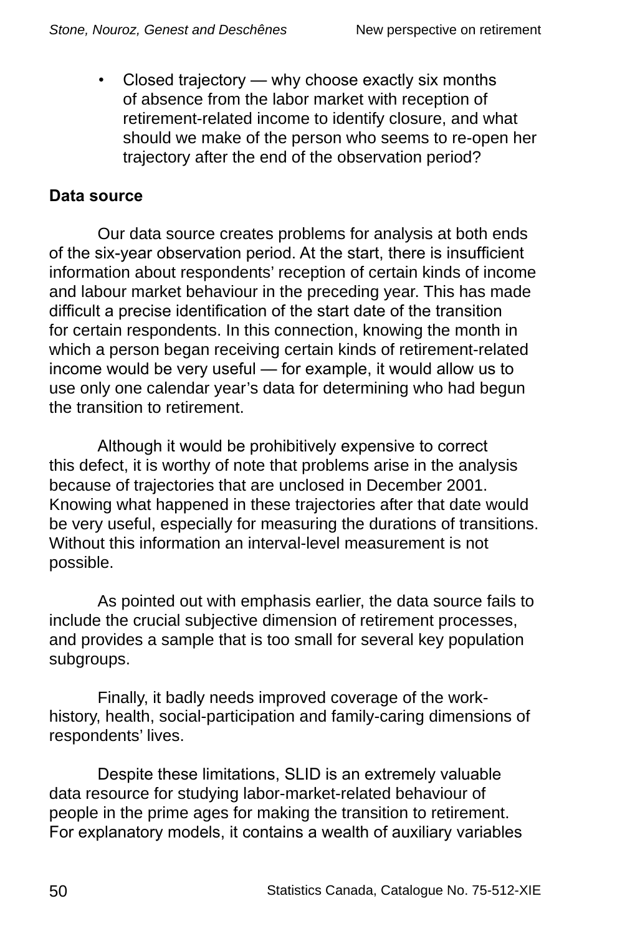• Closed trajectory — why choose exactly six months of absence from the labor market with reception of retirement-related income to identify closure, and what should we make of the person who seems to re-open her trajectory after the end of the observation period?

### **Data source**

Our data source creates problems for analysis at both ends of the six-year observation period. At the start, there is insufficient information about respondents' reception of certain kinds of income and labour market behaviour in the preceding year. This has made difficult a precise identification of the start date of the transition for certain respondents. In this connection, knowing the month in which a person began receiving certain kinds of retirement-related income would be very useful — for example, it would allow us to use only one calendar year's data for determining who had begun the transition to retirement.

Although it would be prohibitively expensive to correct this defect, it is worthy of note that problems arise in the analysis because of trajectories that are unclosed in December 2001. Knowing what happened in these trajectories after that date would be very useful, especially for measuring the durations of transitions. Without this information an interval-level measurement is not possible.

As pointed out with emphasis earlier, the data source fails to include the crucial subjective dimension of retirement processes, and provides a sample that is too small for several key population subgroups.

Finally, it badly needs improved coverage of the workhistory, health, social-participation and family-caring dimensions of respondents' lives.

Despite these limitations, SLID is an extremely valuable data resource for studying labor-market-related behaviour of people in the prime ages for making the transition to retirement. For explanatory models, it contains a wealth of auxiliary variables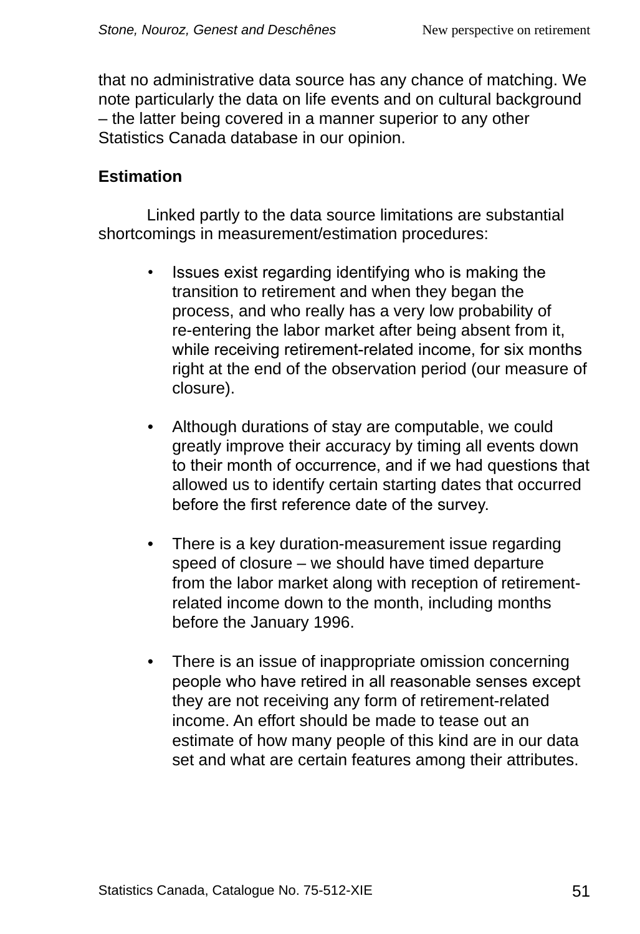that no administrative data source has any chance of matching. We note particularly the data on life events and on cultural background – the latter being covered in a manner superior to any other Statistics Canada database in our opinion.

### **Estimation**

Linked partly to the data source limitations are substantial shortcomings in measurement/estimation procedures:

- Issues exist regarding identifying who is making the transition to retirement and when they began the process, and who really has a very low probability of re-entering the labor market after being absent from it, while receiving retirement-related income, for six months right at the end of the observation period (our measure of closure).
- Although durations of stay are computable, we could greatly improve their accuracy by timing all events down to their month of occurrence, and if we had questions that allowed us to identify certain starting dates that occurred before the first reference date of the survey.
- There is a key duration-measurement issue regarding speed of closure – we should have timed departure from the labor market along with reception of retirementrelated income down to the month, including months before the January 1996.
- There is an issue of inappropriate omission concerning people who have retired in all reasonable senses except they are not receiving any form of retirement-related income. An effort should be made to tease out an estimate of how many people of this kind are in our data set and what are certain features among their attributes.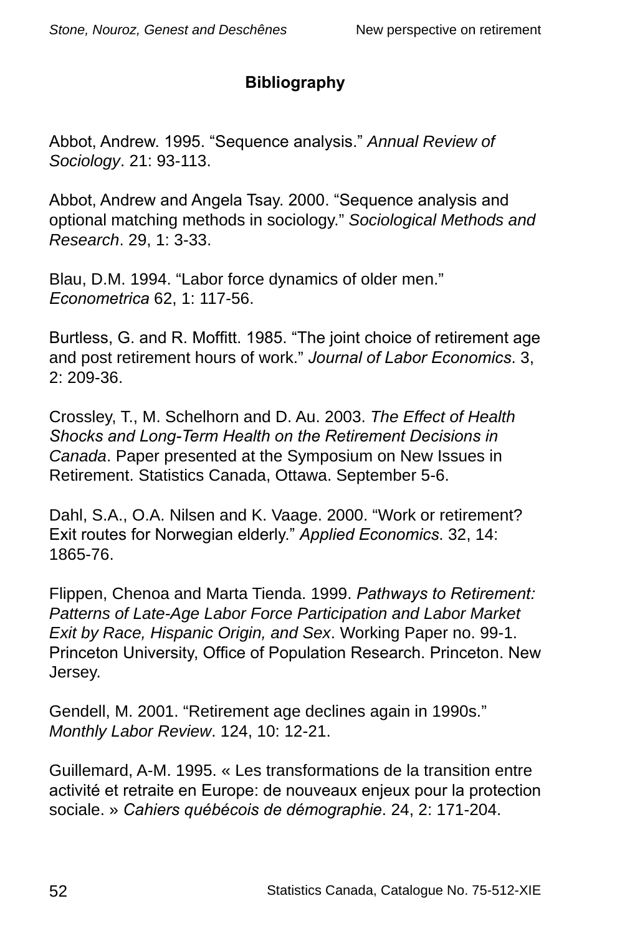# **Bibliography**

Abbot, Andrew. 1995. "Sequence analysis." *Annual Review of Sociology*. 21: 93-113.

Abbot, Andrew and Angela Tsay. 2000. "Sequence analysis and optional matching methods in sociology." *Sociological Methods and Research*. 29, 1: 3-33.

Blau, D.M. 1994. "Labor force dynamics of older men." *Econometrica* 62, 1: 117-56.

Burtless, G. and R. Moffitt. 1985. "The joint choice of retirement age and post retirement hours of work." *Journal of Labor Economics*. 3, 2: 209-36.

Crossley, T., M. Schelhorn and D. Au. 2003. *The Effect of Health Shocks and Long-Term Health on the Retirement Decisions in Canada*. Paper presented at the Symposium on New Issues in Retirement. Statistics Canada, Ottawa. September 5-6.

Dahl, S.A., O.A. Nilsen and K. Vaage. 2000. "Work or retirement? Exit routes for Norwegian elderly." *Applied Economics*. 32, 14: 1865-76.

Flippen, Chenoa and Marta Tienda. 1999. *Pathways to Retirement: Patterns of Late-Age Labor Force Participation and Labor Market Exit by Race, Hispanic Origin, and Sex*. Working Paper no. 99-1. Princeton University, Office of Population Research. Princeton. New Jersey.

Gendell, M. 2001. "Retirement age declines again in 1990s." *Monthly Labor Review*. 124, 10: 12-21.

Guillemard, A-M. 1995. « Les transformations de la transition entre activité et retraite en Europe: de nouveaux enjeux pour la protection sociale. » *Cahiers québécois de démographie*. 24, 2: 171-204.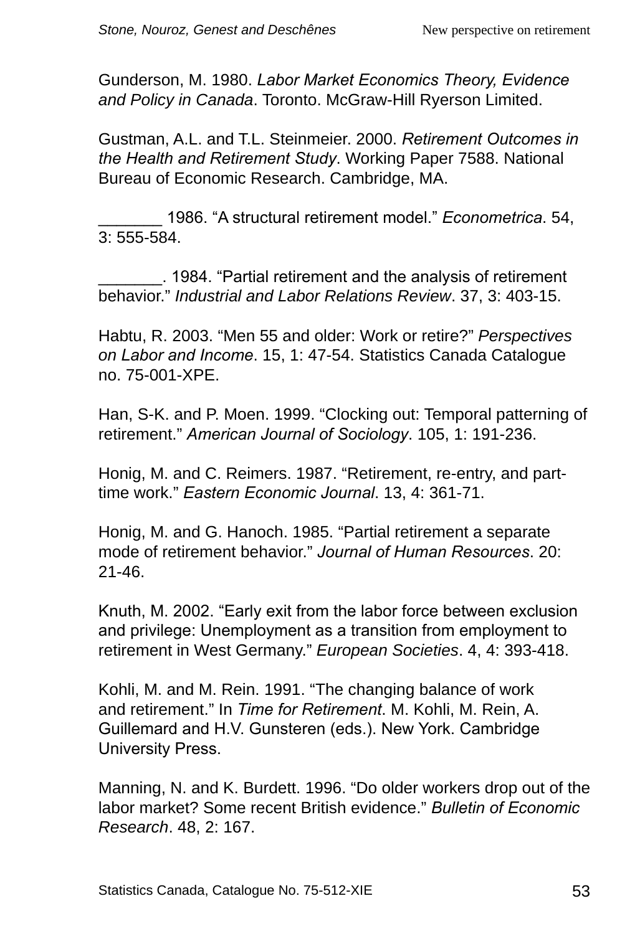Gunderson, M. 1980. *Labor Market Economics Theory, Evidence and Policy in Canada*. Toronto. McGraw-Hill Ryerson Limited.

Gustman, A.L. and T.L. Steinmeier. 2000. *Retirement Outcomes in the Health and Retirement Study*. Working Paper 7588. National Bureau of Economic Research. Cambridge, MA.

\_\_\_\_\_\_\_ 1986. "A structural retirement model." *Econometrica*. 54, 3: 555-584.

\_\_\_\_\_\_\_. 1984. "Partial retirement and the analysis of retirement behavior." *Industrial and Labor Relations Review*. 37, 3: 403-15.

Habtu, R. 2003. "Men 55 and older: Work or retire?" *Perspectives on Labor and Income*. 15, 1: 47-54. Statistics Canada Catalogue no. 75-001-XPE.

Han, S-K. and P. Moen. 1999. "Clocking out: Temporal patterning of retirement." *American Journal of Sociology*. 105, 1: 191-236.

Honig, M. and C. Reimers. 1987. "Retirement, re-entry, and parttime work." *Eastern Economic Journal*. 13, 4: 361-71.

Honig, M. and G. Hanoch. 1985. "Partial retirement a separate mode of retirement behavior." *Journal of Human Resources*. 20: 21-46.

Knuth, M. 2002. "Early exit from the labor force between exclusion and privilege: Unemployment as a transition from employment to retirement in West Germany." *European Societies*. 4, 4: 393-418.

Kohli, M. and M. Rein. 1991. "The changing balance of work and retirement." In *Time for Retirement*. M. Kohli, M. Rein, A. Guillemard and H.V. Gunsteren (eds.). New York. Cambridge University Press.

Manning, N. and K. Burdett. 1996. "Do older workers drop out of the labor market? Some recent British evidence." *Bulletin of Economic Research*. 48, 2: 167.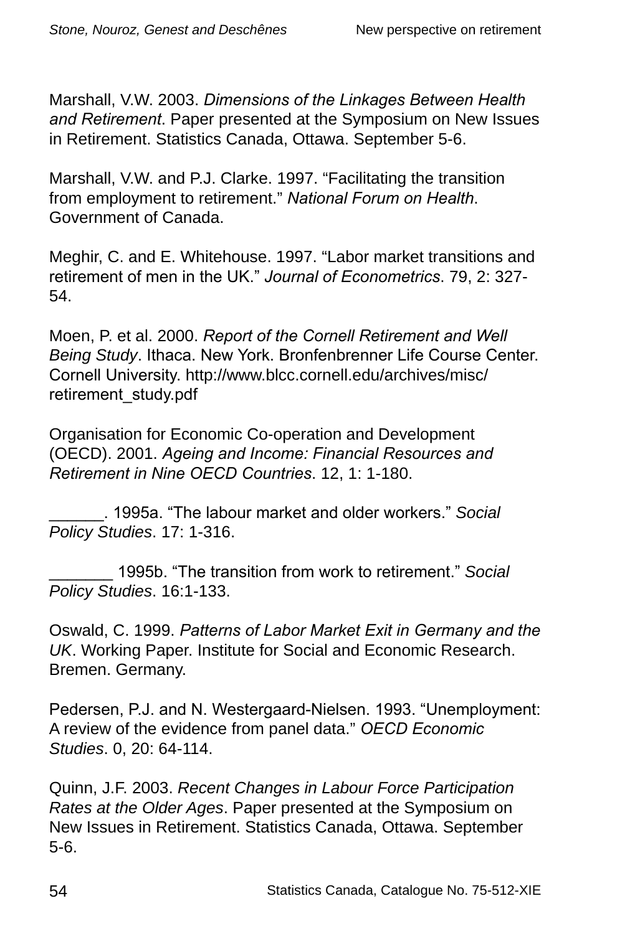Marshall, V.W. 2003. *Dimensions of the Linkages Between Health and Retirement*. Paper presented at the Symposium on New Issues in Retirement. Statistics Canada, Ottawa. September 5-6.

Marshall, V.W. and P.J. Clarke. 1997. "Facilitating the transition from employment to retirement." *National Forum on Health*. Government of Canada.

Meghir, C. and E. Whitehouse. 1997. "Labor market transitions and retirement of men in the UK." *Journal of Econometrics*. 79, 2: 327- 54.

Moen, P. et al. 2000. *Report of the Cornell Retirement and Well Being Study*. Ithaca. New York. Bronfenbrenner Life Course Center. Cornell University. http://www.blcc.cornell.edu/archives/misc/ retirement\_study.pdf

Organisation for Economic Co-operation and Development (OECD). 2001. *Ageing and Income: Financial Resources and Retirement in Nine OECD Countries*. 12, 1: 1-180.

\_\_\_\_\_\_. 1995a. "The labour market and older workers." *Social Policy Studies*. 17: 1-316.

\_\_\_\_\_\_\_ 1995b. "The transition from work to retirement." *Social Policy Studies*. 16:1-133.

Oswald, C. 1999. *Patterns of Labor Market Exit in Germany and the UK*. Working Paper. Institute for Social and Economic Research. Bremen. Germany.

Pedersen, P.J. and N. Westergaard-Nielsen. 1993. "Unemployment: A review of the evidence from panel data." *OECD Economic Studies*. 0, 20: 64-114.

Quinn, J.F. 2003. *Recent Changes in Labour Force Participation Rates at the Older Ages*. Paper presented at the Symposium on New Issues in Retirement. Statistics Canada, Ottawa. September 5-6.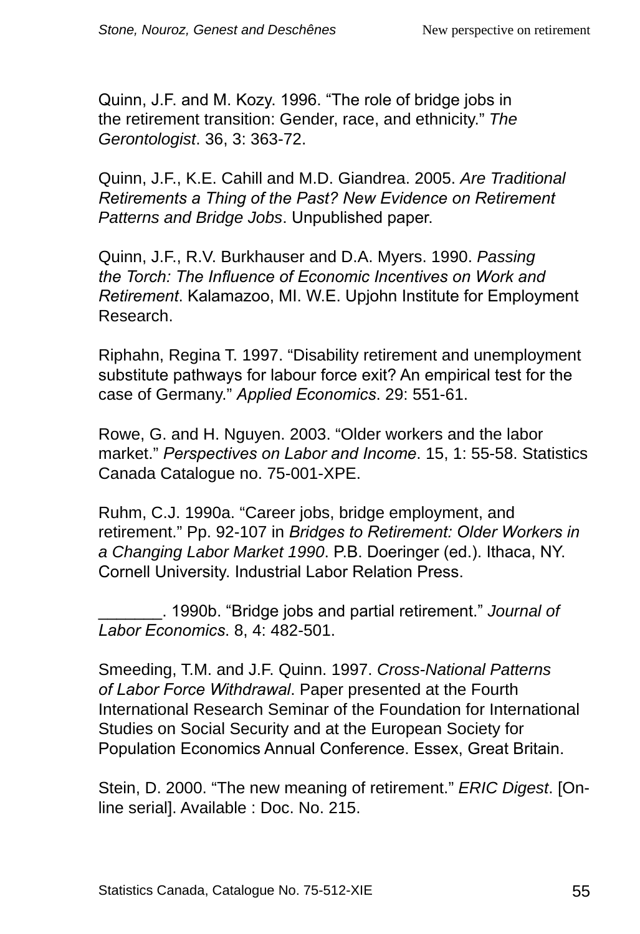Quinn, J.F. and M. Kozy. 1996. "The role of bridge jobs in the retirement transition: Gender, race, and ethnicity." *The Gerontologist*. 36, 3: 363-72.

Quinn, J.F., K.E. Cahill and M.D. Giandrea. 2005. *Are Traditional Retirements a Thing of the Past? New Evidence on Retirement Patterns and Bridge Jobs*. Unpublished paper.

Quinn, J.F., R.V. Burkhauser and D.A. Myers. 1990. *Passing the Torch: The Influence of Economic Incentives on Work and Retirement*. Kalamazoo, MI. W.E. Upjohn Institute for Employment Research.

Riphahn, Regina T. 1997. "Disability retirement and unemployment substitute pathways for labour force exit? An empirical test for the case of Germany." *Applied Economics*. 29: 551-61.

Rowe, G. and H. Nguyen. 2003. "Older workers and the labor market." *Perspectives on Labor and Income*. 15, 1: 55-58. Statistics Canada Catalogue no. 75-001-XPE.

Ruhm, C.J. 1990a. "Career jobs, bridge employment, and retirement." Pp. 92-107 in *Bridges to Retirement: Older Workers in a Changing Labor Market 1990*. P.B. Doeringer (ed.). Ithaca, NY. Cornell University. Industrial Labor Relation Press.

\_\_\_\_\_\_\_. 1990b. "Bridge jobs and partial retirement." *Journal of Labor Economics*. 8, 4: 482-501.

Smeeding, T.M. and J.F. Quinn. 1997. *Cross-National Patterns of Labor Force Withdrawal*. Paper presented at the Fourth International Research Seminar of the Foundation for International Studies on Social Security and at the European Society for Population Economics Annual Conference. Essex, Great Britain.

Stein, D. 2000. "The new meaning of retirement." *ERIC Digest*. [Online serial]. Available : Doc. No. 215.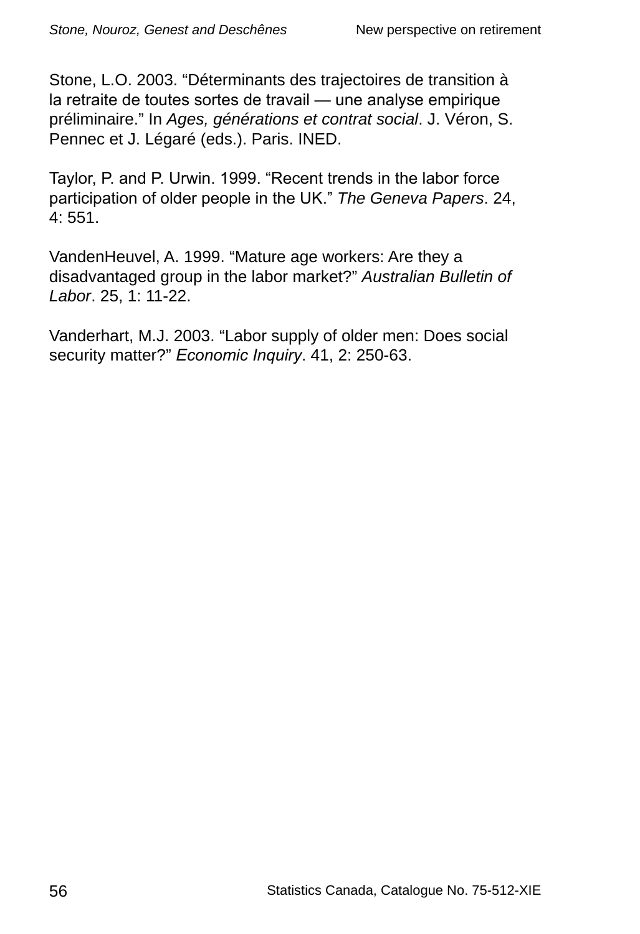Stone, L.O. 2003. "Déterminants des trajectoires de transition à la retraite de toutes sortes de travail — une analyse empirique préliminaire." In *Ages, générations et contrat social*. J. Véron, S. Pennec et J. Légaré (eds.). Paris. INED.

Taylor, P. and P. Urwin. 1999. "Recent trends in the labor force participation of older people in the UK." *The Geneva Papers*. 24, 4: 551.

VandenHeuvel, A. 1999. "Mature age workers: Are they a disadvantaged group in the labor market?" *Australian Bulletin of Labor*. 25, 1: 11-22.

Vanderhart, M.J. 2003. "Labor supply of older men: Does social security matter?" *Economic Inquiry*. 41, 2: 250-63.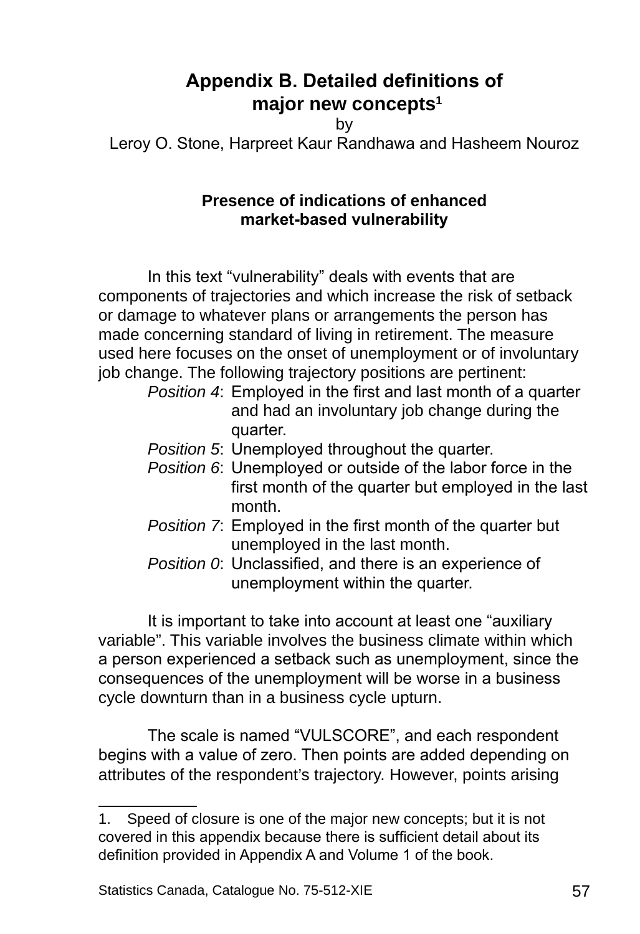# **Appendix B. Detailed definitions of major new concepts**

by

Leroy O. Stone, Harpreet Kaur Randhawa and Hasheem Nouroz

#### **Presence of indications of enhanced market-based vulnerability**

In this text "vulnerability" deals with events that are components of trajectories and which increase the risk of setback or damage to whatever plans or arrangements the person has made concerning standard of living in retirement. The measure used here focuses on the onset of unemployment or of involuntary job change. The following trajectory positions are pertinent:

- *Position 4*: Employed in the first and last month of a quarter and had an involuntary job change during the quarter.
- *Position 5*: Unemployed throughout the quarter.
- *Position 6*: Unemployed or outside of the labor force in the first month of the quarter but employed in the last month.
- *Position 7*: Employed in the first month of the quarter but unemployed in the last month.
- *Position 0*: Unclassified, and there is an experience of unemployment within the quarter.

It is important to take into account at least one "auxiliary variable". This variable involves the business climate within which a person experienced a setback such as unemployment, since the consequences of the unemployment will be worse in a business cycle downturn than in a business cycle upturn.

The scale is named "VULSCORE", and each respondent begins with a value of zero. Then points are added depending on attributes of the respondent's trajectory. However, points arising

<sup>.</sup> Speed of closure is one of the major new concepts; but it is not covered in this appendix because there is sufficient detail about its definition provided in Appendix A and Volume 1 of the book.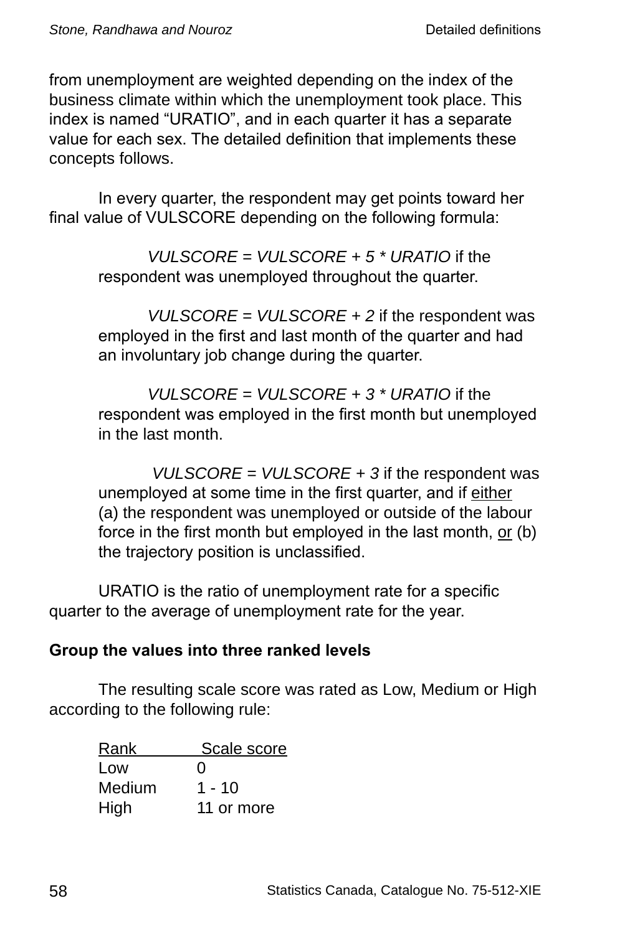from unemployment are weighted depending on the index of the business climate within which the unemployment took place. This index is named "URATIO", and in each quarter it has a separate value for each sex. The detailed definition that implements these concepts follows.

In every quarter, the respondent may get points toward her final value of VULSCORE depending on the following formula:

> *VULSCORE = VULSCORE + 5 \* URATIO* if the respondent was unemployed throughout the quarter.

*VULSCORE = VULSCORE + 2* if the respondent was employed in the first and last month of the quarter and had an involuntary job change during the quarter.

*VULSCORE = VULSCORE + 3 \* URATIO* if the respondent was employed in the first month but unemployed in the last month.

*VULSCORE = VULSCORE + 3* if the respondent was unemployed at some time in the first quarter, and if either (a) the respondent was unemployed or outside of the labour force in the first month but employed in the last month, or (b) the trajectory position is unclassified.

URATIO is the ratio of unemployment rate for a specific quarter to the average of unemployment rate for the year.

### **Group the values into three ranked levels**

The resulting scale score was rated as Low, Medium or High according to the following rule:

| Rank   | Scale score       |
|--------|-------------------|
| Low    | $\mathbf{\Omega}$ |
| Medium | 1 - 10            |
| High   | 11 or more        |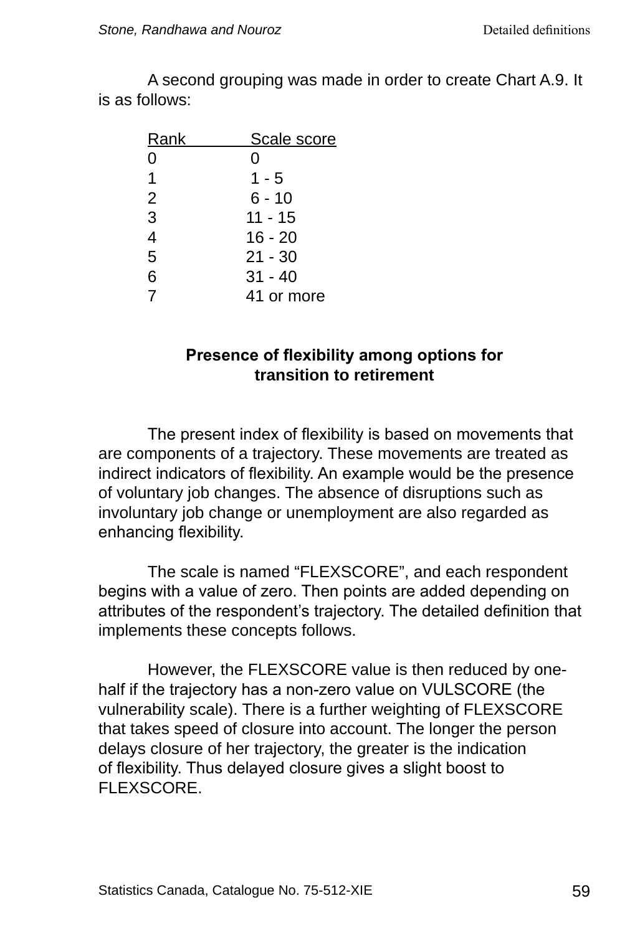A second grouping was made in order to create Chart A.9. It is as follows:

| Rank           | Scale score |
|----------------|-------------|
| 0              | Ω           |
| 1              | $1 - 5$     |
| $\overline{2}$ | $6 - 10$    |
| 3              | $11 - 15$   |
| 4              | 16 - 20     |
| 5              | $21 - 30$   |
| 6              | $31 - 40$   |
| 7              | 41 or more  |

#### **Presence of flexibility among options for transition to retirement**

The present index of flexibility is based on movements that are components of a trajectory. These movements are treated as indirect indicators of flexibility. An example would be the presence of voluntary job changes. The absence of disruptions such as involuntary job change or unemployment are also regarded as enhancing flexibility.

The scale is named "FLEXSCORE", and each respondent begins with a value of zero. Then points are added depending on attributes of the respondent's trajectory. The detailed definition that implements these concepts follows.

However, the FLEXSCORE value is then reduced by onehalf if the trajectory has a non-zero value on VULSCORE (the vulnerability scale). There is a further weighting of FLEXSCORE that takes speed of closure into account. The longer the person delays closure of her trajectory, the greater is the indication of flexibility. Thus delayed closure gives a slight boost to FLEXSCORE.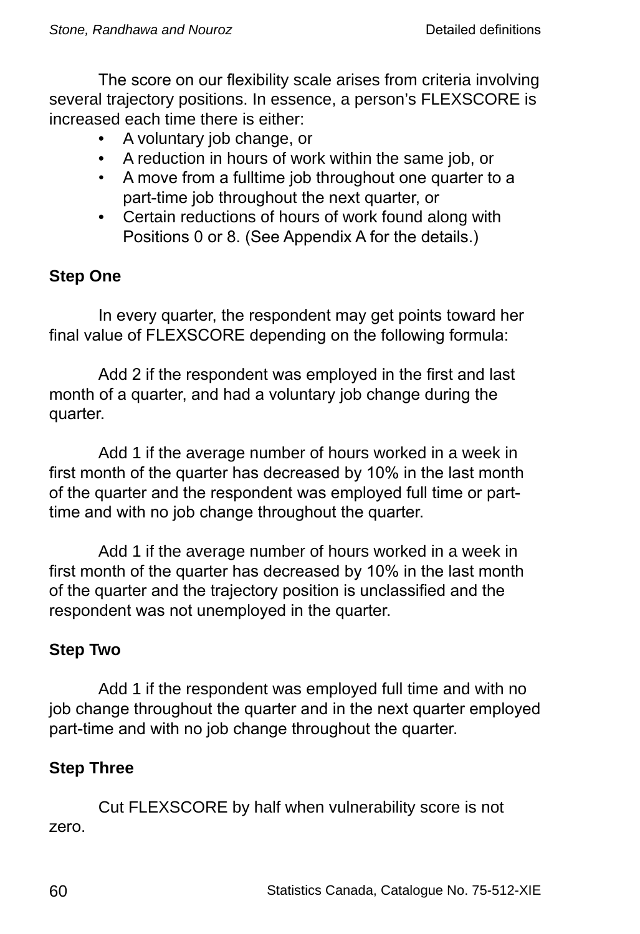The score on our flexibility scale arises from criteria involving several trajectory positions. In essence, a person's FLEXSCORE is increased each time there is either:

- A voluntary job change, or
- A reduction in hours of work within the same job, or
- A move from a fulltime job throughout one quarter to a part-time job throughout the next quarter, or
- Certain reductions of hours of work found along with Positions 0 or 8. (See Appendix A for the details.)

# **Step One**

In every quarter, the respondent may get points toward her final value of FLEXSCORE depending on the following formula:

Add 2 if the respondent was employed in the first and last month of a quarter, and had a voluntary job change during the quarter.

Add 1 if the average number of hours worked in a week in first month of the quarter has decreased by 10% in the last month of the quarter and the respondent was employed full time or parttime and with no job change throughout the quarter.

Add 1 if the average number of hours worked in a week in first month of the quarter has decreased by 10% in the last month of the quarter and the trajectory position is unclassified and the respondent was not unemployed in the quarter.

### **Step Two**

Add 1 if the respondent was employed full time and with no job change throughout the quarter and in the next quarter employed part-time and with no job change throughout the quarter.

# **Step Three**

Cut FLEXSCORE by half when vulnerability score is not zero.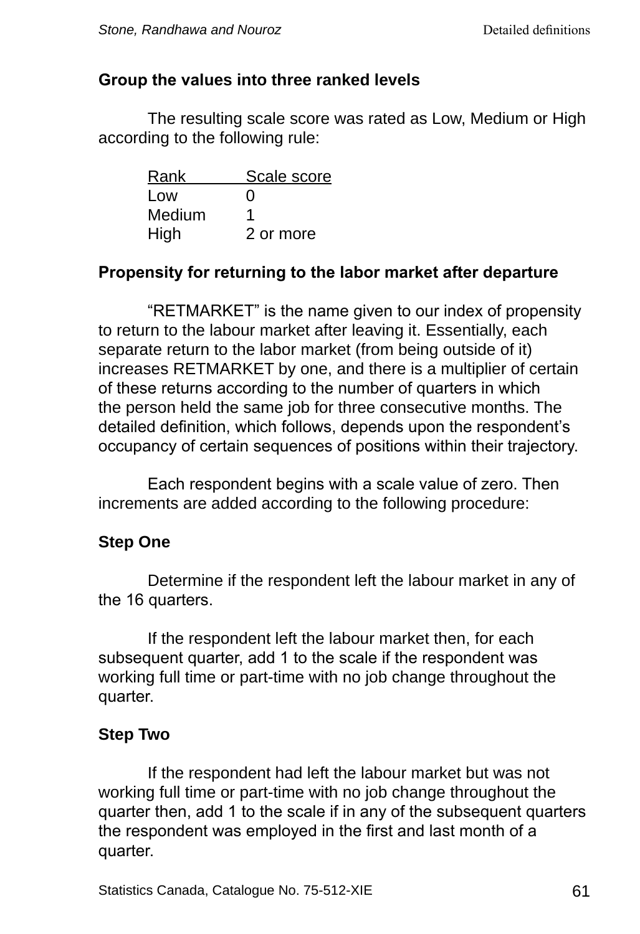#### **Group the values into three ranked levels**

The resulting scale score was rated as Low, Medium or High according to the following rule:

| Rank   | Scale score       |
|--------|-------------------|
| Low    | $\mathbf{\Omega}$ |
| Medium | 1                 |
| High   | 2 or more         |

### **Propensity for returning to the labor market after departure**

"RETMARKET" is the name given to our index of propensity to return to the labour market after leaving it. Essentially, each separate return to the labor market (from being outside of it) increases RETMARKET by one, and there is a multiplier of certain of these returns according to the number of quarters in which the person held the same job for three consecutive months. The detailed definition, which follows, depends upon the respondent's occupancy of certain sequences of positions within their trajectory.

Each respondent begins with a scale value of zero. Then increments are added according to the following procedure:

### **Step One**

Determine if the respondent left the labour market in any of the 16 quarters.

If the respondent left the labour market then, for each subsequent quarter, add 1 to the scale if the respondent was working full time or part-time with no job change throughout the quarter.

### **Step Two**

If the respondent had left the labour market but was not working full time or part-time with no job change throughout the quarter then, add 1 to the scale if in any of the subsequent quarters the respondent was employed in the first and last month of a quarter.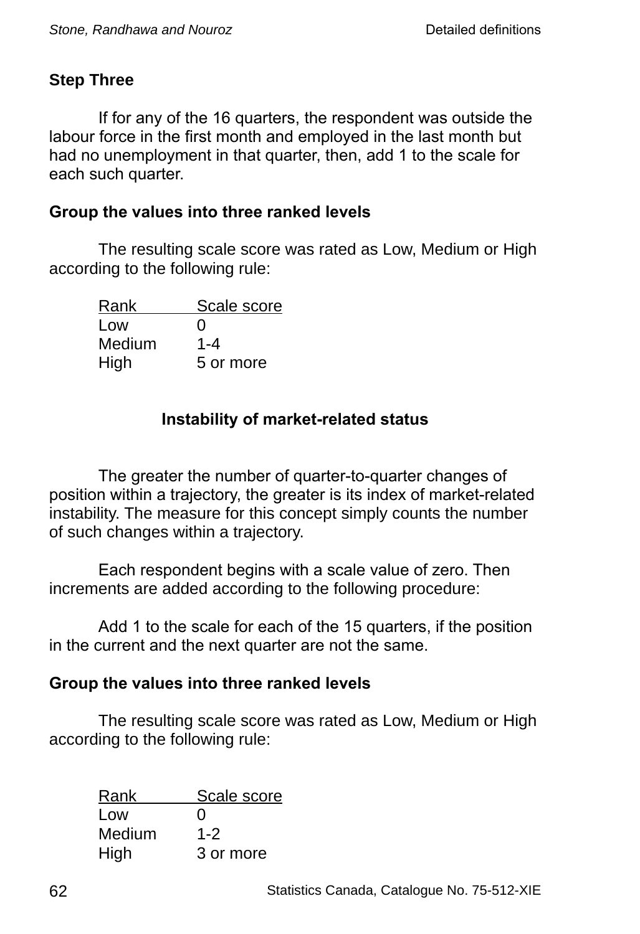### **Step Three**

If for any of the 16 quarters, the respondent was outside the labour force in the first month and employed in the last month but had no unemployment in that quarter, then, add 1 to the scale for each such quarter.

#### **Group the values into three ranked levels**

The resulting scale score was rated as Low, Medium or High according to the following rule:

| Rank   | Scale score       |
|--------|-------------------|
| Low    | $\mathbf{\Omega}$ |
| Medium | $1 - 4$           |
| High   | 5 or more         |

### **Instability of market-related status**

The greater the number of quarter-to-quarter changes of position within a trajectory, the greater is its index of market-related instability. The measure for this concept simply counts the number of such changes within a trajectory.

Each respondent begins with a scale value of zero. Then increments are added according to the following procedure:

Add 1 to the scale for each of the 15 quarters, if the position in the current and the next quarter are not the same.

#### **Group the values into three ranked levels**

The resulting scale score was rated as Low, Medium or High according to the following rule:

| Rank   | Scale score       |
|--------|-------------------|
| Low    | $\mathbf{\Omega}$ |
| Medium | $1 - 2$           |
| High   | 3 or more         |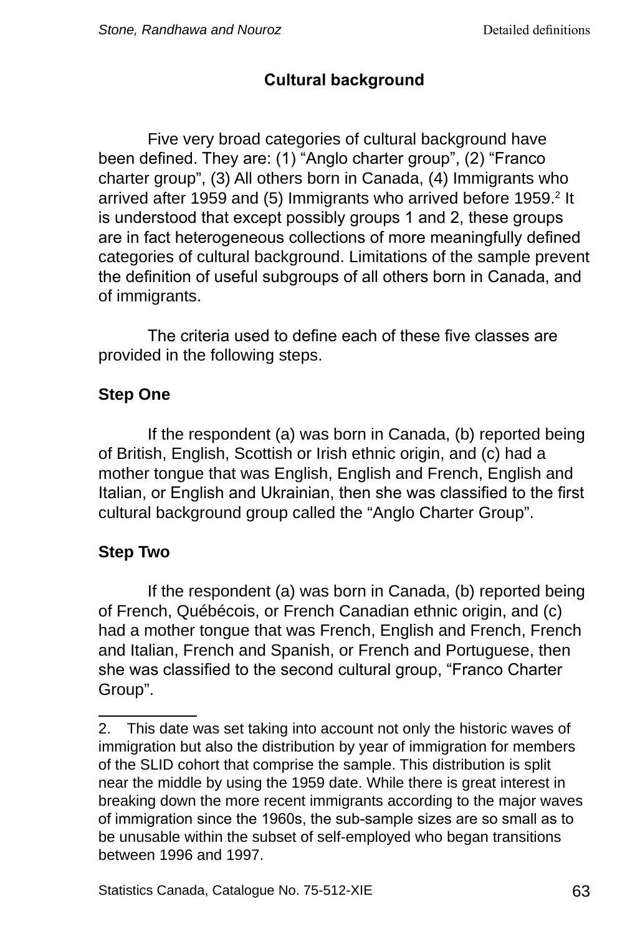# **Cultural background**

Five very broad categories of cultural background have been defined. They are: (1) "Anglo charter group", (2) "Franco charter group", (3) All others born in Canada, (4) Immigrants who arrived after 1959 and (5) Immigrants who arrived before 1959.<sup>2</sup> It is understood that except possibly groups 1 and 2, these groups are in fact heterogeneous collections of more meaningfully defined categories of cultural background. Limitations of the sample prevent the definition of useful subgroups of all others born in Canada, and of immigrants.

The criteria used to define each of these five classes are provided in the following steps.

# **Step One**

If the respondent (a) was born in Canada, (b) reported being of British, English, Scottish or Irish ethnic origin, and (c) had a mother tongue that was English, English and French, English and Italian, or English and Ukrainian, then she was classified to the first cultural background group called the "Anglo Charter Group".

# **Step Two**

If the respondent (a) was born in Canada, (b) reported being of French, Québécois, or French Canadian ethnic origin, and (c) had a mother tongue that was French, English and French, French and Italian, French and Spanish, or French and Portuguese, then she was classified to the second cultural group, "Franco Charter Group".

<sup>2.</sup> This date was set taking into account not only the historic waves of immigration but also the distribution by year of immigration for members of the SLID cohort that comprise the sample. This distribution is split near the middle by using the 1959 date. While there is great interest in breaking down the more recent immigrants according to the major waves of immigration since the 1960s, the sub-sample sizes are so small as to be unusable within the subset of self-employed who began transitions between 1996 and 1997.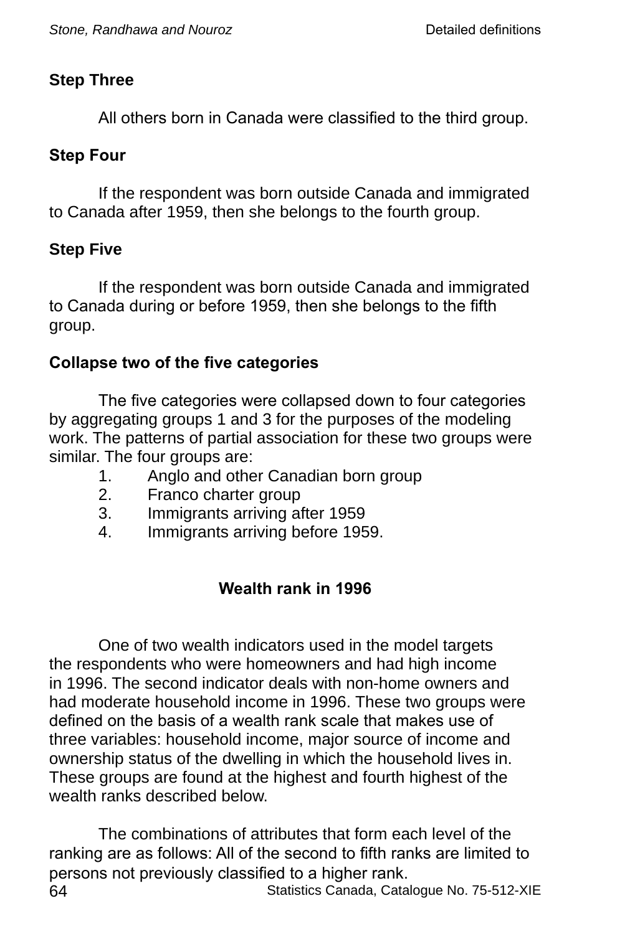### **Step Three**

All others born in Canada were classified to the third group.

### **Step Four**

If the respondent was born outside Canada and immigrated to Canada after 1959, then she belongs to the fourth group.

### **Step Five**

If the respondent was born outside Canada and immigrated to Canada during or before 1959, then she belongs to the fifth group.

### **Collapse two of the five categories**

The five categories were collapsed down to four categories by aggregating groups 1 and 3 for the purposes of the modeling work. The patterns of partial association for these two groups were similar. The four groups are:

- 1. Anglo and other Canadian born group
- 2. Franco charter group
- 3. Immigrants arriving after 1959
- 4. Immigrants arriving before 1959.

# **Wealth rank in 1996**

One of two wealth indicators used in the model targets the respondents who were homeowners and had high income in 1996. The second indicator deals with non-home owners and had moderate household income in 1996. These two groups were defined on the basis of a wealth rank scale that makes use of three variables: household income, major source of income and ownership status of the dwelling in which the household lives in. These groups are found at the highest and fourth highest of the wealth ranks described below.

64 Statistics Canada, Catalogue No. 75-512-XIE The combinations of attributes that form each level of the ranking are as follows: All of the second to fifth ranks are limited to persons not previously classified to a higher rank.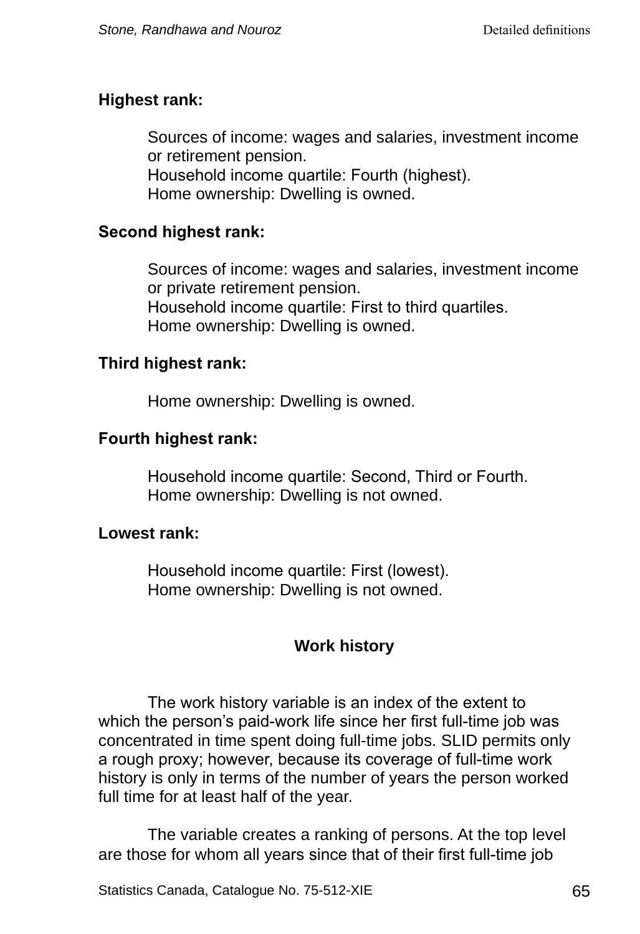### **Highest rank:**

Sources of income: wages and salaries, investment income or retirement pension. Household income quartile: Fourth (highest). Home ownership: Dwelling is owned.

#### **Second highest rank:**

Sources of income: wages and salaries, investment income or private retirement pension. Household income quartile: First to third quartiles. Home ownership: Dwelling is owned.

#### **Third highest rank:**

Home ownership: Dwelling is owned.

### **Fourth highest rank:**

Household income quartile: Second, Third or Fourth. Home ownership: Dwelling is not owned.

#### **Lowest rank:**

Household income quartile: First (lowest). Home ownership: Dwelling is not owned.

### **Work history**

The work history variable is an index of the extent to which the person's paid-work life since her first full-time job was concentrated in time spent doing full-time jobs. SLID permits only a rough proxy; however, because its coverage of full-time work history is only in terms of the number of years the person worked full time for at least half of the year.

The variable creates a ranking of persons. At the top level are those for whom all years since that of their first full-time job

Statistics Canada, Catalogue No. 75-512-XIE 65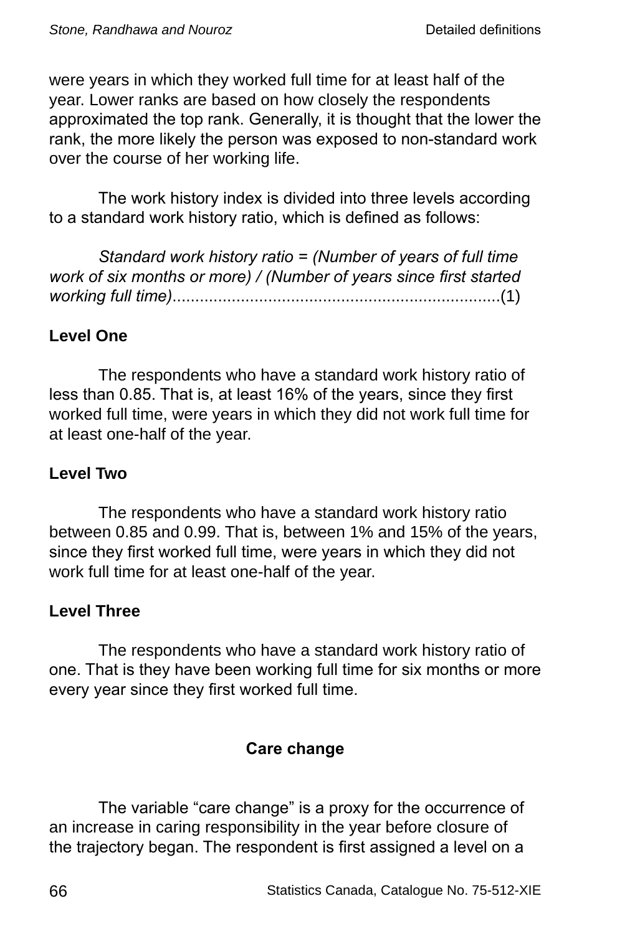were years in which they worked full time for at least half of the year. Lower ranks are based on how closely the respondents approximated the top rank. Generally, it is thought that the lower the rank, the more likely the person was exposed to non-standard work over the course of her working life.

The work history index is divided into three levels according to a standard work history ratio, which is defined as follows:

*Standard work history ratio = (Number of years of full time work of six months or more) / (Number of years since first started working full time)*........................................................................(1)

### **Level One**

The respondents who have a standard work history ratio of less than 0.85. That is, at least 16% of the years, since they first worked full time, were years in which they did not work full time for at least one-half of the year.

#### **Level Two**

The respondents who have a standard work history ratio between 0.85 and 0.99. That is, between 1% and 15% of the years, since they first worked full time, were years in which they did not work full time for at least one-half of the year.

### **Level Three**

The respondents who have a standard work history ratio of one. That is they have been working full time for six months or more every year since they first worked full time.

#### **Care change**

The variable "care change" is a proxy for the occurrence of an increase in caring responsibility in the year before closure of the trajectory began. The respondent is first assigned a level on a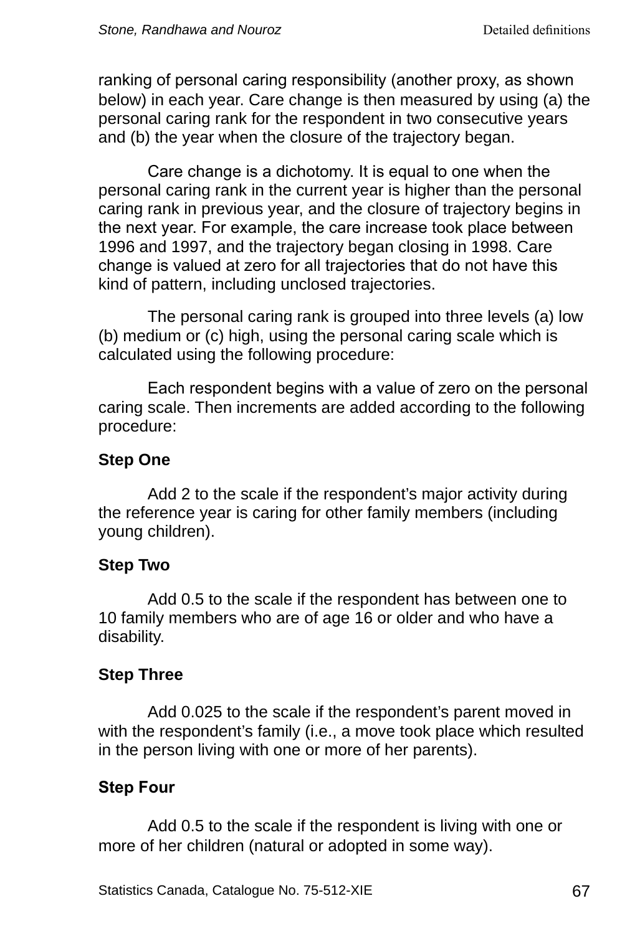ranking of personal caring responsibility (another proxy, as shown below) in each year. Care change is then measured by using (a) the personal caring rank for the respondent in two consecutive years and (b) the year when the closure of the trajectory began.

Care change is a dichotomy. It is equal to one when the personal caring rank in the current year is higher than the personal caring rank in previous year, and the closure of trajectory begins in the next year. For example, the care increase took place between 1996 and 1997, and the trajectory began closing in 1998. Care change is valued at zero for all trajectories that do not have this kind of pattern, including unclosed trajectories.

The personal caring rank is grouped into three levels (a) low (b) medium or (c) high, using the personal caring scale which is calculated using the following procedure:

Each respondent begins with a value of zero on the personal caring scale. Then increments are added according to the following procedure:

#### **Step One**

Add 2 to the scale if the respondent's major activity during the reference year is caring for other family members (including young children).

#### **Step Two**

Add 0.5 to the scale if the respondent has between one to 10 family members who are of age 16 or older and who have a disability.

### **Step Three**

Add 0.025 to the scale if the respondent's parent moved in with the respondent's family (i.e., a move took place which resulted in the person living with one or more of her parents).

# **Step Four**

Add 0.5 to the scale if the respondent is living with one or more of her children (natural or adopted in some way).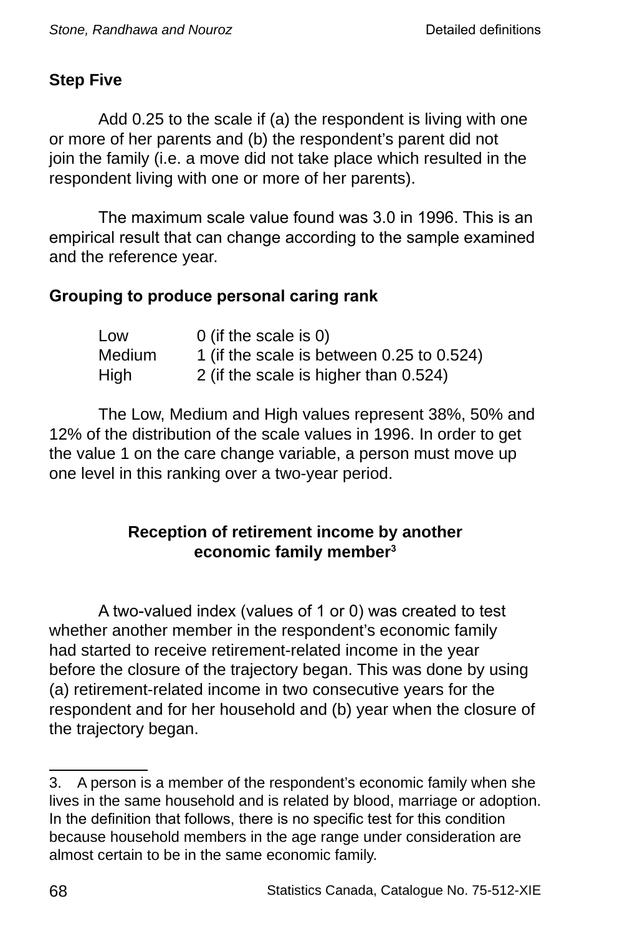# **Step Five**

Add 0.25 to the scale if (a) the respondent is living with one or more of her parents and (b) the respondent's parent did not join the family (i.e. a move did not take place which resulted in the respondent living with one or more of her parents).

The maximum scale value found was 3.0 in 1996. This is an empirical result that can change according to the sample examined and the reference year.

### **Grouping to produce personal caring rank**

| Low    | 0 (if the scale is $0$ )                  |
|--------|-------------------------------------------|
| Medium | 1 (if the scale is between 0.25 to 0.524) |
| High   | 2 (if the scale is higher than 0.524)     |

The Low, Medium and High values represent 38%, 50% and 12% of the distribution of the scale values in 1996. In order to get the value 1 on the care change variable, a person must move up one level in this ranking over a two-year period.

### **Reception of retirement income by another economic family member**

A two-valued index (values of 1 or 0) was created to test whether another member in the respondent's economic family had started to receive retirement-related income in the year before the closure of the trajectory began. This was done by using (a) retirement-related income in two consecutive years for the respondent and for her household and (b) year when the closure of the trajectory began.

<sup>3.</sup> A person is a member of the respondent's economic family when she lives in the same household and is related by blood, marriage or adoption. In the definition that follows, there is no specific test for this condition because household members in the age range under consideration are almost certain to be in the same economic family.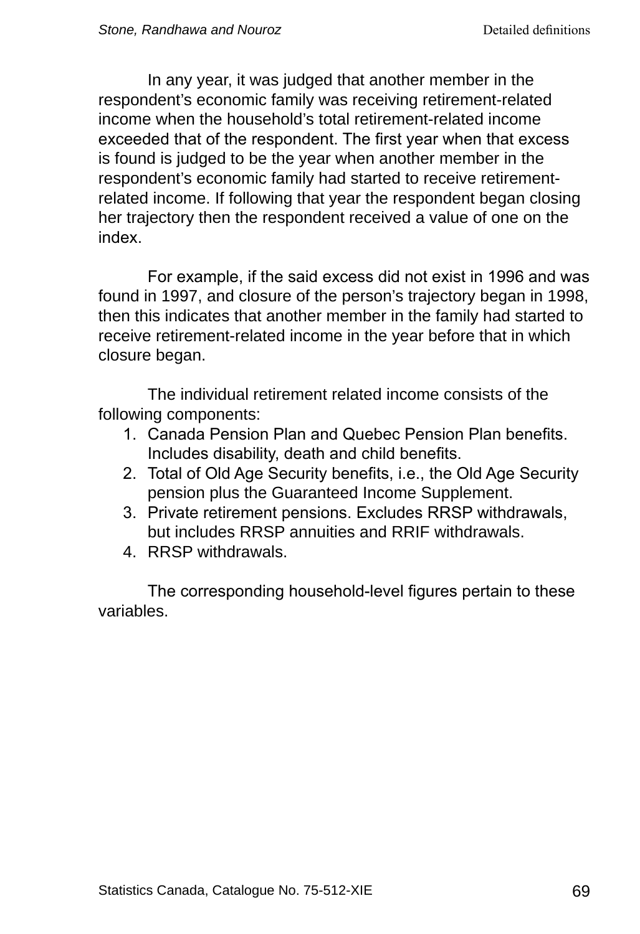In any year, it was judged that another member in the respondent's economic family was receiving retirement-related income when the household's total retirement-related income exceeded that of the respondent. The first year when that excess is found is judged to be the year when another member in the respondent's economic family had started to receive retirementrelated income. If following that year the respondent began closing her trajectory then the respondent received a value of one on the index.

For example, if the said excess did not exist in 1996 and was found in 1997, and closure of the person's trajectory began in 1998, then this indicates that another member in the family had started to receive retirement-related income in the year before that in which closure began.

The individual retirement related income consists of the following components:

- 1. Canada Pension Plan and Quebec Pension Plan benefits. Includes disability, death and child benefits.
- 2. Total of Old Age Security benefits, i.e., the Old Age Security pension plus the Guaranteed Income Supplement.
- 3. Private retirement pensions. Excludes RRSP withdrawals, but includes RRSP annuities and RRIF withdrawals.
- 4. RRSP withdrawals.

The corresponding household-level figures pertain to these variables.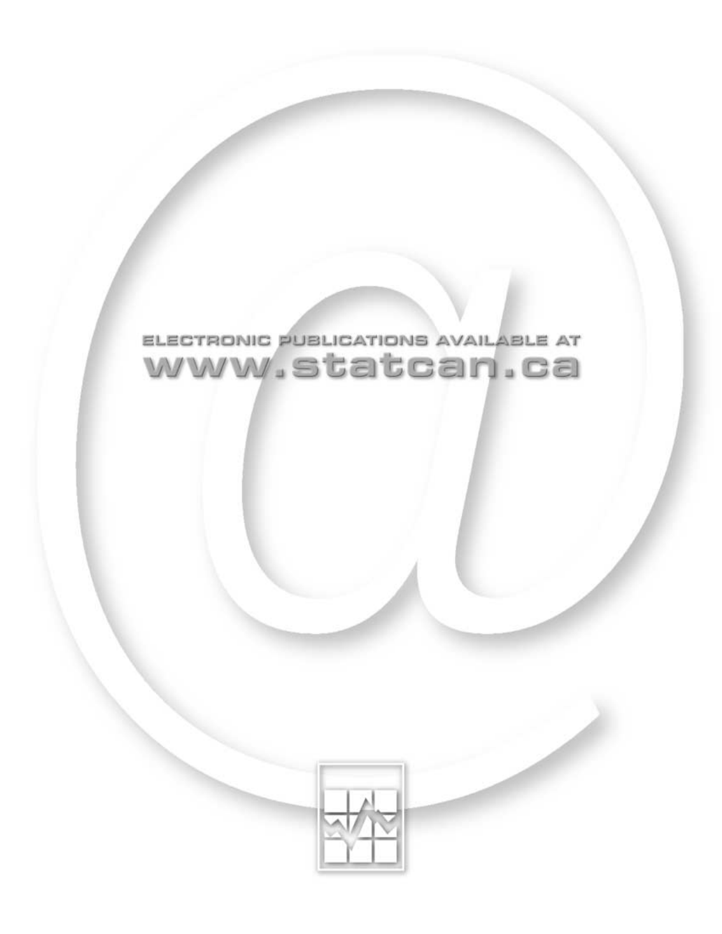

# ELECTRONIC PUBLICATIONS AVAILABLE AT www.statcan.ca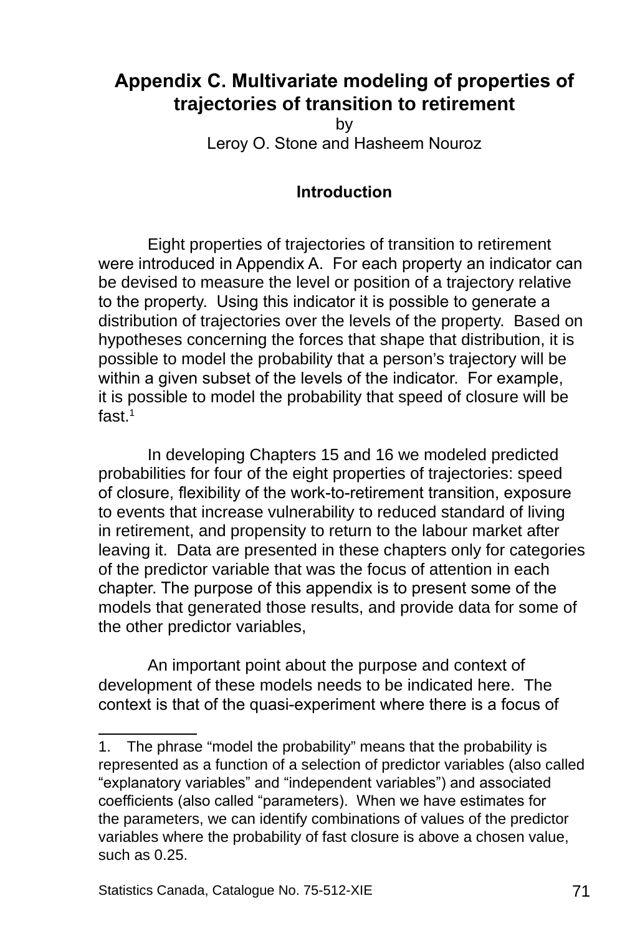# **Appendix C. Multivariate modeling of properties of trajectories of transition to retirement**

by Leroy O. Stone and Hasheem Nouroz

#### **Introduction**

Eight properties of trajectories of transition to retirement were introduced in Appendix A. For each property an indicator can be devised to measure the level or position of a trajectory relative to the property. Using this indicator it is possible to generate a distribution of trajectories over the levels of the property. Based on hypotheses concerning the forces that shape that distribution, it is possible to model the probability that a person's trajectory will be within a given subset of the levels of the indicator. For example, it is possible to model the probability that speed of closure will be fast.<sup>1</sup>

In developing Chapters 15 and 16 we modeled predicted probabilities for four of the eight properties of trajectories: speed of closure, flexibility of the work-to-retirement transition, exposure to events that increase vulnerability to reduced standard of living in retirement, and propensity to return to the labour market after leaving it. Data are presented in these chapters only for categories of the predictor variable that was the focus of attention in each chapter. The purpose of this appendix is to present some of the models that generated those results, and provide data for some of the other predictor variables,

An important point about the purpose and context of development of these models needs to be indicated here. The context is that of the quasi-experiment where there is a focus of

<sup>.</sup> The phrase "model the probability" means that the probability is represented as a function of a selection of predictor variables (also called "explanatory variables" and "independent variables") and associated coefficients (also called "parameters). When we have estimates for the parameters, we can identify combinations of values of the predictor variables where the probability of fast closure is above a chosen value, such as 0.25.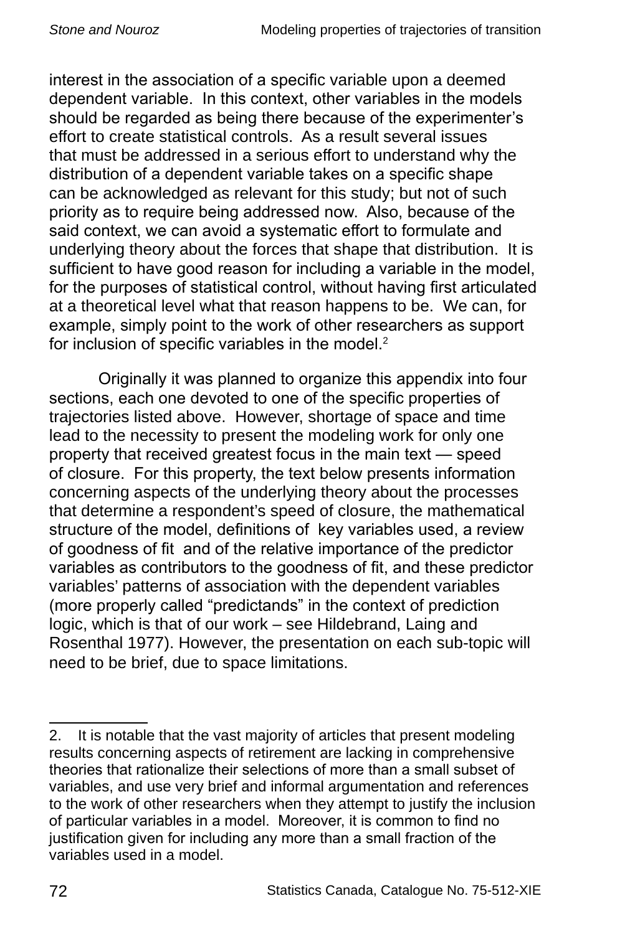interest in the association of a specific variable upon a deemed dependent variable. In this context, other variables in the models should be regarded as being there because of the experimenter's effort to create statistical controls. As a result several issues that must be addressed in a serious effort to understand why the distribution of a dependent variable takes on a specific shape can be acknowledged as relevant for this study; but not of such priority as to require being addressed now. Also, because of the said context, we can avoid a systematic effort to formulate and underlying theory about the forces that shape that distribution. It is sufficient to have good reason for including a variable in the model, for the purposes of statistical control, without having first articulated at a theoretical level what that reason happens to be. We can, for example, simply point to the work of other researchers as support for inclusion of specific variables in the model.<sup>2</sup>

Originally it was planned to organize this appendix into four sections, each one devoted to one of the specific properties of trajectories listed above. However, shortage of space and time lead to the necessity to present the modeling work for only one property that received greatest focus in the main text — speed of closure. For this property, the text below presents information concerning aspects of the underlying theory about the processes that determine a respondent's speed of closure, the mathematical structure of the model, definitions of key variables used, a review of goodness of fit and of the relative importance of the predictor variables as contributors to the goodness of fit, and these predictor variables' patterns of association with the dependent variables (more properly called "predictands" in the context of prediction logic, which is that of our work – see Hildebrand, Laing and Rosenthal 1977). However, the presentation on each sub-topic will need to be brief, due to space limitations.

<sup>2.</sup> It is notable that the vast majority of articles that present modeling results concerning aspects of retirement are lacking in comprehensive theories that rationalize their selections of more than a small subset of variables, and use very brief and informal argumentation and references to the work of other researchers when they attempt to justify the inclusion of particular variables in a model. Moreover, it is common to find no justification given for including any more than a small fraction of the variables used in a model.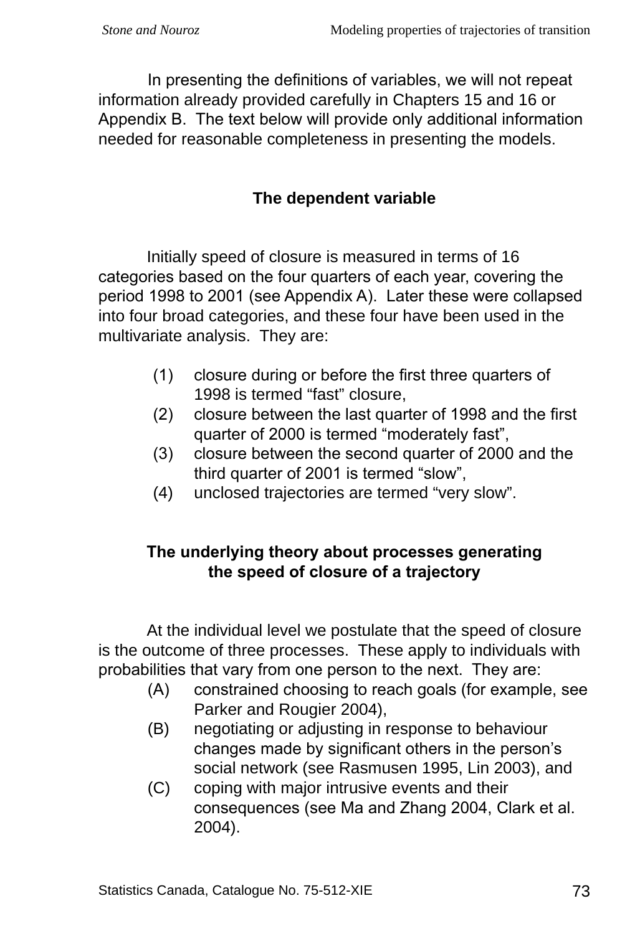In presenting the definitions of variables, we will not repeat information already provided carefully in Chapters 15 and 16 or Appendix B. The text below will provide only additional information needed for reasonable completeness in presenting the models.

# **The dependent variable**

Initially speed of closure is measured in terms of 16 categories based on the four quarters of each year, covering the period 1998 to 2001 (see Appendix A). Later these were collapsed into four broad categories, and these four have been used in the multivariate analysis. They are:

- (1) closure during or before the first three quarters of 1998 is termed "fast" closure,
- (2) closure between the last quarter of 1998 and the first quarter of 2000 is termed "moderately fast",
- (3) closure between the second quarter of 2000 and the third quarter of 2001 is termed "slow",
- (4) unclosed trajectories are termed "very slow".

## **The underlying theory about processes generating the speed of closure of a trajectory**

At the individual level we postulate that the speed of closure is the outcome of three processes. These apply to individuals with probabilities that vary from one person to the next. They are:

- (A) constrained choosing to reach goals (for example, see Parker and Rougier 2004),
- (B) negotiating or adjusting in response to behaviour changes made by significant others in the person's social network (see Rasmusen 1995, Lin 2003), and
- (C) coping with major intrusive events and their consequences (see Ma and Zhang 2004, Clark et al. 2004).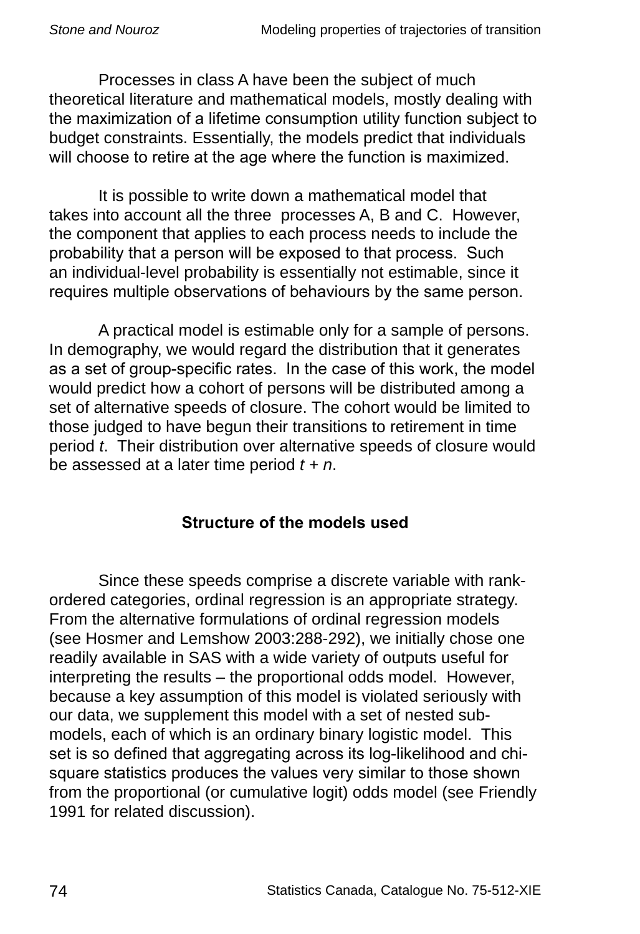Processes in class A have been the subject of much theoretical literature and mathematical models, mostly dealing with the maximization of a lifetime consumption utility function subject to budget constraints. Essentially, the models predict that individuals will choose to retire at the age where the function is maximized.

It is possible to write down a mathematical model that takes into account all the three processes A, B and C. However, the component that applies to each process needs to include the probability that a person will be exposed to that process. Such an individual-level probability is essentially not estimable, since it requires multiple observations of behaviours by the same person.

A practical model is estimable only for a sample of persons. In demography, we would regard the distribution that it generates as a set of group-specific rates. In the case of this work, the model would predict how a cohort of persons will be distributed among a set of alternative speeds of closure. The cohort would be limited to those judged to have begun their transitions to retirement in time period *t*. Their distribution over alternative speeds of closure would be assessed at a later time period *t + n*.

## **Structure of the models used**

Since these speeds comprise a discrete variable with rankordered categories, ordinal regression is an appropriate strategy. From the alternative formulations of ordinal regression models (see Hosmer and Lemshow 2003:288-292), we initially chose one readily available in SAS with a wide variety of outputs useful for interpreting the results – the proportional odds model. However, because a key assumption of this model is violated seriously with our data, we supplement this model with a set of nested submodels, each of which is an ordinary binary logistic model. This set is so defined that aggregating across its log-likelihood and chisquare statistics produces the values very similar to those shown from the proportional (or cumulative logit) odds model (see Friendly 1991 for related discussion).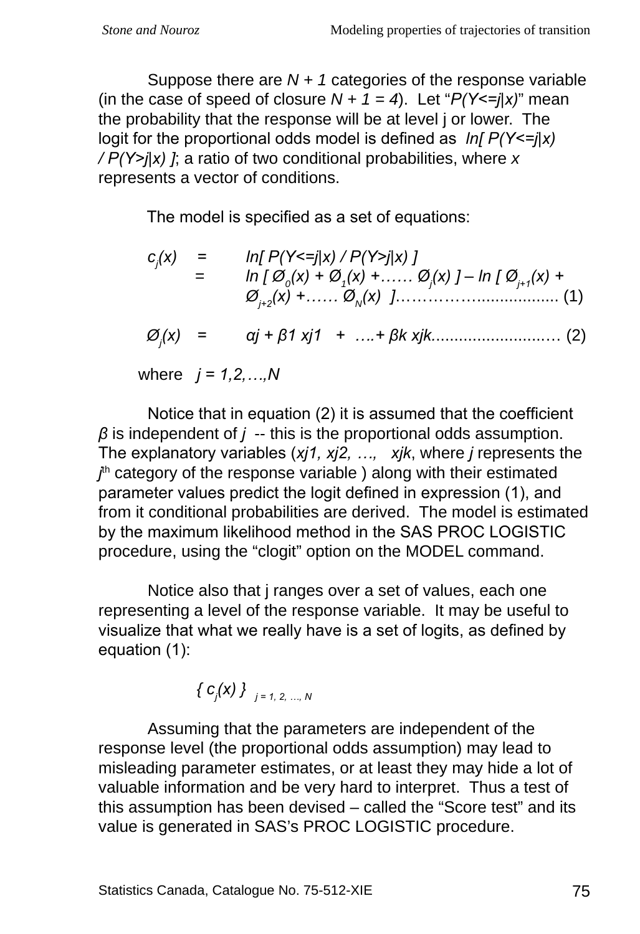Suppose there are *N + 1* categories of the response variable (in the case of speed of closure  $N + 1 = 4$ ). Let " $P(Y \leq j | x)$ " mean the probability that the response will be at level j or lower. The logit for the proportional odds model is defined as *ln[ P(Y<=j|x) / P(Y>j|x) ]*; a ratio of two conditional probabilities, where *x* represents a vector of conditions.

The model is specified as a set of equations:

| $c_i(x)$ =                         | $In[ P(Y<=j x) / P(Y>j x)]$<br>$\ln [\emptyset_{0}(x) + \emptyset_{1}(x) + \ldots \infty_{1}(x)] - \ln [\emptyset_{i+1}(x) +$ |
|------------------------------------|-------------------------------------------------------------------------------------------------------------------------------|
| $\varnothing$ <sub>i</sub> $(x)$ = | $\alpha j + \beta 1 x j 1 + \ldots + \beta k x j k \ldots \ldots \ldots \ldots \ldots \ldots$ (2)                             |

where *j = 1,2,…,N*

Notice that in equation (2) it is assumed that the coefficient *β* is independent of *j* -- this is the proportional odds assumption. The explanatory variables (*xj1, xj2, …, xjk*, where *j* represents the *i*<sup>th</sup> category of the response variable ) along with their estimated parameter values predict the logit defined in expression (1), and from it conditional probabilities are derived. The model is estimated by the maximum likelihood method in the SAS PROC LOGISTIC procedure, using the "clogit" option on the MODEL command.

Notice also that j ranges over a set of values, each one representing a level of the response variable. It may be useful to visualize that what we really have is a set of logits, as defined by equation (1):

$$
\{ \ c_j(x) \} \ \bigg\}_{j=1, 2, ..., N}
$$

Assuming that the parameters are independent of the response level (the proportional odds assumption) may lead to misleading parameter estimates, or at least they may hide a lot of valuable information and be very hard to interpret. Thus a test of this assumption has been devised – called the "Score test" and its value is generated in SAS's PROC LOGISTIC procedure.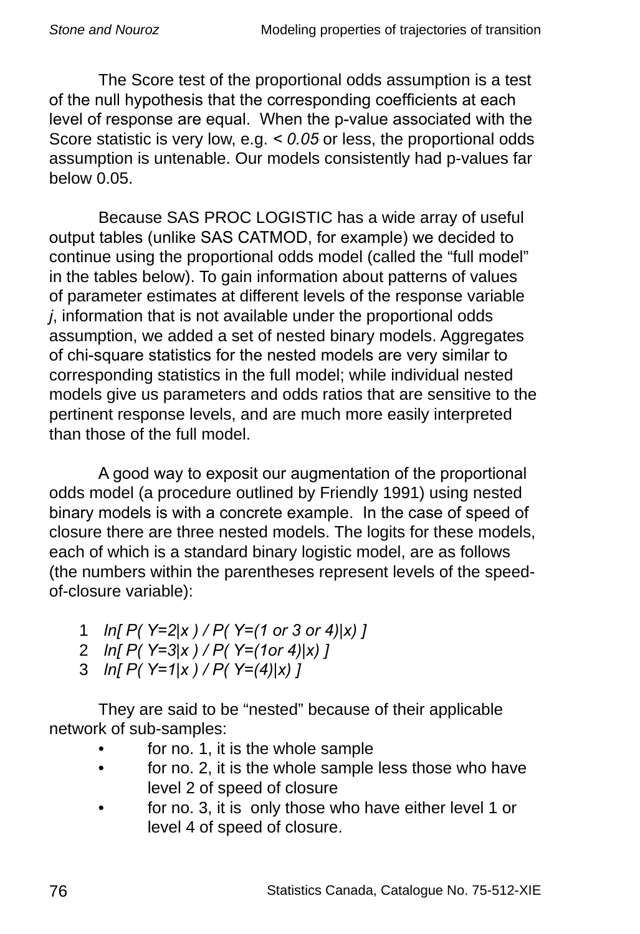The Score test of the proportional odds assumption is a test of the null hypothesis that the corresponding coefficients at each level of response are equal. When the p-value associated with the Score statistic is very low, e.g. *< 0.05* or less, the proportional odds assumption is untenable. Our models consistently had p-values far below 0.05.

Because SAS PROC LOGISTIC has a wide array of useful output tables (unlike SAS CATMOD, for example) we decided to continue using the proportional odds model (called the "full model" in the tables below). To gain information about patterns of values of parameter estimates at different levels of the response variable *j*, information that is not available under the proportional odds assumption, we added a set of nested binary models. Aggregates of chi-square statistics for the nested models are very similar to corresponding statistics in the full model; while individual nested models give us parameters and odds ratios that are sensitive to the pertinent response levels, and are much more easily interpreted than those of the full model.

A good way to exposit our augmentation of the proportional odds model (a procedure outlined by Friendly 1991) using nested binary models is with a concrete example. In the case of speed of closure there are three nested models. The logits for these models, each of which is a standard binary logistic model, are as follows (the numbers within the parentheses represent levels of the speedof-closure variable):

- 1 *ln[ P( Y=2|x ) / P( Y=(1 or 3 or 4)|x) ]*
- 2 *ln[ P( Y=3|x ) / P( Y=(1or 4)|x) ]*
- 3 *ln[ P( Y=1|x ) / P( Y=(4)|x) ]*

They are said to be "nested" because of their applicable network of sub-samples:

- for no. 1, it is the whole sample •
- for no. 2, it is the whole sample less those who have level 2 of speed of closure •
- for no. 3, it is only those who have either level 1 or level 4 of speed of closure. •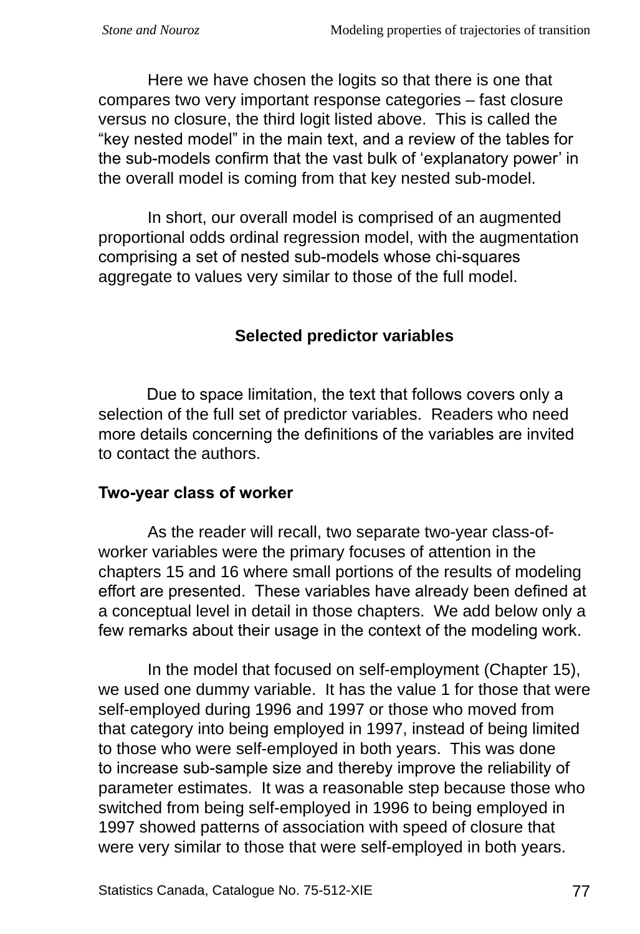Here we have chosen the logits so that there is one that compares two very important response categories – fast closure versus no closure, the third logit listed above. This is called the "key nested model" in the main text, and a review of the tables for the sub-models confirm that the vast bulk of 'explanatory power' in the overall model is coming from that key nested sub-model.

In short, our overall model is comprised of an augmented proportional odds ordinal regression model, with the augmentation comprising a set of nested sub-models whose chi-squares aggregate to values very similar to those of the full model.

## **Selected predictor variables**

Due to space limitation, the text that follows covers only a selection of the full set of predictor variables. Readers who need more details concerning the definitions of the variables are invited to contact the authors.

## **Two-year class of worker**

As the reader will recall, two separate two-year class-ofworker variables were the primary focuses of attention in the chapters 15 and 16 where small portions of the results of modeling effort are presented. These variables have already been defined at a conceptual level in detail in those chapters. We add below only a few remarks about their usage in the context of the modeling work.

In the model that focused on self-employment (Chapter 15), we used one dummy variable. It has the value 1 for those that were self-employed during 1996 and 1997 or those who moved from that category into being employed in 1997, instead of being limited to those who were self-employed in both years. This was done to increase sub-sample size and thereby improve the reliability of parameter estimates. It was a reasonable step because those who switched from being self-employed in 1996 to being employed in 1997 showed patterns of association with speed of closure that were very similar to those that were self-employed in both years.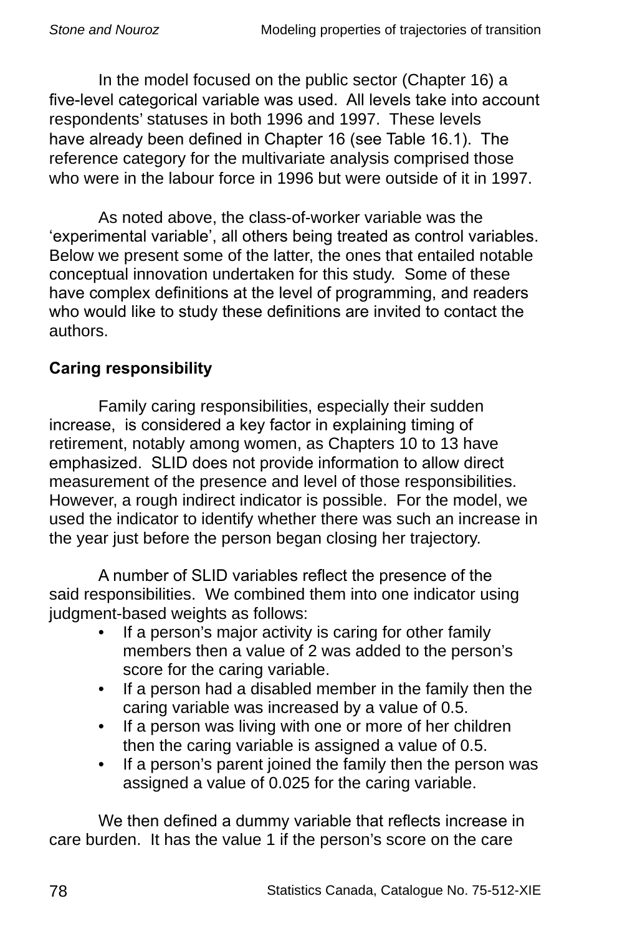In the model focused on the public sector (Chapter 16) a five-level categorical variable was used. All levels take into account respondents' statuses in both 1996 and 1997. These levels have already been defined in Chapter 16 (see Table 16.1). The reference category for the multivariate analysis comprised those who were in the labour force in 1996 but were outside of it in 1997.

As noted above, the class-of-worker variable was the 'experimental variable', all others being treated as control variables. Below we present some of the latter, the ones that entailed notable conceptual innovation undertaken for this study. Some of these have complex definitions at the level of programming, and readers who would like to study these definitions are invited to contact the authors.

# **Caring responsibility**

Family caring responsibilities, especially their sudden increase, is considered a key factor in explaining timing of retirement, notably among women, as Chapters 10 to 13 have emphasized. SLID does not provide information to allow direct measurement of the presence and level of those responsibilities. However, a rough indirect indicator is possible. For the model, we used the indicator to identify whether there was such an increase in the year just before the person began closing her trajectory.

A number of SLID variables reflect the presence of the said responsibilities. We combined them into one indicator using judgment-based weights as follows:

- If a person's major activity is caring for other family members then a value of 2 was added to the person's score for the caring variable. •
- If a person had a disabled member in the family then the caring variable was increased by a value of 0.5. •
- If a person was living with one or more of her children then the caring variable is assigned a value of 0.5. •
- If a person's parent joined the family then the person was assigned a value of 0.025 for the caring variable. •

We then defined a dummy variable that reflects increase in care burden. It has the value 1 if the person's score on the care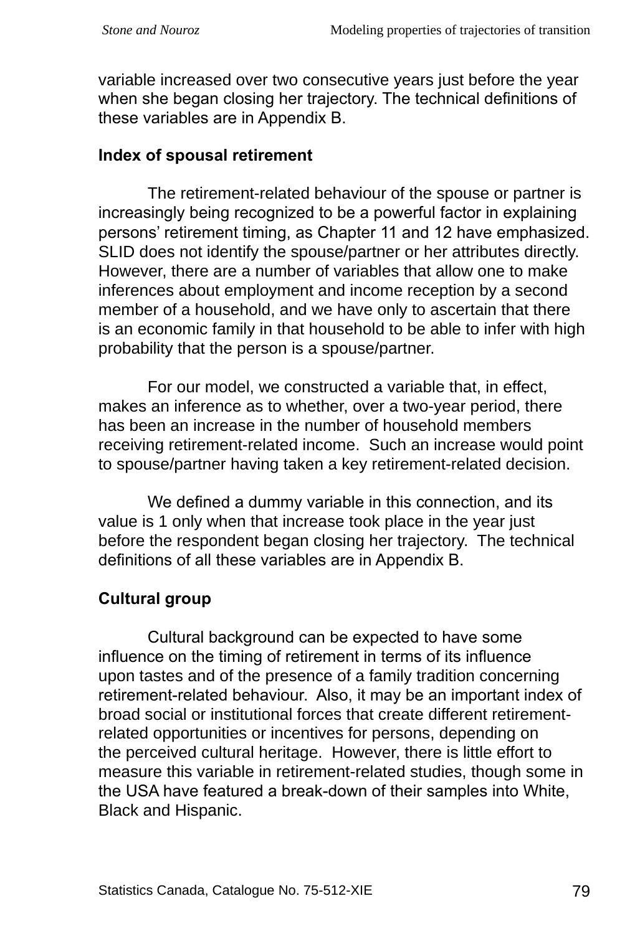variable increased over two consecutive years just before the year when she began closing her trajectory. The technical definitions of these variables are in Appendix B.

#### **Index of spousal retirement**

The retirement-related behaviour of the spouse or partner is increasingly being recognized to be a powerful factor in explaining persons' retirement timing, as Chapter 11 and 12 have emphasized. SLID does not identify the spouse/partner or her attributes directly. However, there are a number of variables that allow one to make inferences about employment and income reception by a second member of a household, and we have only to ascertain that there is an economic family in that household to be able to infer with high probability that the person is a spouse/partner.

For our model, we constructed a variable that, in effect, makes an inference as to whether, over a two-year period, there has been an increase in the number of household members receiving retirement-related income. Such an increase would point to spouse/partner having taken a key retirement-related decision.

We defined a dummy variable in this connection, and its value is 1 only when that increase took place in the year just before the respondent began closing her trajectory. The technical definitions of all these variables are in Appendix B.

## **Cultural group**

Cultural background can be expected to have some influence on the timing of retirement in terms of its influence upon tastes and of the presence of a family tradition concerning retirement-related behaviour. Also, it may be an important index of broad social or institutional forces that create different retirementrelated opportunities or incentives for persons, depending on the perceived cultural heritage. However, there is little effort to measure this variable in retirement-related studies, though some in the USA have featured a break-down of their samples into White, Black and Hispanic.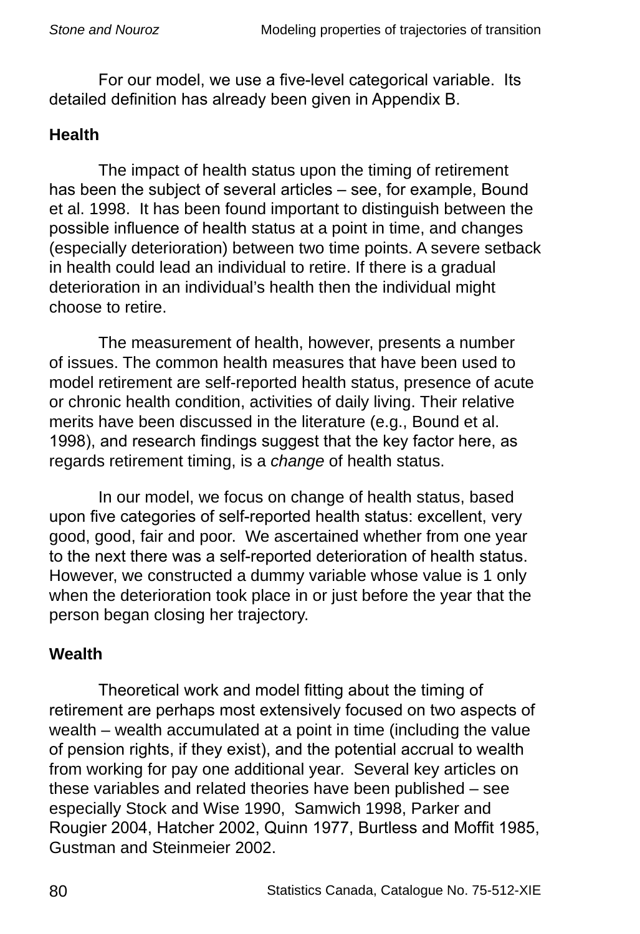For our model, we use a five-level categorical variable. Its detailed definition has already been given in Appendix B.

## **Health**

The impact of health status upon the timing of retirement has been the subject of several articles – see, for example, Bound et al. 1998. It has been found important to distinguish between the possible influence of health status at a point in time, and changes (especially deterioration) between two time points. A severe setback in health could lead an individual to retire. If there is a gradual deterioration in an individual's health then the individual might choose to retire.

The measurement of health, however, presents a number of issues. The common health measures that have been used to model retirement are self-reported health status, presence of acute or chronic health condition, activities of daily living. Their relative merits have been discussed in the literature (e.g., Bound et al. 1998), and research findings suggest that the key factor here, as regards retirement timing, is a *change* of health status.

In our model, we focus on change of health status, based upon five categories of self-reported health status: excellent, very good, good, fair and poor. We ascertained whether from one year to the next there was a self-reported deterioration of health status. However, we constructed a dummy variable whose value is 1 only when the deterioration took place in or just before the year that the person began closing her trajectory.

## **Wealth**

Theoretical work and model fitting about the timing of retirement are perhaps most extensively focused on two aspects of wealth – wealth accumulated at a point in time (including the value of pension rights, if they exist), and the potential accrual to wealth from working for pay one additional year. Several key articles on these variables and related theories have been published – see especially Stock and Wise 1990, Samwich 1998, Parker and Rougier 2004, Hatcher 2002, Quinn 1977, Burtless and Moffit 1985, Gustman and Steinmeier 2002.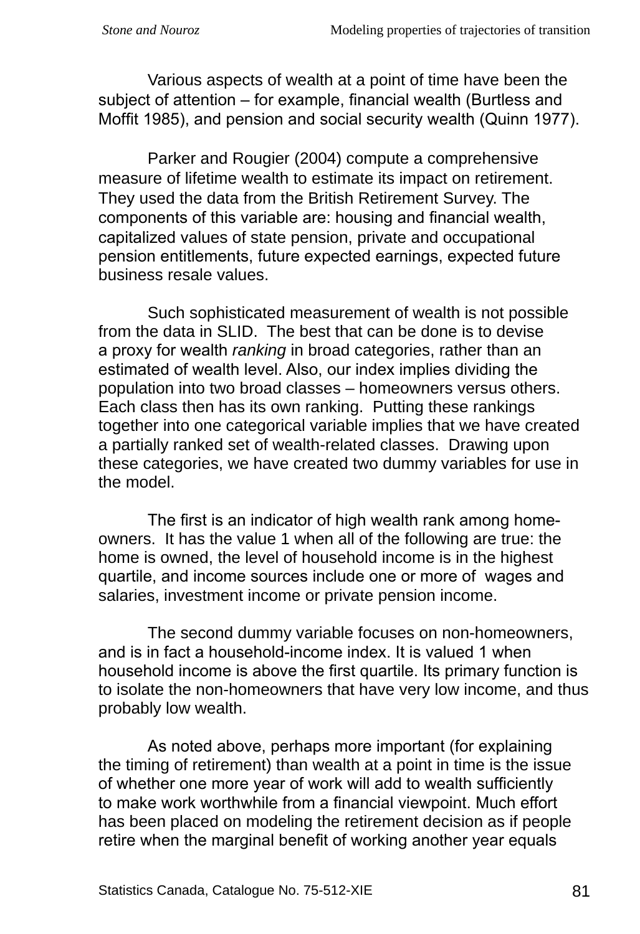Various aspects of wealth at a point of time have been the subject of attention – for example, financial wealth (Burtless and Moffit 1985), and pension and social security wealth (Quinn 1977).

Parker and Rougier (2004) compute a comprehensive measure of lifetime wealth to estimate its impact on retirement. They used the data from the British Retirement Survey. The components of this variable are: housing and financial wealth, capitalized values of state pension, private and occupational pension entitlements, future expected earnings, expected future business resale values.

Such sophisticated measurement of wealth is not possible from the data in SLID. The best that can be done is to devise a proxy for wealth *ranking* in broad categories, rather than an estimated of wealth level. Also, our index implies dividing the population into two broad classes – homeowners versus others. Each class then has its own ranking. Putting these rankings together into one categorical variable implies that we have created a partially ranked set of wealth-related classes. Drawing upon these categories, we have created two dummy variables for use in the model.

The first is an indicator of high wealth rank among homeowners. It has the value 1 when all of the following are true: the home is owned, the level of household income is in the highest quartile, and income sources include one or more of wages and salaries, investment income or private pension income.

The second dummy variable focuses on non-homeowners, and is in fact a household-income index. It is valued 1 when household income is above the first quartile. Its primary function is to isolate the non-homeowners that have very low income, and thus probably low wealth.

As noted above, perhaps more important (for explaining the timing of retirement) than wealth at a point in time is the issue of whether one more year of work will add to wealth sufficiently to make work worthwhile from a financial viewpoint. Much effort has been placed on modeling the retirement decision as if people retire when the marginal benefit of working another year equals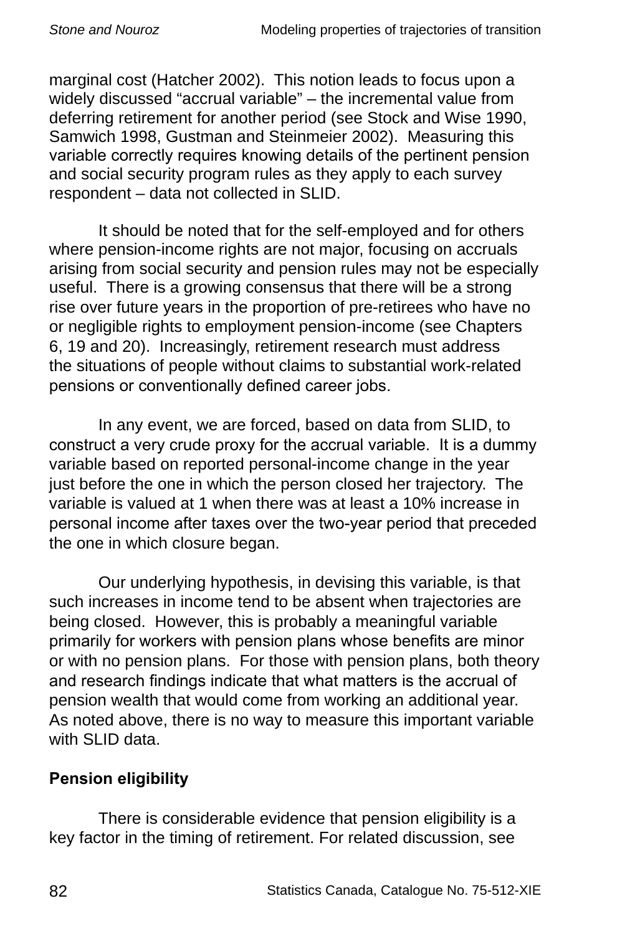marginal cost (Hatcher 2002). This notion leads to focus upon a widely discussed "accrual variable" – the incremental value from deferring retirement for another period (see Stock and Wise 1990, Samwich 1998, Gustman and Steinmeier 2002). Measuring this variable correctly requires knowing details of the pertinent pension and social security program rules as they apply to each survey respondent – data not collected in SLID.

It should be noted that for the self-employed and for others where pension-income rights are not major, focusing on accruals arising from social security and pension rules may not be especially useful. There is a growing consensus that there will be a strong rise over future years in the proportion of pre-retirees who have no or negligible rights to employment pension-income (see Chapters 6, 19 and 20). Increasingly, retirement research must address the situations of people without claims to substantial work-related pensions or conventionally defined career jobs.

In any event, we are forced, based on data from SLID, to construct a very crude proxy for the accrual variable. It is a dummy variable based on reported personal-income change in the year just before the one in which the person closed her trajectory. The variable is valued at 1 when there was at least a 10% increase in personal income after taxes over the two-year period that preceded the one in which closure began.

Our underlying hypothesis, in devising this variable, is that such increases in income tend to be absent when trajectories are being closed. However, this is probably a meaningful variable primarily for workers with pension plans whose benefits are minor or with no pension plans. For those with pension plans, both theory and research findings indicate that what matters is the accrual of pension wealth that would come from working an additional year. As noted above, there is no way to measure this important variable with SLID data.

## **Pension eligibility**

There is considerable evidence that pension eligibility is a key factor in the timing of retirement. For related discussion, see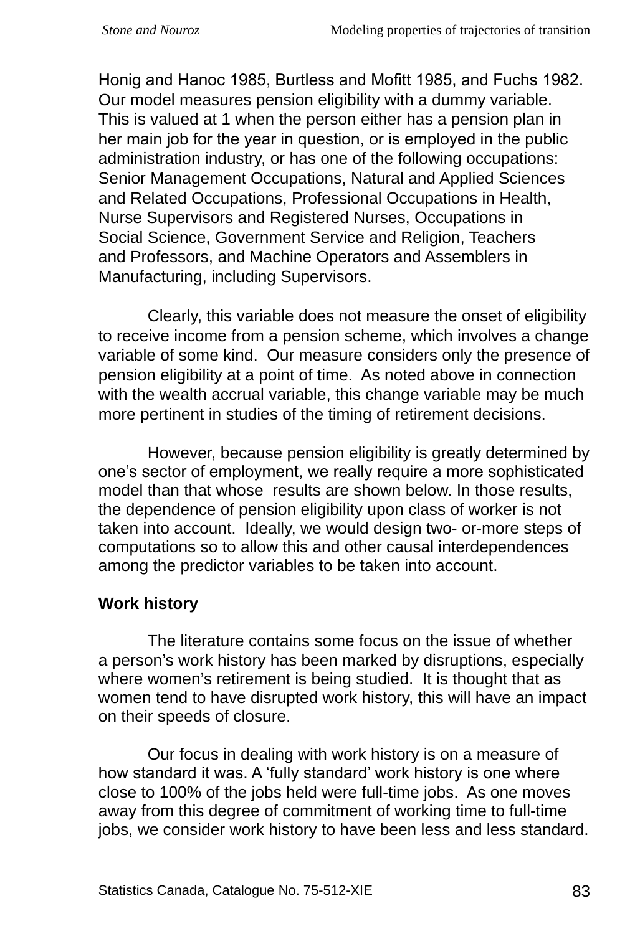Honig and Hanoc 1985, Burtless and Mofitt 1985, and Fuchs 1982. Our model measures pension eligibility with a dummy variable. This is valued at 1 when the person either has a pension plan in her main job for the year in question, or is employed in the public administration industry, or has one of the following occupations: Senior Management Occupations, Natural and Applied Sciences and Related Occupations, Professional Occupations in Health, Nurse Supervisors and Registered Nurses, Occupations in Social Science, Government Service and Religion, Teachers and Professors, and Machine Operators and Assemblers in Manufacturing, including Supervisors.

Clearly, this variable does not measure the onset of eligibility to receive income from a pension scheme, which involves a change variable of some kind. Our measure considers only the presence of pension eligibility at a point of time. As noted above in connection with the wealth accrual variable, this change variable may be much more pertinent in studies of the timing of retirement decisions.

However, because pension eligibility is greatly determined by one's sector of employment, we really require a more sophisticated model than that whose results are shown below. In those results, the dependence of pension eligibility upon class of worker is not taken into account. Ideally, we would design two- or-more steps of computations so to allow this and other causal interdependences among the predictor variables to be taken into account.

## **Work history**

The literature contains some focus on the issue of whether a person's work history has been marked by disruptions, especially where women's retirement is being studied. It is thought that as women tend to have disrupted work history, this will have an impact on their speeds of closure.

Our focus in dealing with work history is on a measure of how standard it was. A 'fully standard' work history is one where close to 100% of the jobs held were full-time jobs. As one moves away from this degree of commitment of working time to full-time jobs, we consider work history to have been less and less standard.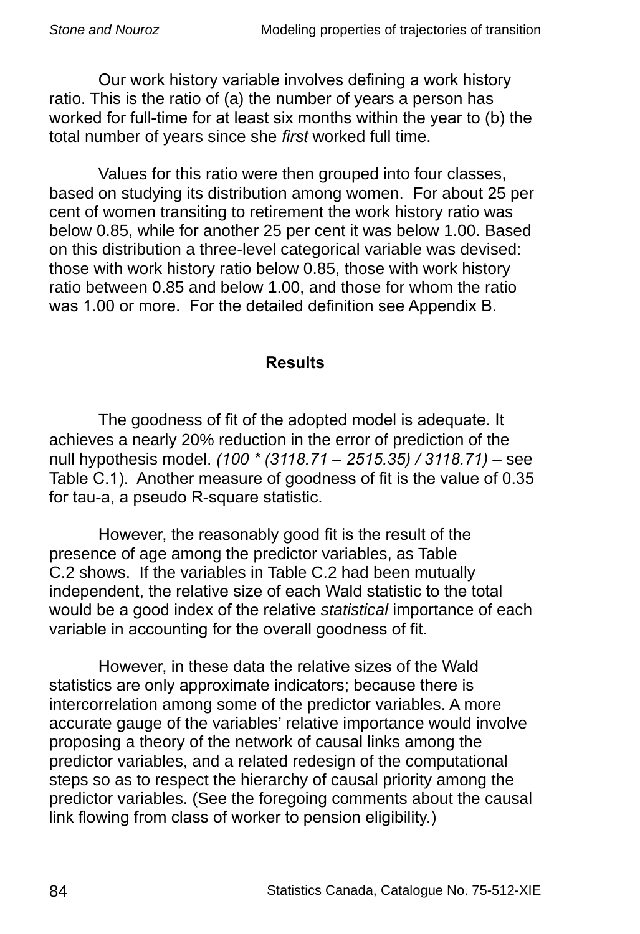Our work history variable involves defining a work history ratio. This is the ratio of (a) the number of years a person has worked for full-time for at least six months within the year to (b) the total number of years since she *first* worked full time.

Values for this ratio were then grouped into four classes, based on studying its distribution among women. For about 25 per cent of women transiting to retirement the work history ratio was below 0.85, while for another 25 per cent it was below 1.00. Based on this distribution a three-level categorical variable was devised: those with work history ratio below 0.85, those with work history ratio between 0.85 and below 1.00, and those for whom the ratio was 1.00 or more. For the detailed definition see Appendix B.

#### **Results**

The goodness of fit of the adopted model is adequate. It achieves a nearly 20% reduction in the error of prediction of the null hypothesis model. *(100 \* (3118.71 – 2515.35) / 3118.71)* – see Table C.1). Another measure of goodness of fit is the value of 0.35 for tau-a, a pseudo R-square statistic.

However, the reasonably good fit is the result of the presence of age among the predictor variables, as Table C.2 shows. If the variables in Table C.2 had been mutually independent, the relative size of each Wald statistic to the total would be a good index of the relative *statistical* importance of each variable in accounting for the overall goodness of fit.

However, in these data the relative sizes of the Wald statistics are only approximate indicators; because there is intercorrelation among some of the predictor variables. A more accurate gauge of the variables' relative importance would involve proposing a theory of the network of causal links among the predictor variables, and a related redesign of the computational steps so as to respect the hierarchy of causal priority among the predictor variables. (See the foregoing comments about the causal link flowing from class of worker to pension eligibility.)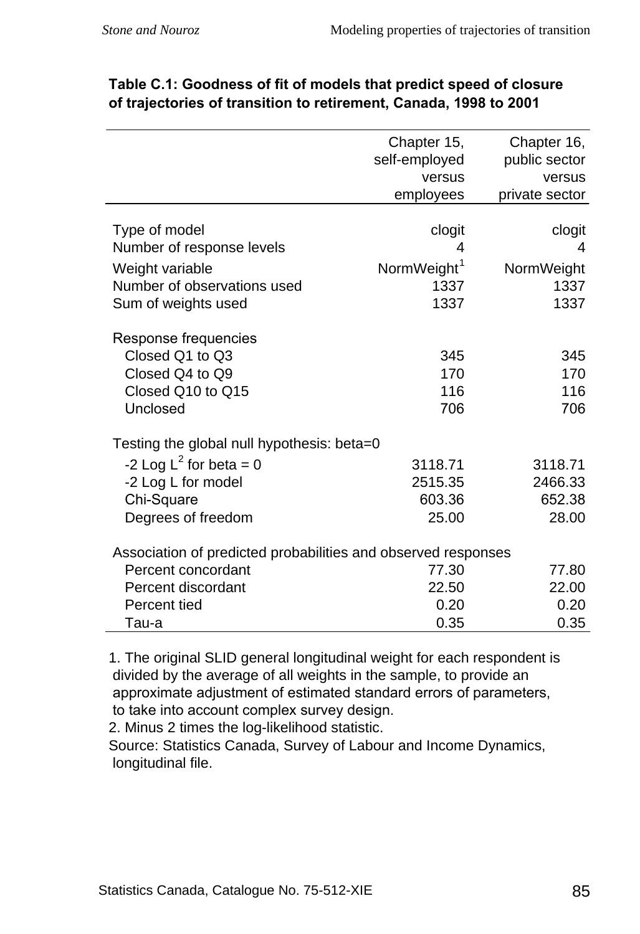|                                                               | Chapter 15,             | Chapter 16,    |
|---------------------------------------------------------------|-------------------------|----------------|
|                                                               | self-employed           | public sector  |
|                                                               | versus                  | versus         |
|                                                               | employees               | private sector |
|                                                               |                         |                |
| Type of model                                                 | clogit                  | clogit         |
| Number of response levels                                     | 4                       | 4              |
| Weight variable                                               | NormWeight <sup>1</sup> | NormWeight     |
| Number of observations used                                   | 1337                    | 1337           |
| Sum of weights used                                           | 1337                    | 1337           |
|                                                               |                         |                |
| Response frequencies                                          |                         |                |
| Closed Q1 to Q3                                               | 345                     | 345            |
| Closed Q4 to Q9                                               | 170                     | 170            |
| Closed Q10 to Q15                                             | 116                     | 116            |
| Unclosed                                                      | 706                     | 706            |
|                                                               |                         |                |
| Testing the global null hypothesis: beta=0                    |                         |                |
| -2 Log $L^2$ for beta = 0                                     | 3118.71                 | 3118.71        |
| -2 Log L for model                                            | 2515.35                 | 2466.33        |
| Chi-Square                                                    | 603.36                  | 652.38         |
| Degrees of freedom                                            | 25.00                   | 28.00          |
|                                                               |                         |                |
| Association of predicted probabilities and observed responses |                         |                |
| Percent concordant                                            | 77.30                   | 77.80          |
| Percent discordant                                            | 22.50                   | 22.00          |
| Percent tied                                                  | 0.20                    | 0.20           |
| Tau-a                                                         | 0.35                    | 0.35           |

#### **Table C.1: Goodness of fit of models that predict speed of closure of trajectories of transition to retirement, Canada, 1998 to 2001**

. The original SLID general longitudinal weight for each respondent is divided by the average of all weights in the sample, to provide an approximate adjustment of estimated standard errors of parameters, to take into account complex survey design.

2. Minus 2 times the log-likelihood statistic.

Source: Statistics Canada, Survey of Labour and Income Dynamics, longitudinal file.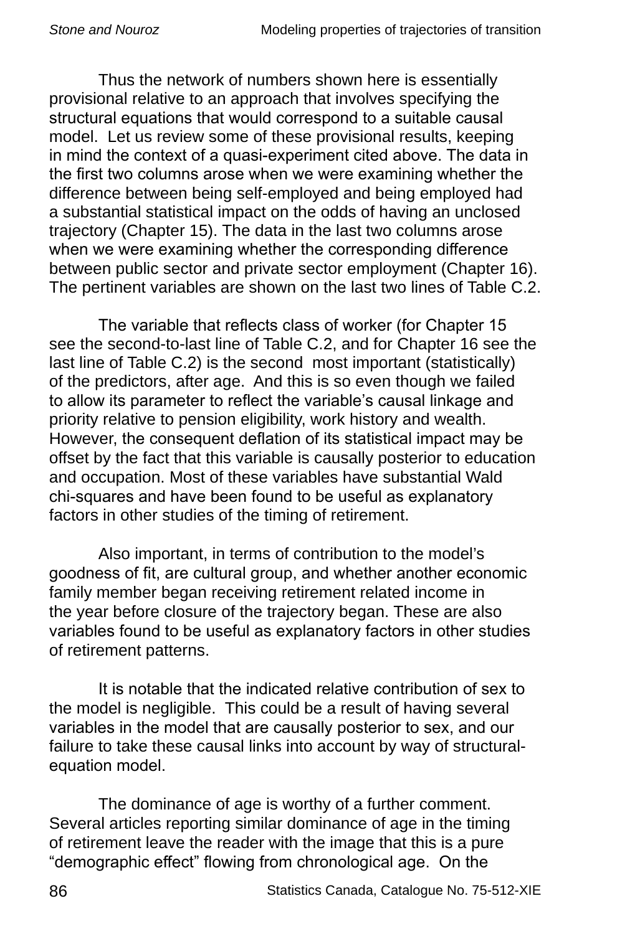Thus the network of numbers shown here is essentially provisional relative to an approach that involves specifying the structural equations that would correspond to a suitable causal model. Let us review some of these provisional results, keeping in mind the context of a quasi-experiment cited above. The data in the first two columns arose when we were examining whether the difference between being self-employed and being employed had a substantial statistical impact on the odds of having an unclosed trajectory (Chapter 15). The data in the last two columns arose when we were examining whether the corresponding difference between public sector and private sector employment (Chapter 16). The pertinent variables are shown on the last two lines of Table C.2.

The variable that reflects class of worker (for Chapter 15 see the second-to-last line of Table C.2, and for Chapter 16 see the last line of Table C.2) is the second most important (statistically) of the predictors, after age. And this is so even though we failed to allow its parameter to reflect the variable's causal linkage and priority relative to pension eligibility, work history and wealth. However, the consequent deflation of its statistical impact may be offset by the fact that this variable is causally posterior to education and occupation. Most of these variables have substantial Wald chi‑squares and have been found to be useful as explanatory factors in other studies of the timing of retirement.

Also important, in terms of contribution to the model's goodness of fit, are cultural group, and whether another economic family member began receiving retirement related income in the year before closure of the trajectory began. These are also variables found to be useful as explanatory factors in other studies of retirement patterns.

It is notable that the indicated relative contribution of sex to the model is negligible. This could be a result of having several variables in the model that are causally posterior to sex, and our failure to take these causal links into account by way of structuralequation model.

The dominance of age is worthy of a further comment. Several articles reporting similar dominance of age in the timing of retirement leave the reader with the image that this is a pure "demographic effect" flowing from chronological age. On the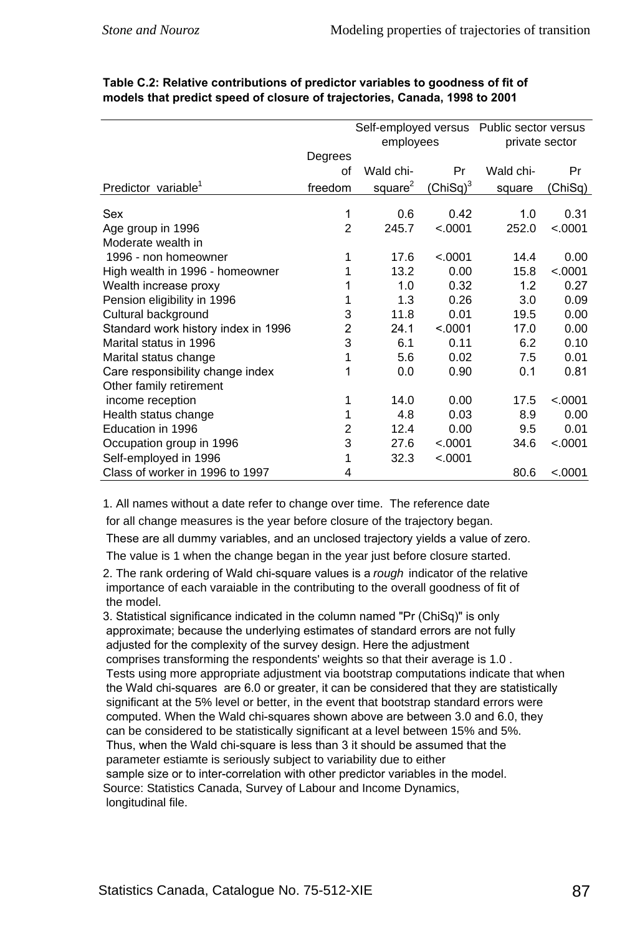|                                     |                | Self-employed versus Public sector versus |             |                |         |  |
|-------------------------------------|----------------|-------------------------------------------|-------------|----------------|---------|--|
|                                     |                | employees                                 |             | private sector |         |  |
|                                     | Degrees        |                                           |             |                |         |  |
|                                     | οf             | Wald chi-                                 | Pr          | Wald chi-      | Pr      |  |
| Predictor variable <sup>1</sup>     | freedom        | square <sup>2</sup>                       | $(ChiSq)^3$ | square         | (ChiSq) |  |
| Sex                                 | 1              | 0.6                                       | 0.42        | 1.0            | 0.31    |  |
| Age group in 1996                   | $\overline{2}$ | 245.7                                     | < .0001     | 252.0          | < .0001 |  |
| Moderate wealth in                  |                |                                           |             |                |         |  |
| 1996 - non homeowner                | 1              | 17.6                                      | < .0001     | 14.4           | 0.00    |  |
| High wealth in 1996 - homeowner     | 1              | 13.2                                      | 0.00        | 15.8           | < .0001 |  |
| Wealth increase proxy               | 1              | 1.0                                       | 0.32        | 1.2            | 0.27    |  |
| Pension eligibility in 1996         |                | 1.3                                       | 0.26        | 3.0            | 0.09    |  |
| Cultural background                 | 3              | 11.8                                      | 0.01        | 19.5           | 0.00    |  |
| Standard work history index in 1996 | 2              | 24.1                                      | < 0.001     | 17.0           | 0.00    |  |
| Marital status in 1996              | 3              | 6.1                                       | 0.11        | 6.2            | 0.10    |  |
| Marital status change               | 1              | 5.6                                       | 0.02        | 7.5            | 0.01    |  |
| Care responsibility change index    | 1              | 0.0                                       | 0.90        | 0.1            | 0.81    |  |
| Other family retirement             |                |                                           |             |                |         |  |
| income reception                    | 1              | 14.0                                      | 0.00        | 17.5           | < .0001 |  |
| Health status change                | 1              | 4.8                                       | 0.03        | 8.9            | 0.00    |  |
| Education in 1996                   | 2              | 12.4                                      | 0.00        | 9.5            | 0.01    |  |
| Occupation group in 1996            | 3              | 27.6                                      | < .0001     | 34.6           | < .0001 |  |
| Self-employed in 1996               | 1              | 32.3                                      | < .0001     |                |         |  |
| Class of worker in 1996 to 1997     | 4              |                                           |             | 80.6           | < .0001 |  |

| Table C.2: Relative contributions of predictor variables to goodness of fit of |  |
|--------------------------------------------------------------------------------|--|
| models that predict speed of closure of trajectories, Canada, 1998 to 2001     |  |

. All names without a date refer to change over time. The reference date

for all change measures is the year before closure of the trajectory began.

These are all dummy variables, and an unclosed trajectory yields a value of zero.

The value is 1 when the change began in the year just before closure started.

2. The rank ordering of Wald chi-square values is a *rough* indicator of the relative importance of each varaiable in the contributing to the overall goodness of fit of the model.

3. Statistical significance indicated in the column named "Pr (ChiSq)" is only approximate; because the underlying estimates of standard errors are not fully adjusted for the complexity of the survey design. Here the adjustment comprises transforming the respondents' weights so that their average is 1.0. Tests using more appropriate adjustment via bootstrap computations indicate that when the Wald chi-squares are 6.0 or greater, it can be considered that they are statistically significant at the 5% level or better, in the event that bootstrap standard errors were computed. When the Wald chi-squares shown above are between 3.0 and 6.0, they can be considered to be statistically significant at a level between 15% and 5%. Thus, when the Wald chi-square is less than 3 it should be assumed that the parameter estiamte is seriously subject to variability due to either sample size or to inter-correlation with other predictor variables in the model. Source: Statistics Canada, Survey of Labour and Income Dynamics, longitudinal file.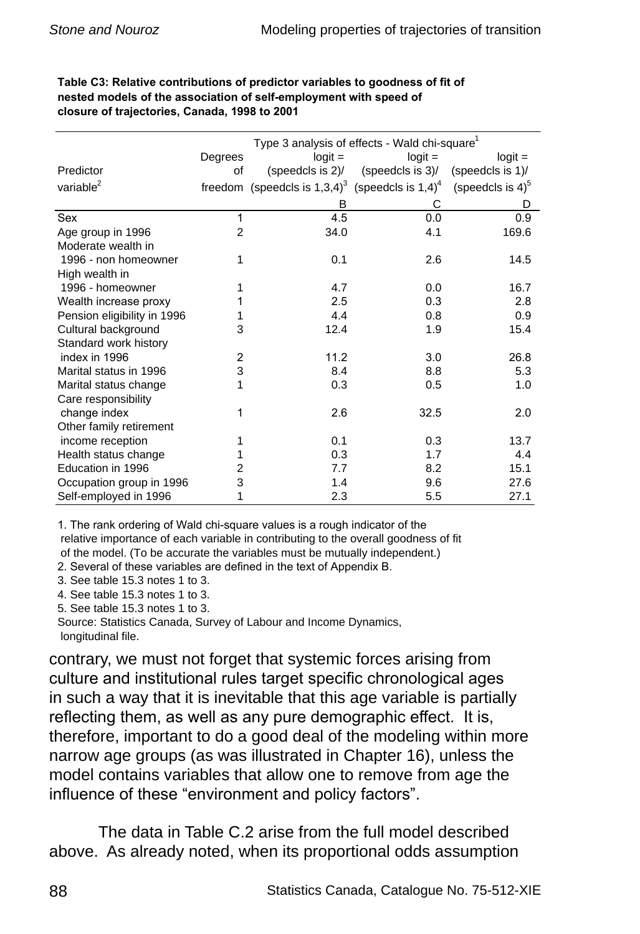| Table C3: Relative contributions of predictor variables to goodness of fit of |
|-------------------------------------------------------------------------------|
| nested models of the association of self-employment with speed of             |
| closure of trajectories. Canada, 1998 to 2001                                 |

|                             |                | Type 3 analysis of effects - Wald chi-square <sup>1</sup>                     |                                         |                     |  |  |
|-----------------------------|----------------|-------------------------------------------------------------------------------|-----------------------------------------|---------------------|--|--|
|                             | Degrees        | $logit =$                                                                     | $logit =$                               | $logit =$           |  |  |
| Predictor                   | οf             |                                                                               | (speedcls is $2$ )/ (speedcls is $3$ )/ | (speedcls is 1)/    |  |  |
| variable <sup>2</sup>       |                | freedom (speedcls is $1,3,4$ ) <sup>3</sup> (speedcls is $1,4$ ) <sup>4</sup> |                                         | (speedcls is $4)^5$ |  |  |
|                             |                | в                                                                             | С                                       | D                   |  |  |
| Sex                         | 1              | 4.5                                                                           | 0.0                                     | 0.9                 |  |  |
| Age group in 1996           | $\overline{2}$ | 34.0                                                                          | 4.1                                     | 169.6               |  |  |
| Moderate wealth in          |                |                                                                               |                                         |                     |  |  |
| 1996 - non homeowner        | 1              | 0.1                                                                           | 2.6                                     | 14.5                |  |  |
| High wealth in              |                |                                                                               |                                         |                     |  |  |
| 1996 - homeowner            | 1              | 4.7                                                                           | 0.0                                     | 16.7                |  |  |
| Wealth increase proxy       | 1              | 2.5                                                                           | 0.3                                     | 2.8                 |  |  |
| Pension eligibility in 1996 |                | 4.4                                                                           | 0.8                                     | 0.9                 |  |  |
| Cultural background         | 3              | 12.4                                                                          | 1.9                                     | 15.4                |  |  |
| Standard work history       |                |                                                                               |                                         |                     |  |  |
| index in 1996               | 2              | 11.2                                                                          | 3.0                                     | 26.8                |  |  |
| Marital status in 1996      | 3              | 8.4                                                                           | 8.8                                     | 5.3                 |  |  |
| Marital status change       | 1              | 0.3                                                                           | 0.5                                     | 1.0                 |  |  |
| Care responsibility         |                |                                                                               |                                         |                     |  |  |
| change index                | 1              | 2.6                                                                           | 32.5                                    | 2.0                 |  |  |
| Other family retirement     |                |                                                                               |                                         |                     |  |  |
| income reception            | 1              | 0.1                                                                           | 0.3                                     | 13.7                |  |  |
| Health status change        |                | 0.3                                                                           | 1.7                                     | 4.4                 |  |  |
| Education in 1996           | 2              | 7.7                                                                           | 8.2                                     | 15.1                |  |  |
| Occupation group in 1996    | 3              | 1.4                                                                           | 9.6                                     | 27.6                |  |  |
| Self-employed in 1996       | 1              | 2.3                                                                           | 5.5                                     | 27.1                |  |  |

1. The rank ordering of Wald chi-square values is a rough indicator of the relative importance of each variable in contributing to the overall goodness of fit of the model. (To be accurate the variables must be mutually independent.) 2. Several of these variables are defined in the text of Appendix B.

 $3.$  See table 15.3 notes 1 to 3.

4. See table  $15.3$  notes  $1$  to  $3.$ 

 $5.$  See table 15.3 notes 1 to 3.

Source: Statistics Canada, Survey of Labour and Income Dynamics, longitudinal file.

contrary, we must not forget that systemic forces arising from culture and institutional rules target specific chronological ages in such a way that it is inevitable that this age variable is partially reflecting them, as well as any pure demographic effect. It is, therefore, important to do a good deal of the modeling within more narrow age groups (as was illustrated in Chapter 16), unless the model contains variables that allow one to remove from age the influence of these "environment and policy factors".

The data in Table C.2 arise from the full model described above. As already noted, when its proportional odds assumption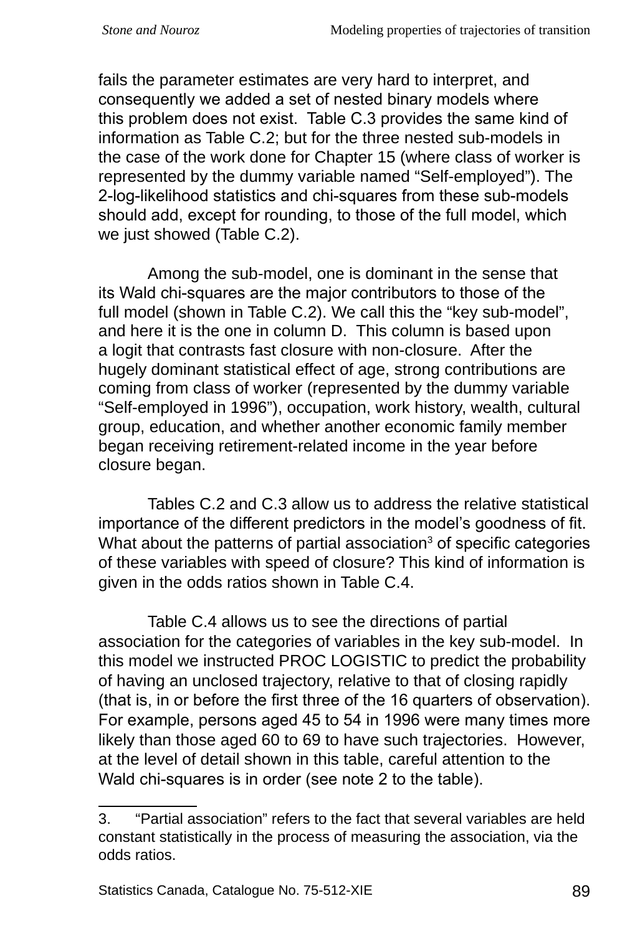fails the parameter estimates are very hard to interpret, and consequently we added a set of nested binary models where this problem does not exist. Table C.3 provides the same kind of information as Table C.2; but for the three nested sub-models in the case of the work done for Chapter 15 (where class of worker is represented by the dummy variable named "Self-employed"). The 2‑log‑likelihood statistics and chi-squares from these sub-models should add, except for rounding, to those of the full model, which we just showed (Table C.2).

Among the sub-model, one is dominant in the sense that its Wald chi-squares are the major contributors to those of the full model (shown in Table C.2). We call this the "key sub-model", and here it is the one in column D. This column is based upon a logit that contrasts fast closure with non-closure. After the hugely dominant statistical effect of age, strong contributions are coming from class of worker (represented by the dummy variable "Self-employed in 1996"), occupation, work history, wealth, cultural group, education, and whether another economic family member began receiving retirement-related income in the year before closure began.

Tables C.2 and C.3 allow us to address the relative statistical importance of the different predictors in the model's goodness of fit. What about the patterns of partial association<sup>3</sup> of specific categories of these variables with speed of closure? This kind of information is given in the odds ratios shown in Table C.4.

Table C.4 allows us to see the directions of partial association for the categories of variables in the key sub-model. In this model we instructed PROC LOGISTIC to predict the probability of having an unclosed trajectory, relative to that of closing rapidly (that is, in or before the first three of the 16 quarters of observation). For example, persons aged 45 to 54 in 1996 were many times more likely than those aged 60 to 69 to have such trajectories. However, at the level of detail shown in this table, careful attention to the Wald chi-squares is in order (see note 2 to the table).

<sup>3. &</sup>quot;Partial association" refers to the fact that several variables are held constant statistically in the process of measuring the association, via the odds ratios.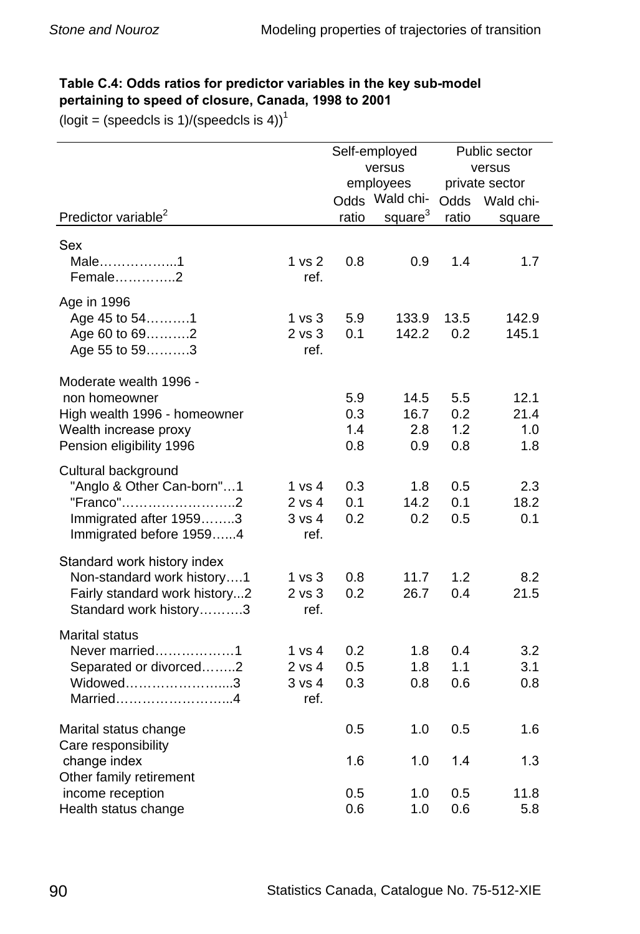#### **Table C.4: Odds ratios for predictor variables in the key sub-model pertaining to speed of closure, Canada, 1998 to 2001**

 $(logit = (speedcls is 1)/(speedcls is 4))$ <sup>1</sup>

|                                                                                                                              |                                         | Self-employed               |                            | Public sector            |                            |
|------------------------------------------------------------------------------------------------------------------------------|-----------------------------------------|-----------------------------|----------------------------|--------------------------|----------------------------|
|                                                                                                                              |                                         | versus                      |                            | versus                   |                            |
|                                                                                                                              |                                         | employees<br>Odds Wald chi- |                            | private sector           |                            |
| Predictor variable <sup>2</sup>                                                                                              |                                         |                             | square <sup>3</sup>        | Odds                     | Wald chi-                  |
|                                                                                                                              |                                         | ratio                       |                            | ratio                    | square                     |
| Sex<br>Male1<br>Female2                                                                                                      | 1 <sub>vs</sub> 2<br>ref.               | 0.8                         | 0.9                        | 1.4                      | 1.7                        |
| Age in 1996<br>Age 45 to 541<br>Age 60 to 692<br>Age 55 to 593                                                               | 1 vs 3<br>$2$ vs $3$<br>ref.            | 5.9<br>0.1                  | 133.9<br>142.2             | 13.5<br>0.2              | 142.9<br>145.1             |
| Moderate wealth 1996 -<br>non homeowner<br>High wealth 1996 - homeowner<br>Wealth increase proxy<br>Pension eligibility 1996 |                                         | 5.9<br>0.3<br>1.4<br>0.8    | 14.5<br>16.7<br>2.8<br>0.9 | 5.5<br>0.2<br>1.2<br>0.8 | 12.1<br>21.4<br>1.0<br>1.8 |
| Cultural background<br>"Anglo & Other Can-born"1<br>"Franco"2<br>Immigrated after 19593<br>Immigrated before 19594           | 1 vs 4<br>2 vs 4<br>3 vs 4<br>ref.      | 0.3<br>0.1<br>0.2           | 1.8<br>14.2<br>0.2         | 0.5<br>0.1<br>0.5        | 2.3<br>18.2<br>0.1         |
| Standard work history index<br>Non-standard work history1<br>Fairly standard work history2<br>Standard work history3         | 1 <sub>vs</sub> 3<br>$2$ vs $3$<br>ref. | 0.8<br>0.2                  | 11.7<br>26.7               | 1.2<br>0.4               | 8.2<br>21.5                |
| <b>Marital status</b><br>Never married1<br>Separated or divorced2<br>Widowed3<br>Married4                                    | 1 vs 4<br>2 vs 4<br>3 vs 4<br>ref.      | 0.2<br>0.5<br>0.3           | 1.8<br>1.8<br>0.8          | 0.4<br>1.1<br>0.6        | 3.2<br>3.1<br>0.8          |
| Marital status change<br>Care responsibility                                                                                 |                                         | 0.5                         | 1.0                        | 0.5                      | 1.6                        |
| change index<br>Other family retirement<br>income reception                                                                  |                                         | 1.6<br>0.5                  | 1.0<br>1.0                 | 1.4<br>0.5               | 1.3<br>11.8                |
| Health status change                                                                                                         |                                         | 0.6                         | 1.0                        | 0.6                      | 5.8                        |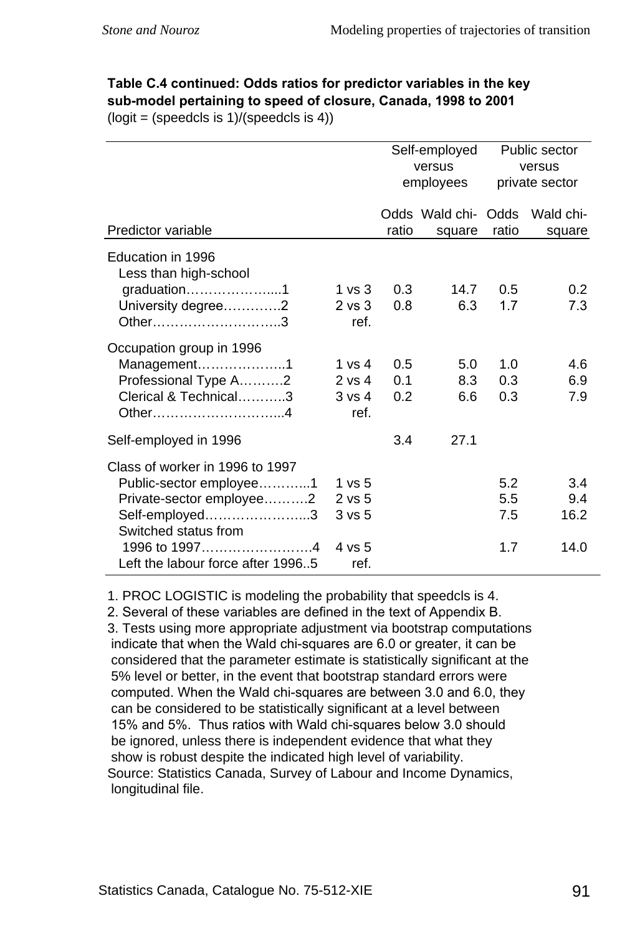## **Table C.4 continued: Odds ratios for predictor variables in the key sub-model pertaining to speed of closure, Canada, 1998 to 2001**

 $(logit = (speedcls is 1)/(speedcls is 4))$ 

|                                                                                                                                                                                        |                                                             | Self-employed<br>versus<br>employees |                               | Public sector<br>versus<br>private sector |                            |
|----------------------------------------------------------------------------------------------------------------------------------------------------------------------------------------|-------------------------------------------------------------|--------------------------------------|-------------------------------|-------------------------------------------|----------------------------|
| Predictor variable                                                                                                                                                                     |                                                             | ratio                                | Odds Wald chi- Odds<br>square | ratio                                     | Wald chi-<br>square        |
| Education in 1996<br>Less than high-school<br>graduation1<br>University degree2<br>Other3                                                                                              | 1 vs $3$<br>$2 \text{ vs } 3$<br>ref.                       | 0.3<br>0.8                           | 14.7<br>6.3                   | $0.5^{\circ}$<br>1.7                      | 0.2<br>7.3                 |
| Occupation group in 1996<br>Management1<br>Professional Type A2<br>Clerical & Technical3<br>Other4                                                                                     | 1 vs 4<br>2 vs 4<br>$3 \text{ vs } 4$<br>ref.               | 0.5<br>0.1<br>0.2                    | 5.0<br>8.3<br>6.6             | 1.0<br>0.3<br>0.3                         | 4.6<br>6.9<br>7.9          |
| Self-employed in 1996                                                                                                                                                                  |                                                             | 3.4                                  | 27.1                          |                                           |                            |
| Class of worker in 1996 to 1997<br>Public-sector employee1<br>Private-sector employee2<br>Self-employed3<br>Switched status from<br>1996 to 19974<br>Left the labour force after 19965 | 1 vs 5<br>$2$ vs $5$<br>3 <sub>vs</sub> 5<br>4 vs 5<br>ref. |                                      |                               | 5.2<br>$5.5^{\circ}$<br>7.5<br>1.7        | 3.4<br>9.4<br>16.2<br>14.0 |

. PROC LOGISTIC is modeling the probability that speedcls is 4.

2. Several of these variables are defined in the text of Appendix B.

3. Tests using more appropriate adjustment via bootstrap computations indicate that when the Wald chi-squares are 6.0 or greater, it can be considered that the parameter estimate is statistically significant at the 5% level or better, in the event that bootstrap standard errors were computed. When the Wald chi-squares are between 3.0 and 6.0, they can be considered to be statistically significant at a level between 15% and 5%. Thus ratios with Wald chi-squares below 3.0 should be ignored, unless there is independent evidence that what they show is robust despite the indicated high level of variability. Source: Statistics Canada, Survey of Labour and Income Dynamics, longitudinal file.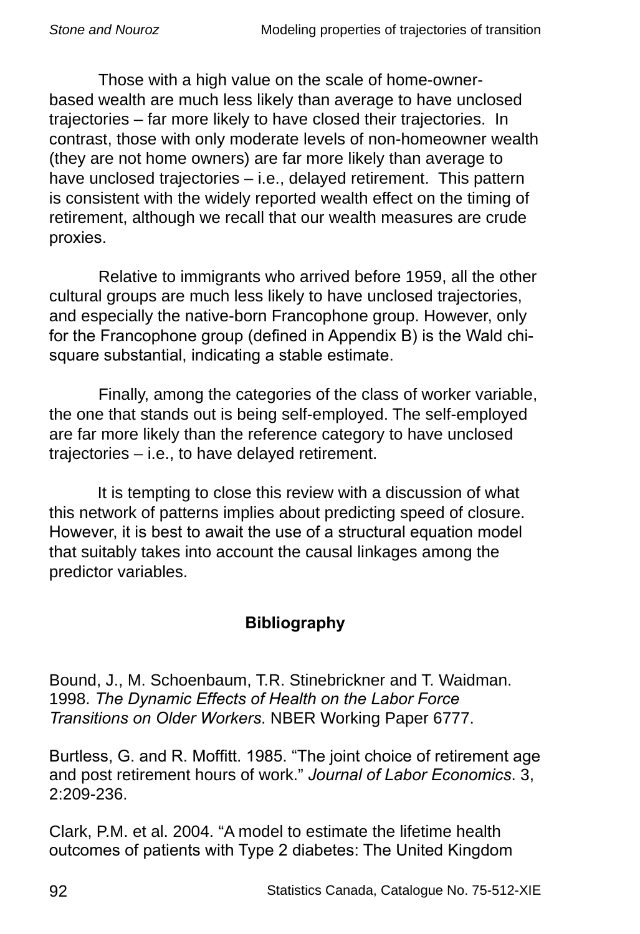Those with a high value on the scale of home-ownerbased wealth are much less likely than average to have unclosed trajectories – far more likely to have closed their trajectories. In contrast, those with only moderate levels of non-homeowner wealth (they are not home owners) are far more likely than average to have unclosed trajectories – i.e., delayed retirement. This pattern is consistent with the widely reported wealth effect on the timing of retirement, although we recall that our wealth measures are crude proxies.

Relative to immigrants who arrived before 1959, all the other cultural groups are much less likely to have unclosed trajectories, and especially the native-born Francophone group. However, only for the Francophone group (defined in Appendix B) is the Wald chisquare substantial, indicating a stable estimate.

Finally, among the categories of the class of worker variable, the one that stands out is being self-employed. The self-employed are far more likely than the reference category to have unclosed trajectories – i.e., to have delayed retirement.

It is tempting to close this review with a discussion of what this network of patterns implies about predicting speed of closure. However, it is best to await the use of a structural equation model that suitably takes into account the causal linkages among the predictor variables.

## **Bibliography**

Bound, J., M. Schoenbaum, T.R. Stinebrickner and T. Waidman. 1998. *The Dynamic Effects of Health on the Labor Force Transitions on Older Workers*. NBER Working Paper 6777.

Burtless, G. and R. Moffitt. 1985. "The joint choice of retirement age and post retirement hours of work." *Journal of Labor Economics*. 3, 2:209-236.

Clark, P.M. et al. 2004. "A model to estimate the lifetime health outcomes of patients with Type 2 diabetes: The United Kingdom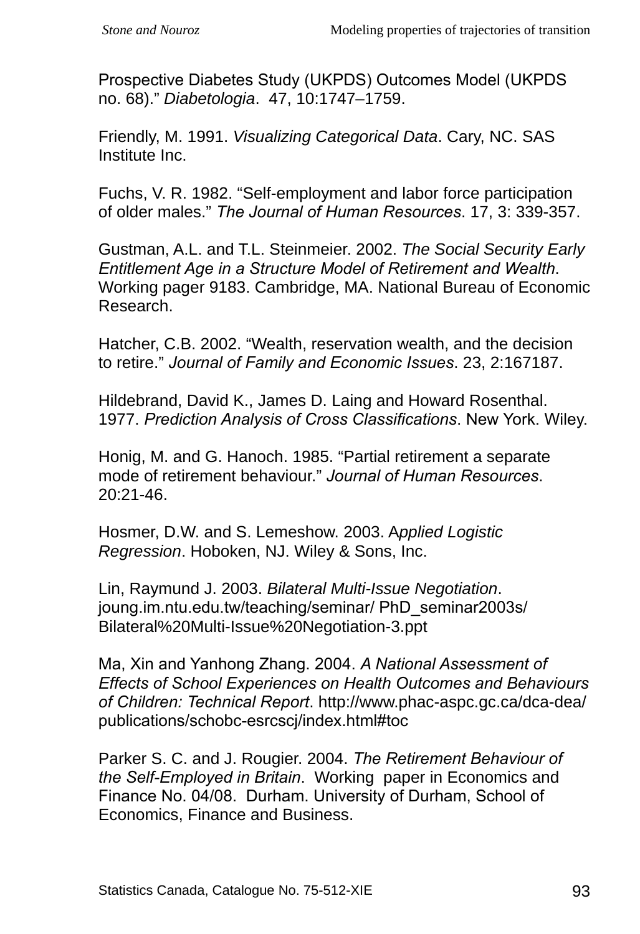Prospective Diabetes Study (UKPDS) Outcomes Model (UKPDS no. 68)." *Diabetologia*. 47, 10:1747–1759.

Friendly, M. 1991. *Visualizing Categorical Data*. Cary, NC. SAS Institute Inc.

Fuchs, V. R. 1982. "Self-employment and labor force participation of older males." *The Journal of Human Resources*. 17, 3: 339-357.

Gustman, A.L. and T.L. Steinmeier. 2002. *The Social Security Early Entitlement Age in a Structure Model of Retirement and Wealth*. Working pager 9183. Cambridge, MA. National Bureau of Economic Research.

Hatcher, C.B. 2002. "Wealth, reservation wealth, and the decision to retire." *Journal of Family and Economic Issues*. 23, 2:167187.

Hildebrand, David K., James D. Laing and Howard Rosenthal. 1977. *Prediction Analysis of Cross Classifications*. New York. Wiley.

Honig, M. and G. Hanoch. 1985. "Partial retirement a separate mode of retirement behaviour." *Journal of Human Resources*. 20:21-46.

Hosmer, D.W. and S. Lemeshow. 2003. A*pplied Logistic Regression*. Hoboken, NJ. Wiley & Sons, Inc.

Lin, Raymund J. 2003. *Bilateral Multi-Issue Negotiation*. joung.im.ntu.edu.tw/teaching/seminar/ PhD\_seminar2003s/ Bilateral%20Multi-Issue%20Negotiation-3.ppt

Ma, Xin and Yanhong Zhang. 2004. *A National Assessment of Effects of School Experiences on Health Outcomes and Behaviours of Children: Technical Report*. http://www.phac-aspc.gc.ca/dca-dea/ publications/schobc-esrcscj/index.html#toc

Parker S. C. and J. Rougier. 2004. *The Retirement Behaviour of the Self-Employed in Britain*. Working paper in Economics and Finance No. 04/08. Durham. University of Durham, School of Economics, Finance and Business.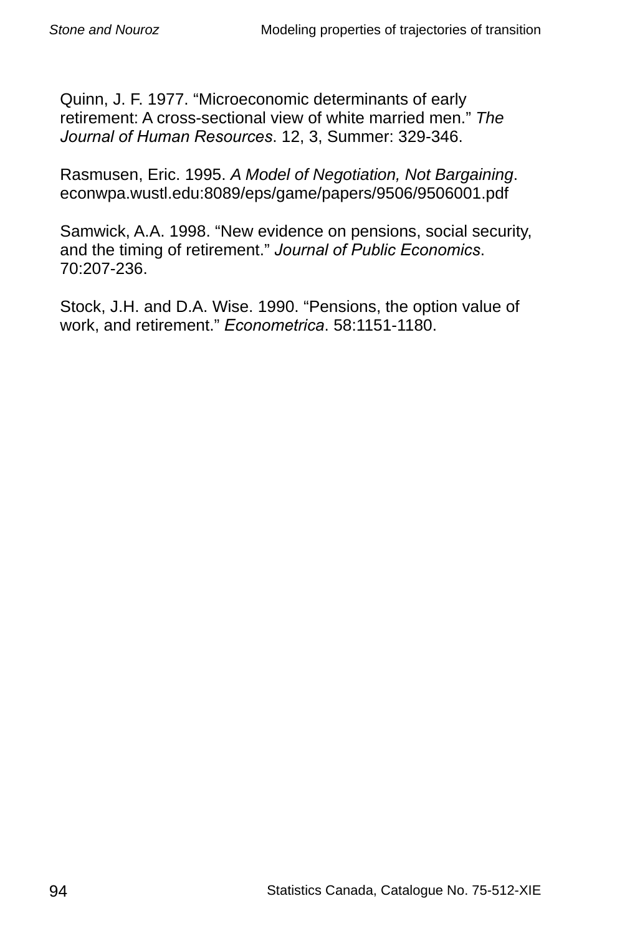Quinn, J. F. 1977. "Microeconomic determinants of early retirement: A cross-sectional view of white married men." *The Journal of Human Resources*. 12, 3, Summer: 329-346.

Rasmusen, Eric. 1995. *A Model of Negotiation, Not Bargaining*. econwpa.wustl.edu:8089/eps/game/papers/9506/9506001.pdf

Samwick, A.A. 1998. "New evidence on pensions, social security, and the timing of retirement." *Journal of Public Economics*. 70:207-236.

Stock, J.H. and D.A. Wise. 1990. "Pensions, the option value of work, and retirement." *Econometrica*. 58:1151-1180.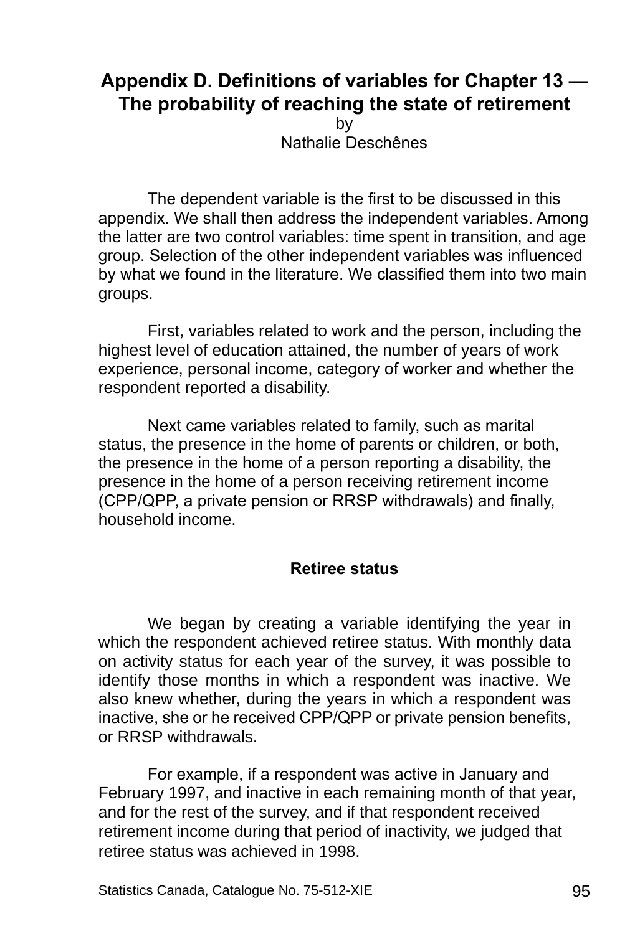# **Appendix D. Definitions of variables for Chapter 13 — The probability of reaching the state of retirement**

by Nathalie Deschênes

The dependent variable is the first to be discussed in this appendix. We shall then address the independent variables. Among the latter are two control variables: time spent in transition, and age group. Selection of the other independent variables was influenced by what we found in the literature. We classified them into two main groups.

First, variables related to work and the person, including the highest level of education attained, the number of years of work experience, personal income, category of worker and whether the respondent reported a disability.

Next came variables related to family, such as marital status, the presence in the home of parents or children, or both, the presence in the home of a person reporting a disability, the presence in the home of a person receiving retirement income (CPP/QPP, a private pension or RRSP withdrawals) and finally, household income.

#### **Retiree status**

We began by creating a variable identifying the year in which the respondent achieved retiree status. With monthly data on activity status for each year of the survey, it was possible to identify those months in which a respondent was inactive. We also knew whether, during the years in which a respondent was inactive, she or he received CPP/QPP or private pension benefits, or RRSP withdrawals.

For example, if a respondent was active in January and February 1997, and inactive in each remaining month of that year, and for the rest of the survey, and if that respondent received retirement income during that period of inactivity, we judged that retiree status was achieved in 1998.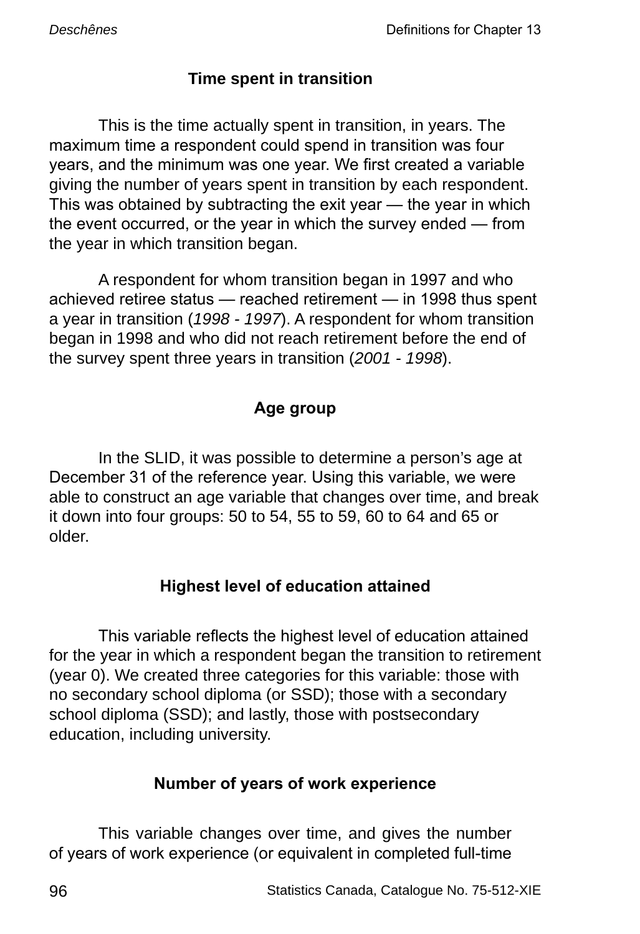## **Time spent in transition**

This is the time actually spent in transition, in years. The maximum time a respondent could spend in transition was four years, and the minimum was one year. We first created a variable giving the number of years spent in transition by each respondent. This was obtained by subtracting the exit year — the year in which the event occurred, or the year in which the survey ended — from the year in which transition began.

A respondent for whom transition began in 1997 and who achieved retiree status — reached retirement — in 1998 thus spent a year in transition (*1998 - 1997*). A respondent for whom transition began in 1998 and who did not reach retirement before the end of the survey spent three years in transition (*2001 - 1998*).

# **Age group**

In the SLID, it was possible to determine a person's age at December 31 of the reference year. Using this variable, we were able to construct an age variable that changes over time, and break it down into four groups: 50 to 54, 55 to 59, 60 to 64 and 65 or older.

## **Highest level of education attained**

This variable reflects the highest level of education attained for the year in which a respondent began the transition to retirement (year 0). We created three categories for this variable: those with no secondary school diploma (or SSD); those with a secondary school diploma (SSD); and lastly, those with postsecondary education, including university.

# **Number of years of work experience**

This variable changes over time, and gives the number of years of work experience (or equivalent in completed full-time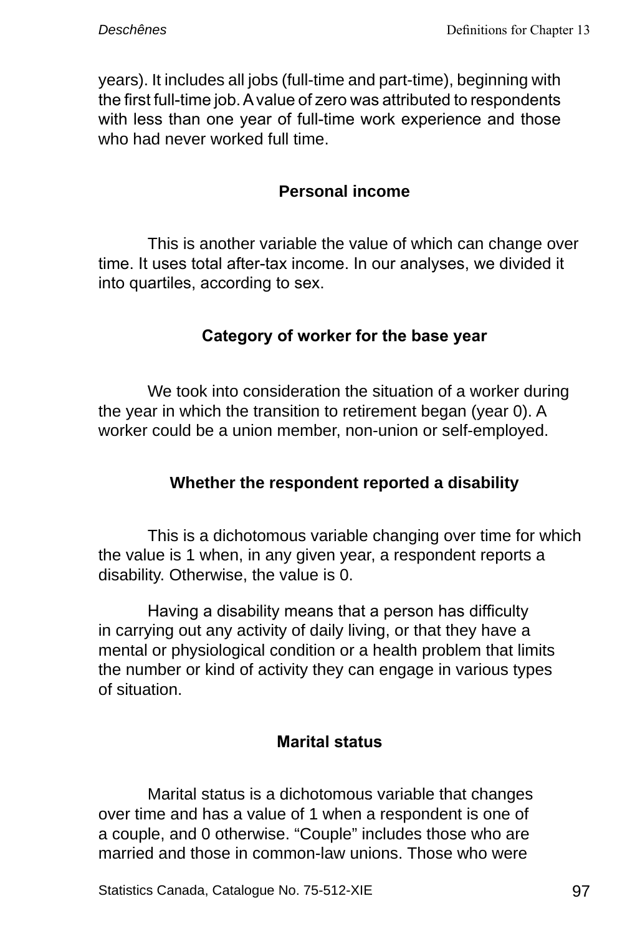years). It includes all jobs (full-time and part-time), beginning with the first full-time job. A value of zero was attributed to respondents with less than one year of full-time work experience and those who had never worked full time.

#### **Personal income**

This is another variable the value of which can change over time. It uses total after-tax income. In our analyses, we divided it into quartiles, according to sex.

## **Category of worker for the base year**

We took into consideration the situation of a worker during the year in which the transition to retirement began (year 0). A worker could be a union member, non-union or self-employed.

## **Whether the respondent reported a disability**

This is a dichotomous variable changing over time for which the value is 1 when, in any given year, a respondent reports a disability. Otherwise, the value is 0.

Having a disability means that a person has difficulty in carrying out any activity of daily living, or that they have a mental or physiological condition or a health problem that limits the number or kind of activity they can engage in various types of situation.

#### **Marital status**

Marital status is a dichotomous variable that changes over time and has a value of 1 when a respondent is one of a couple, and 0 otherwise. "Couple" includes those who are married and those in common-law unions. Those who were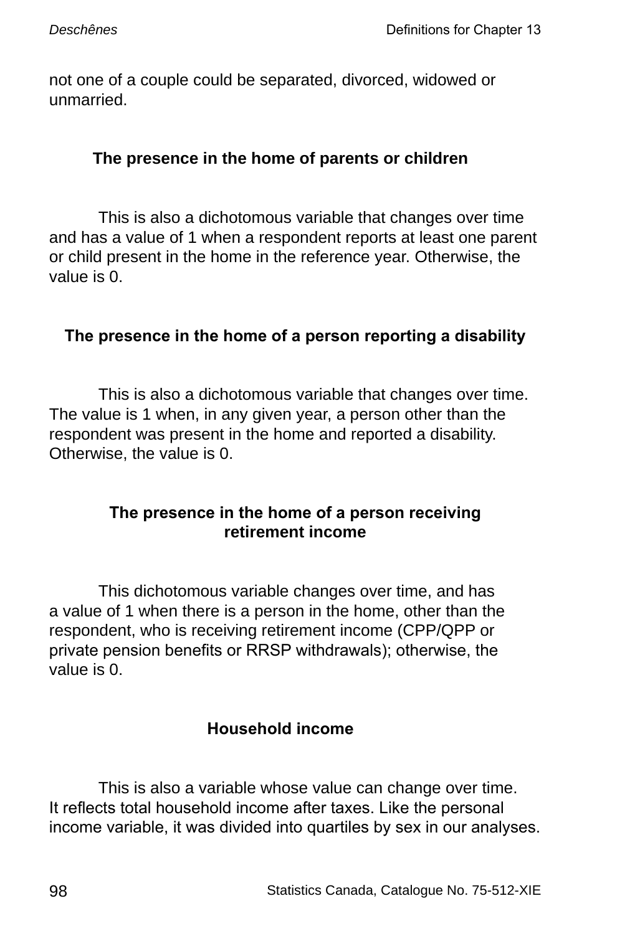not one of a couple could be separated, divorced, widowed or unmarried.

#### **The presence in the home of parents or children**

This is also a dichotomous variable that changes over time and has a value of 1 when a respondent reports at least one parent or child present in the home in the reference year. Otherwise, the value is 0.

## **The presence in the home of a person reporting a disability**

This is also a dichotomous variable that changes over time. The value is 1 when, in any given year, a person other than the respondent was present in the home and reported a disability. Otherwise, the value is 0.

#### **The presence in the home of a person receiving retirement income**

This dichotomous variable changes over time, and has a value of 1 when there is a person in the home, other than the respondent, who is receiving retirement income (CPP/QPP or private pension benefits or RRSP withdrawals); otherwise, the value is 0.

## **Household income**

This is also a variable whose value can change over time. It reflects total household income after taxes. Like the personal income variable, it was divided into quartiles by sex in our analyses.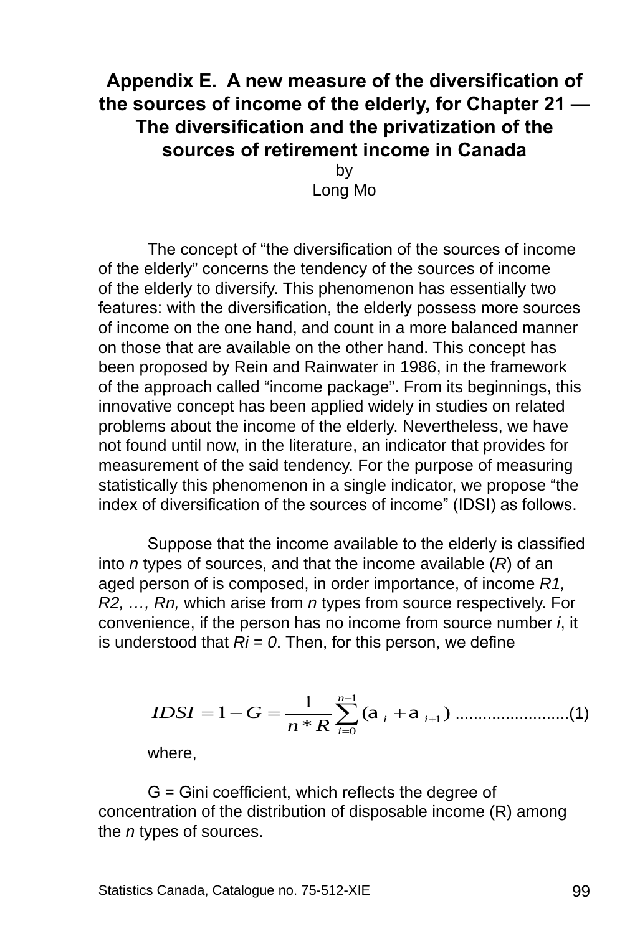# **Appendix E. A new measure of the diversification of the sources of income of the elderly, for Chapter 21 — The diversification and the privatization of the sources of retirement income in Canada**

by Long Mo

The concept of "the diversification of the sources of income of the elderly" concerns the tendency of the sources of income of the elderly to diversify. This phenomenon has essentially two features: with the diversification, the elderly possess more sources of income on the one hand, and count in a more balanced manner on those that are available on the other hand. This concept has been proposed by Rein and Rainwater in 1986, in the framework of the approach called "income package". From its beginnings, this innovative concept has been applied widely in studies on related problems about the income of the elderly. Nevertheless, we have not found until now, in the literature, an indicator that provides for measurement of the said tendency. For the purpose of measuring statistically this phenomenon in a single indicator, we propose "the index of diversification of the sources of income" (IDSI) as follows.

Suppose that the income available to the elderly is classified into *n* types of sources, and that the income available (*R*) of an aged person of is composed, in order importance, of income *R1, R2, …, Rn,* which arise from *n* types from source respectively. For convenience, if the person has no income from source number *i*, it is understood that *Ri = 0*. Then, for this person, we define

( ) \* <sup>1</sup> <sup>1</sup> <sup>1</sup> 1 0 + − = <sup>=</sup> <sup>−</sup> <sup>=</sup> ∑ <sup>+</sup> *<sup>i</sup> n i i n R IDSI G* a a .........................(1)

where,

G = Gini coefficient, which reflects the degree of concentration of the distribution of disposable income (R) among the *n* types of sources.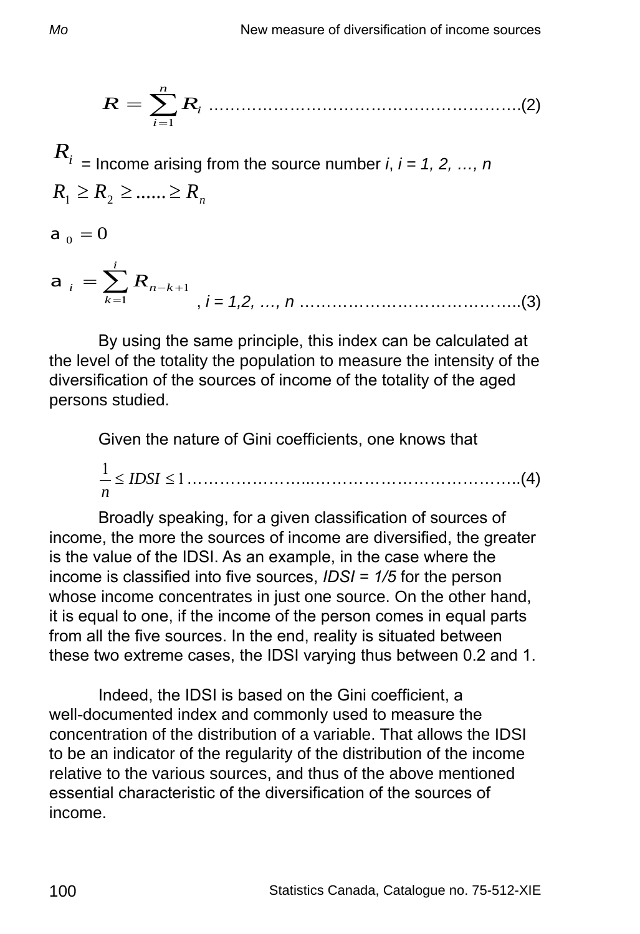$$
R=\sum_{i=1}^n R_i
$$
 (2)

 $R_i$ <sub>i</sub> = Income arising from the source number *i*, *i* = 1, 2, ..., *n*  $R_1 \ge R_2 \ge \dots \ge R_n$ 

 $a_0 = 0$ 

a 
$$
_i = \sum_{k=1}^i R_{n-k+1}
$$
,  $i = 1,2, ..., n$ .................(3)

By using the same principle, this index can be calculated at the level of the totality the population to measure the intensity of the diversification of the sources of income of the totality of the aged persons studied.

Given the nature of Gini coefficients, one knows that

<sup>1</sup> <sup>1</sup> ≤ *IDSI* ≤ *n* …………………...………………………………..(4)

Broadly speaking, for a given classification of sources of income, the more the sources of income are diversified, the greater is the value of the IDSI. As an example, in the case where the income is classified into five sources, *IDSI = 1/5* for the person whose income concentrates in just one source. On the other hand, it is equal to one, if the income of the person comes in equal parts from all the five sources. In the end, reality is situated between these two extreme cases, the IDSI varying thus between 0.2 and 1.

Indeed, the IDSI is based on the Gini coefficient, a well-documented index and commonly used to measure the concentration of the distribution of a variable. That allows the IDSI to be an indicator of the regularity of the distribution of the income relative to the various sources, and thus of the above mentioned essential characteristic of the diversification of the sources of income.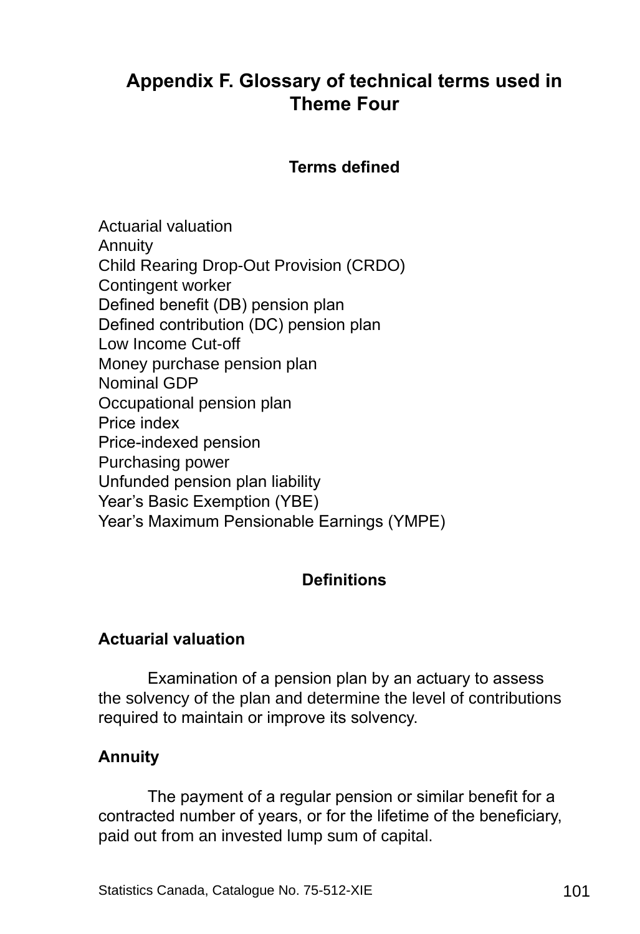# **Appendix F. Glossary of technical terms used in Theme Four**

#### **Terms defined**

Actuarial valuation Annuity Child Rearing Drop-Out Provision (CRDO) Contingent worker Defined benefit (DB) pension plan Defined contribution (DC) pension plan Low Income Cut-off Money purchase pension plan Nominal GDP Occupational pension plan Price index Price-indexed pension Purchasing power Unfunded pension plan liability Year's Basic Exemption (YBE) Year's Maximum Pensionable Earnings (YMPE)

## **Definitions**

#### **Actuarial valuation**

Examination of a pension plan by an actuary to assess the solvency of the plan and determine the level of contributions required to maintain or improve its solvency.

#### **Annuity**

The payment of a regular pension or similar benefit for a contracted number of years, or for the lifetime of the beneficiary, paid out from an invested lump sum of capital.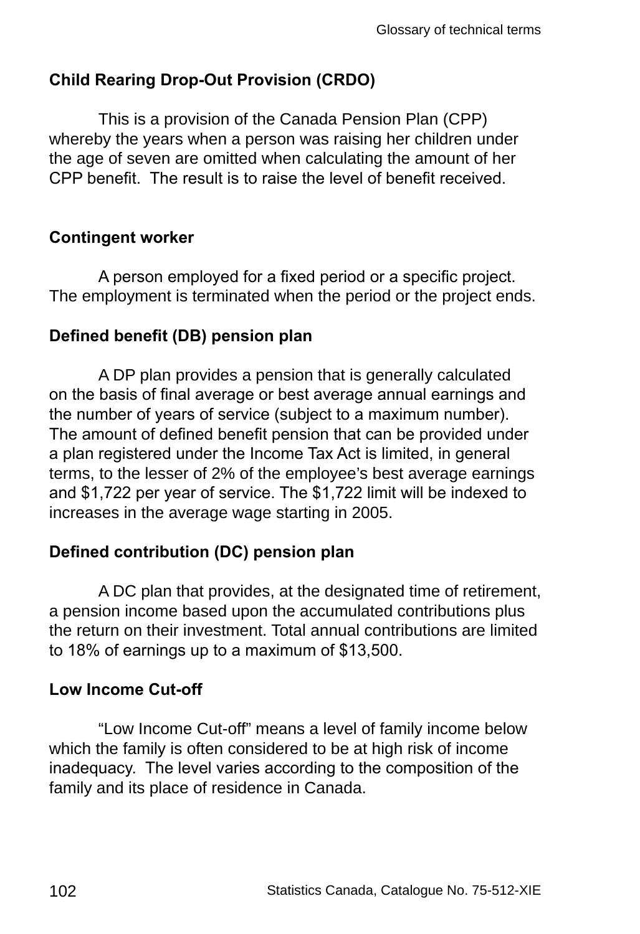## **Child Rearing Drop-Out Provision (CRDO)**

This is a provision of the Canada Pension Plan (CPP) whereby the years when a person was raising her children under the age of seven are omitted when calculating the amount of her CPP benefit. The result is to raise the level of benefit received.

#### **Contingent worker**

A person employed for a fixed period or a specific project. The employment is terminated when the period or the project ends.

## **Defined benefit (DB) pension plan**

A DP plan provides a pension that is generally calculated on the basis of final average or best average annual earnings and the number of years of service (subject to a maximum number). The amount of defined benefit pension that can be provided under a plan registered under the Income Tax Act is limited, in general terms, to the lesser of 2% of the employee's best average earnings and \$1,722 per year of service. The \$1,722 limit will be indexed to increases in the average wage starting in 2005.

## **Defined contribution (DC) pension plan**

A DC plan that provides, at the designated time of retirement, a pension income based upon the accumulated contributions plus the return on their investment. Total annual contributions are limited to 18% of earnings up to a maximum of \$13,500.

## **Low Income Cut-off**

"Low Income Cut-off" means a level of family income below which the family is often considered to be at high risk of income inadequacy. The level varies according to the composition of the family and its place of residence in Canada.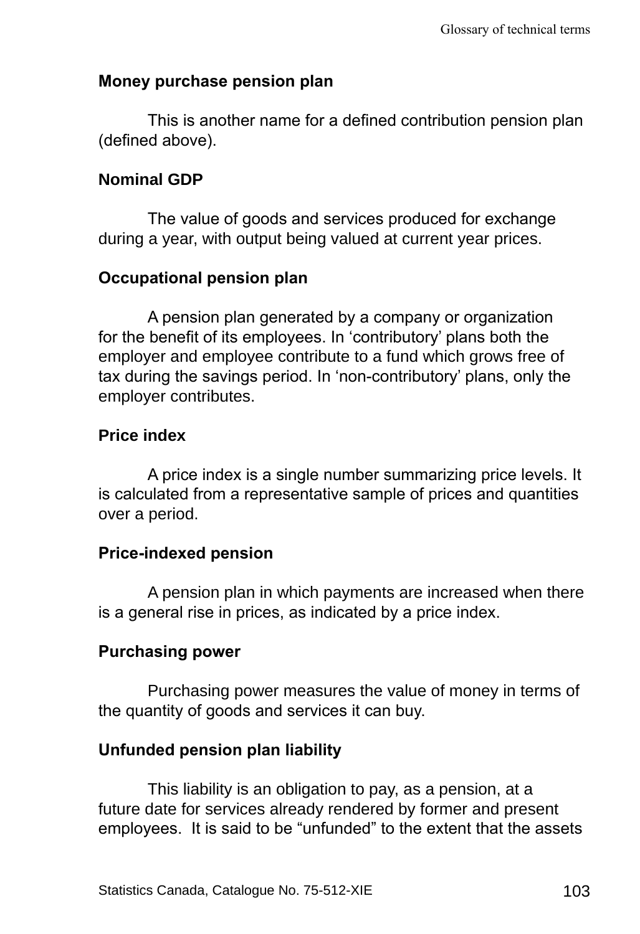#### **Money purchase pension plan**

This is another name for a defined contribution pension plan (defined above).

#### **Nominal GDP**

The value of goods and services produced for exchange during a year, with output being valued at current year prices.

#### **Occupational pension plan**

A pension plan generated by a company or organization for the benefit of its employees. In 'contributory' plans both the employer and employee contribute to a fund which grows free of tax during the savings period. In 'non-contributory' plans, only the employer contributes.

#### **Price index**

A price index is a single number summarizing price levels. It is calculated from a representative sample of prices and quantities over a period.

#### **Price-indexed pension**

A pension plan in which payments are increased when there is a general rise in prices, as indicated by a price index.

#### **Purchasing power**

Purchasing power measures the value of money in terms of the quantity of goods and services it can buy.

#### **Unfunded pension plan liability**

This liability is an obligation to pay, as a pension, at a future date for services already rendered by former and present employees. It is said to be "unfunded" to the extent that the assets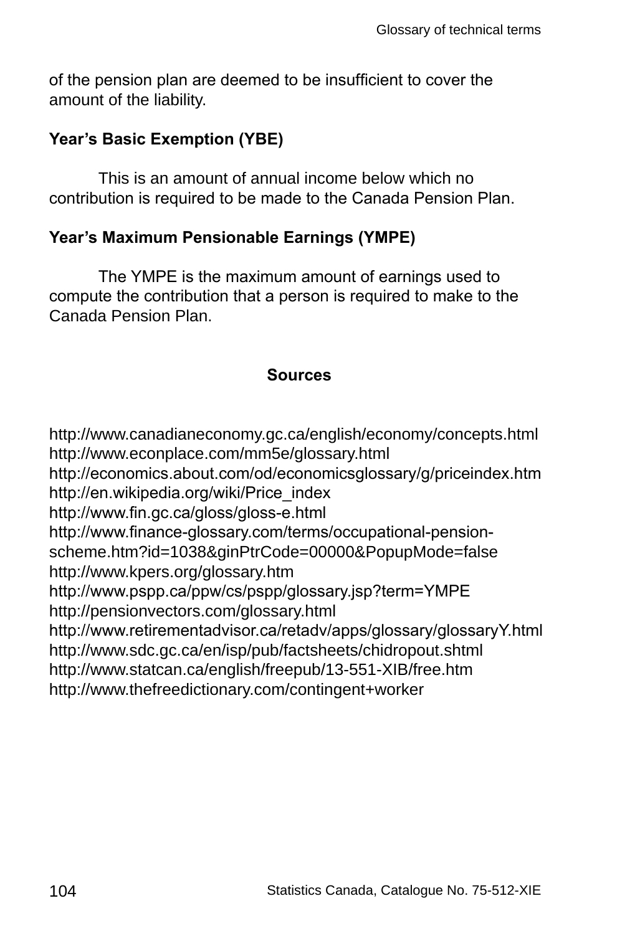of the pension plan are deemed to be insufficient to cover the amount of the liability.

## **Year's Basic Exemption (YBE)**

This is an amount of annual income below which no contribution is required to be made to the Canada Pension Plan.

## **Year's Maximum Pensionable Earnings (YMPE)**

The YMPE is the maximum amount of earnings used to compute the contribution that a person is required to make to the Canada Pension Plan.

#### **Sources**

http://www.canadianeconomy.gc.ca/english/economy/concepts.html http://www.econplace.com/mm5e/glossary.html http://economics.about.com/od/economicsglossary/g/priceindex.htm http://en.wikipedia.org/wiki/Price\_index http://www.fin.gc.ca/gloss/gloss-e.html http://www.finance-glossary.com/terms/occupational-pensionscheme.htm?id=1038&ginPtrCode=00000&PopupMode=false http://www.kpers.org/glossary.htm http://www.pspp.ca/ppw/cs/pspp/glossary.jsp?term=YMPE http://pensionvectors.com/glossary.html http://www.retirementadvisor.ca/retadv/apps/glossary/glossaryY.html http://www.sdc.gc.ca/en/isp/pub/factsheets/chidropout.shtml http://www.statcan.ca/english/freepub/13-551-XIB/free.htm http://www.thefreedictionary.com/contingent+worker